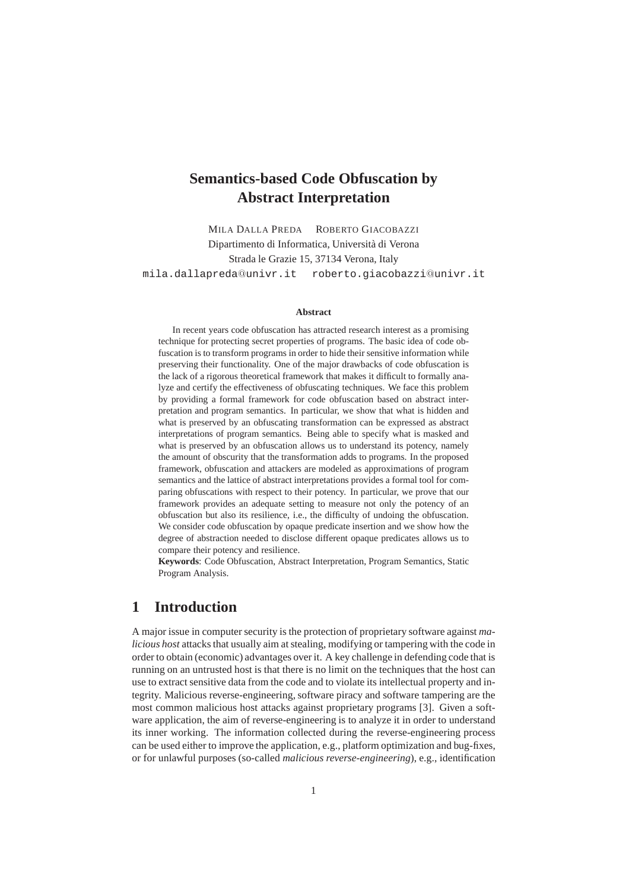# **Semantics-based Code Obfuscation by Abstract Interpretation**

MILA DALLA PREDA ROBERTO GIACOBAZZI Dipartimento di Informatica, Università di Verona Strada le Grazie 15, 37134 Verona, Italy mila.dallapreda@univr.it roberto.giacobazzi@univr.it

#### **Abstract**

In recent years code obfuscation has attracted research interest as a promising technique for protecting secret properties of programs. The basic idea of code obfuscation is to transform programs in order to hide their sensitive information while preserving their functionality. One of the major drawbacks of code obfuscation is the lack of a rigorous theoretical framework that makes it difficult to formally analyze and certify the effectiveness of obfuscating techniques. We face this problem by providing a formal framework for code obfuscation based on abstract interpretation and program semantics. In particular, we show that what is hidden and what is preserved by an obfuscating transformation can be expressed as abstract interpretations of program semantics. Being able to specify what is masked and what is preserved by an obfuscation allows us to understand its potency, namely the amount of obscurity that the transformation adds to programs. In the proposed framework, obfuscation and attackers are modeled as approximations of program semantics and the lattice of abstract interpretations provides a formal tool for comparing obfuscations with respect to their potency. In particular, we prove that our framework provides an adequate setting to measure not only the potency of an obfuscation but also its resilience, i.e., the difficulty of undoing the obfuscation. We consider code obfuscation by opaque predicate insertion and we show how the degree of abstraction needed to disclose different opaque predicates allows us to compare their potency and resilience.

**Keywords**: Code Obfuscation, Abstract Interpretation, Program Semantics, Static Program Analysis.

# **1 Introduction**

A major issue in computer security is the protection of proprietary software against *malicious host* attacks that usually aim at stealing, modifying or tampering with the code in order to obtain (economic) advantages over it. A key challenge in defending code that is running on an untrusted host is that there is no limit on the techniques that the host can use to extract sensitive data from the code and to violate its intellectual property and integrity. Malicious reverse-engineering, software piracy and software tampering are the most common malicious host attacks against proprietary programs [3]. Given a software application, the aim of reverse-engineering is to analyze it in order to understand its inner working. The information collected during the reverse-engineering process can be used either to improve the application, e.g., platform optimization and bug-fixes, or for unlawful purposes (so-called *malicious reverse-engineering*), e.g., identification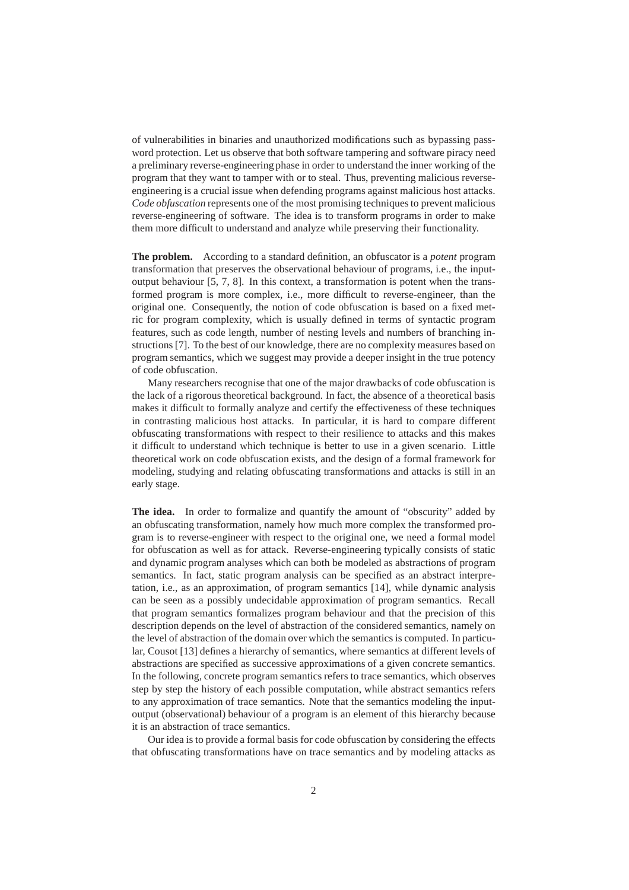of vulnerabilities in binaries and unauthorized modifications such as bypassing password protection. Let us observe that both software tampering and software piracy need a preliminary reverse-engineering phase in order to understand the inner working of the program that they want to tamper with or to steal. Thus, preventing malicious reverseengineering is a crucial issue when defending programs against malicious host attacks. *Code obfuscation* represents one of the most promising techniques to prevent malicious reverse-engineering of software. The idea is to transform programs in order to make them more difficult to understand and analyze while preserving their functionality.

**The problem.** According to a standard definition, an obfuscator is a *potent* program transformation that preserves the observational behaviour of programs, i.e., the inputoutput behaviour [5, 7, 8]. In this context, a transformation is potent when the transformed program is more complex, i.e., more difficult to reverse-engineer, than the original one. Consequently, the notion of code obfuscation is based on a fixed metric for program complexity, which is usually defined in terms of syntactic program features, such as code length, number of nesting levels and numbers of branching instructions [7]. To the best of our knowledge, there are no complexity measures based on program semantics, which we suggest may provide a deeper insight in the true potency of code obfuscation.

Many researchers recognise that one of the major drawbacks of code obfuscation is the lack of a rigorous theoretical background. In fact, the absence of a theoretical basis makes it difficult to formally analyze and certify the effectiveness of these techniques in contrasting malicious host attacks. In particular, it is hard to compare different obfuscating transformations with respect to their resilience to attacks and this makes it difficult to understand which technique is better to use in a given scenario. Little theoretical work on code obfuscation exists, and the design of a formal framework for modeling, studying and relating obfuscating transformations and attacks is still in an early stage.

**The idea.** In order to formalize and quantify the amount of "obscurity" added by an obfuscating transformation, namely how much more complex the transformed program is to reverse-engineer with respect to the original one, we need a formal model for obfuscation as well as for attack. Reverse-engineering typically consists of static and dynamic program analyses which can both be modeled as abstractions of program semantics. In fact, static program analysis can be specified as an abstract interpretation, i.e., as an approximation, of program semantics [14], while dynamic analysis can be seen as a possibly undecidable approximation of program semantics. Recall that program semantics formalizes program behaviour and that the precision of this description depends on the level of abstraction of the considered semantics, namely on the level of abstraction of the domain over which the semantics is computed. In particular, Cousot [13] defines a hierarchy of semantics, where semantics at different levels of abstractions are specified as successive approximations of a given concrete semantics. In the following, concrete program semantics refers to trace semantics, which observes step by step the history of each possible computation, while abstract semantics refers to any approximation of trace semantics. Note that the semantics modeling the inputoutput (observational) behaviour of a program is an element of this hierarchy because it is an abstraction of trace semantics.

Our idea is to provide a formal basis for code obfuscation by considering the effects that obfuscating transformations have on trace semantics and by modeling attacks as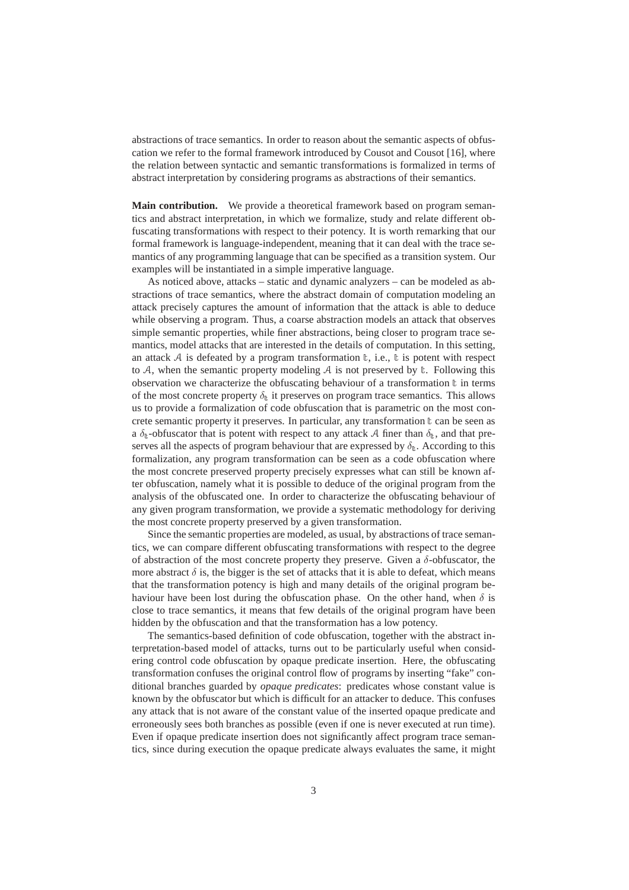abstractions of trace semantics. In order to reason about the semantic aspects of obfuscation we refer to the formal framework introduced by Cousot and Cousot [16], where the relation between syntactic and semantic transformations is formalized in terms of abstract interpretation by considering programs as abstractions of their semantics.

**Main contribution.** We provide a theoretical framework based on program semantics and abstract interpretation, in which we formalize, study and relate different obfuscating transformations with respect to their potency. It is worth remarking that our formal framework is language-independent, meaning that it can deal with the trace semantics of any programming language that can be specified as a transition system. Our examples will be instantiated in a simple imperative language.

As noticed above, attacks – static and dynamic analyzers – can be modeled as abstractions of trace semantics, where the abstract domain of computation modeling an attack precisely captures the amount of information that the attack is able to deduce while observing a program. Thus, a coarse abstraction models an attack that observes simple semantic properties, while finer abstractions, being closer to program trace semantics, model attacks that are interested in the details of computation. In this setting, an attack  $A$  is defeated by a program transformation  $t$ , i.e.,  $t$  is potent with respect to A, when the semantic property modeling A is not preserved by  $\mathbb{t}$ . Following this observation we characterize the obfuscating behaviour of a transformation  $\mathbf t$  in terms of the most concrete property  $\delta_{t}$  it preserves on program trace semantics. This allows us to provide a formalization of code obfuscation that is parametric on the most concrete semantic property it preserves. In particular, any transformation  $\mathbf{t}$  can be seen as a  $\delta_{t}$ -obfuscator that is potent with respect to any attack A finer than  $\delta_{t}$ , and that preserves all the aspects of program behaviour that are expressed by  $\delta_{\mathbb{t}}$ . According to this formalization, any program transformation can be seen as a code obfuscation where the most concrete preserved property precisely expresses what can still be known after obfuscation, namely what it is possible to deduce of the original program from the analysis of the obfuscated one. In order to characterize the obfuscating behaviour of any given program transformation, we provide a systematic methodology for deriving the most concrete property preserved by a given transformation.

Since the semantic properties are modeled, as usual, by abstractions of trace semantics, we can compare different obfuscating transformations with respect to the degree of abstraction of the most concrete property they preserve. Given a  $\delta$ -obfuscator, the more abstract  $\delta$  is, the bigger is the set of attacks that it is able to defeat, which means that the transformation potency is high and many details of the original program behaviour have been lost during the obfuscation phase. On the other hand, when  $\delta$  is close to trace semantics, it means that few details of the original program have been hidden by the obfuscation and that the transformation has a low potency.

The semantics-based definition of code obfuscation, together with the abstract interpretation-based model of attacks, turns out to be particularly useful when considering control code obfuscation by opaque predicate insertion. Here, the obfuscating transformation confuses the original control flow of programs by inserting "fake" conditional branches guarded by *opaque predicates*: predicates whose constant value is known by the obfuscator but which is difficult for an attacker to deduce. This confuses any attack that is not aware of the constant value of the inserted opaque predicate and erroneously sees both branches as possible (even if one is never executed at run time). Even if opaque predicate insertion does not significantly affect program trace semantics, since during execution the opaque predicate always evaluates the same, it might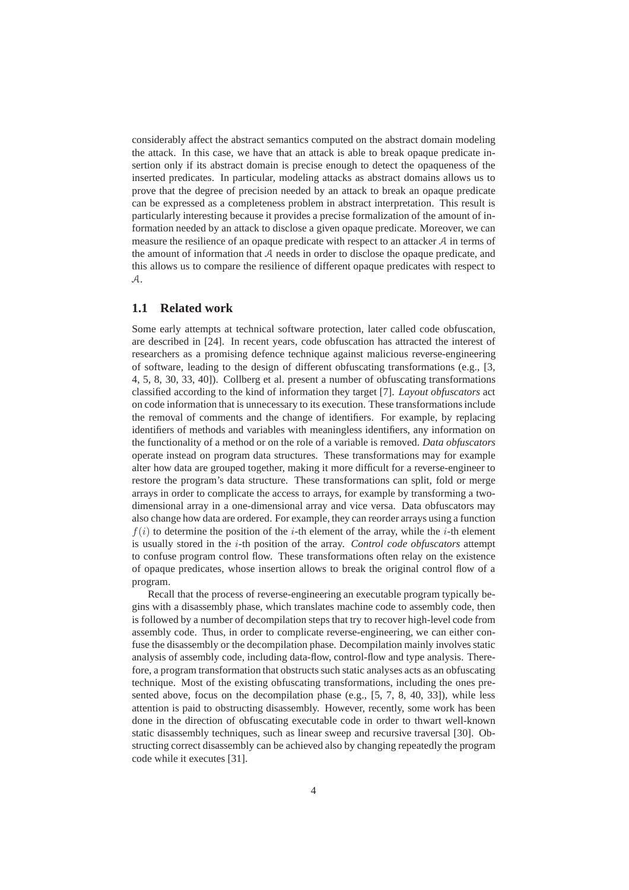considerably affect the abstract semantics computed on the abstract domain modeling the attack. In this case, we have that an attack is able to break opaque predicate insertion only if its abstract domain is precise enough to detect the opaqueness of the inserted predicates. In particular, modeling attacks as abstract domains allows us to prove that the degree of precision needed by an attack to break an opaque predicate can be expressed as a completeness problem in abstract interpretation. This result is particularly interesting because it provides a precise formalization of the amount of information needed by an attack to disclose a given opaque predicate. Moreover, we can measure the resilience of an opaque predicate with respect to an attacker A in terms of the amount of information that A needs in order to disclose the opaque predicate, and this allows us to compare the resilience of different opaque predicates with respect to A.

## **1.1 Related work**

Some early attempts at technical software protection, later called code obfuscation, are described in [24]. In recent years, code obfuscation has attracted the interest of researchers as a promising defence technique against malicious reverse-engineering of software, leading to the design of different obfuscating transformations (e.g., [3, 4, 5, 8, 30, 33, 40]). Collberg et al. present a number of obfuscating transformations classified according to the kind of information they target [7]. *Layout obfuscators* act on code information that is unnecessary to its execution. These transformations include the removal of comments and the change of identifiers. For example, by replacing identifiers of methods and variables with meaningless identifiers, any information on the functionality of a method or on the role of a variable is removed. *Data obfuscators* operate instead on program data structures. These transformations may for example alter how data are grouped together, making it more difficult for a reverse-engineer to restore the program's data structure. These transformations can split, fold or merge arrays in order to complicate the access to arrays, for example by transforming a twodimensional array in a one-dimensional array and vice versa. Data obfuscators may also change how data are ordered. For example, they can reorder arrays using a function  $f(i)$  to determine the position of the *i*-th element of the array, while the *i*-th element is usually stored in the i-th position of the array. *Control code obfuscators* attempt to confuse program control flow. These transformations often relay on the existence of opaque predicates, whose insertion allows to break the original control flow of a program.

Recall that the process of reverse-engineering an executable program typically begins with a disassembly phase, which translates machine code to assembly code, then is followed by a number of decompilation steps that try to recover high-level code from assembly code. Thus, in order to complicate reverse-engineering, we can either confuse the disassembly or the decompilation phase. Decompilation mainly involves static analysis of assembly code, including data-flow, control-flow and type analysis. Therefore, a program transformation that obstructs such static analyses acts as an obfuscating technique. Most of the existing obfuscating transformations, including the ones presented above, focus on the decompilation phase (e.g.,  $[5, 7, 8, 40, 33]$ ), while less attention is paid to obstructing disassembly. However, recently, some work has been done in the direction of obfuscating executable code in order to thwart well-known static disassembly techniques, such as linear sweep and recursive traversal [30]. Obstructing correct disassembly can be achieved also by changing repeatedly the program code while it executes [31].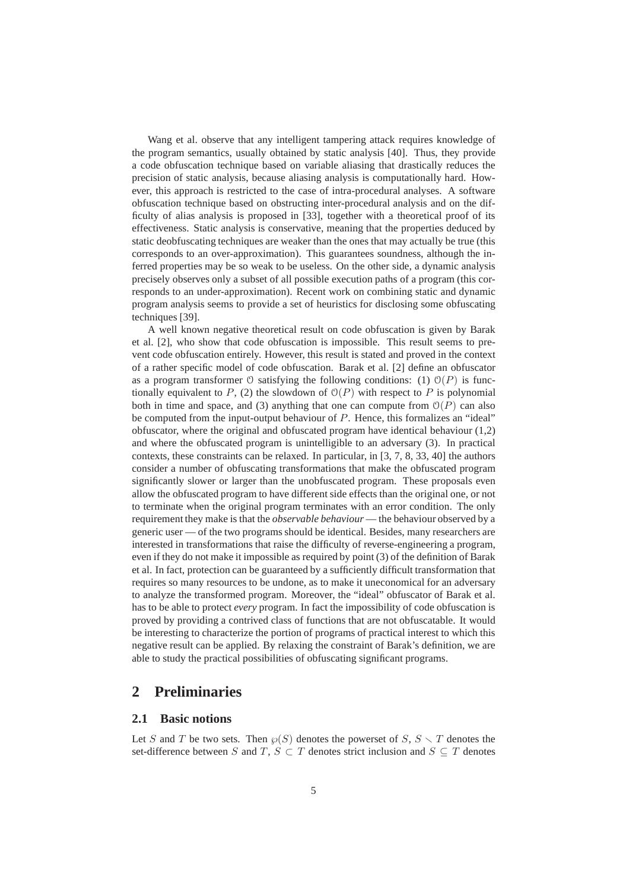Wang et al. observe that any intelligent tampering attack requires knowledge of the program semantics, usually obtained by static analysis [40]. Thus, they provide a code obfuscation technique based on variable aliasing that drastically reduces the precision of static analysis, because aliasing analysis is computationally hard. However, this approach is restricted to the case of intra-procedural analyses. A software obfuscation technique based on obstructing inter-procedural analysis and on the difficulty of alias analysis is proposed in [33], together with a theoretical proof of its effectiveness. Static analysis is conservative, meaning that the properties deduced by static deobfuscating techniques are weaker than the ones that may actually be true (this corresponds to an over-approximation). This guarantees soundness, although the inferred properties may be so weak to be useless. On the other side, a dynamic analysis precisely observes only a subset of all possible execution paths of a program (this corresponds to an under-approximation). Recent work on combining static and dynamic program analysis seems to provide a set of heuristics for disclosing some obfuscating techniques [39].

A well known negative theoretical result on code obfuscation is given by Barak et al. [2], who show that code obfuscation is impossible. This result seems to prevent code obfuscation entirely. However, this result is stated and proved in the context of a rather specific model of code obfuscation. Barak et al. [2] define an obfuscator as a program transformer  $\Theta$  satisfying the following conditions: (1)  $\mathcal{O}(P)$  is functionally equivalent to P, (2) the slowdown of  $O(P)$  with respect to P is polynomial both in time and space, and (3) anything that one can compute from  $\mathcal{O}(P)$  can also be computed from the input-output behaviour of P. Hence, this formalizes an "ideal" obfuscator, where the original and obfuscated program have identical behaviour (1,2) and where the obfuscated program is unintelligible to an adversary (3). In practical contexts, these constraints can be relaxed. In particular, in [3, 7, 8, 33, 40] the authors consider a number of obfuscating transformations that make the obfuscated program significantly slower or larger than the unobfuscated program. These proposals even allow the obfuscated program to have different side effects than the original one, or not to terminate when the original program terminates with an error condition. The only requirement they make is that the *observable behaviour* — the behaviour observed by a generic user — of the two programs should be identical. Besides, many researchers are interested in transformations that raise the difficulty of reverse-engineering a program, even if they do not make it impossible as required by point (3) of the definition of Barak et al. In fact, protection can be guaranteed by a sufficiently difficult transformation that requires so many resources to be undone, as to make it uneconomical for an adversary to analyze the transformed program. Moreover, the "ideal" obfuscator of Barak et al. has to be able to protect *every* program. In fact the impossibility of code obfuscation is proved by providing a contrived class of functions that are not obfuscatable. It would be interesting to characterize the portion of programs of practical interest to which this negative result can be applied. By relaxing the constraint of Barak's definition, we are able to study the practical possibilities of obfuscating significant programs.

## **2 Preliminaries**

#### **2.1 Basic notions**

Let S and T be two sets. Then  $\wp(S)$  denotes the powerset of  $S, S \setminus T$  denotes the set-difference between S and T,  $S \subset T$  denotes strict inclusion and  $S \subseteq T$  denotes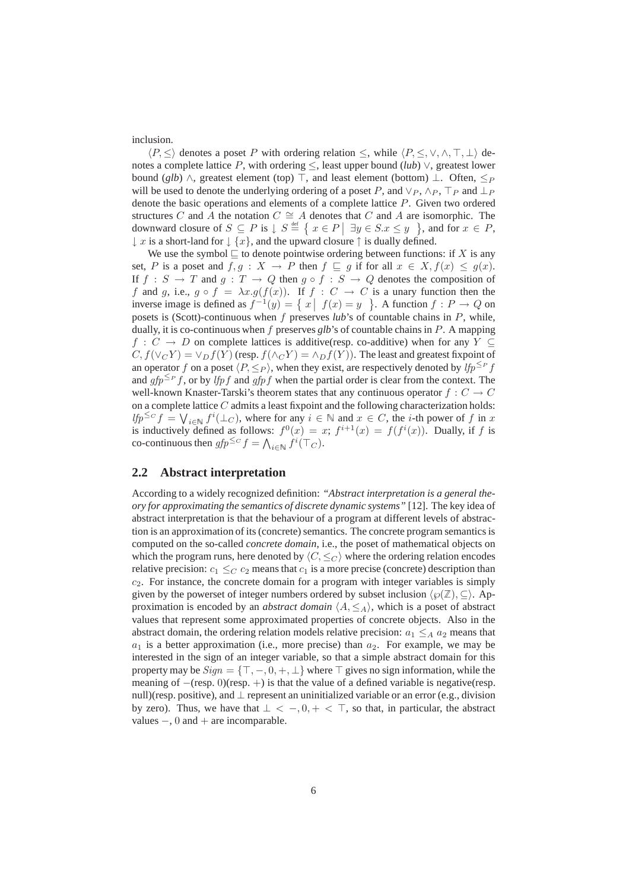inclusion.

 $\langle P, \leq \rangle$  denotes a poset P with ordering relation  $\leq$ , while  $\langle P, \leq, \vee, \wedge, \top, \bot \rangle$  denotes a complete lattice P, with ordering  $\leq$ , least upper bound (*lub*)  $\vee$ , greatest lower bound (*glb*)  $\land$ , greatest element (top)  $\top$ , and least element (bottom)  $\bot$ . Often,  $\leq_P$ will be used to denote the underlying ordering of a poset P, and  $\vee_P$ ,  $\wedge_P$ ,  $\top_P$  and  $\bot_P$ denote the basic operations and elements of a complete lattice P. Given two ordered structures C and A the notation  $C \cong A$  denotes that C and A are isomorphic. The downward closure of  $S \subseteq P$  is  $\downarrow S \stackrel{\text{def}}{=} \{ x \in P \mid \exists y \in S.x \leq y \}$ , and for  $x \in P$ ,  $\downarrow$  x is a short-land for  $\downarrow$  {x}, and the upward closure  $\uparrow$  is dually defined.

We use the symbol  $\sqsubseteq$  to denote pointwise ordering between functions: if X is any set, P is a poset and  $f, g: X \to P$  then  $f \sqsubseteq g$  if for all  $x \in X, f(x) \le g(x)$ . If  $f : S \to T$  and  $g : T \to Q$  then  $g \circ f : S \to Q$  denotes the composition of f and g, i.e.,  $g \circ f = \lambda x . g(f(x))$ . If  $f : C \to C$  is a unary function then the inverse image is defined as  $f^{-1}(y) = \{ x \mid f(x) = y \}$ . A function  $f : P \to Q$  on posets is (Scott)-continuous when f preserves *lub*'s of countable chains in P, while, dually, it is co-continuous when  $f$  preserves  $glb$ 's of countable chains in  $P$ . A mapping  $f: C \to D$  on complete lattices is additive(resp. co-additive) when for any  $Y \subseteq$  $C, f(\vee_C Y) = \vee_D f(Y)$  (resp.  $f(\wedge_C Y) = \wedge_D f(Y)$ ). The least and greatest fixpoint of an operator f on a poset  $\langle P, \leq_P \rangle$ , when they exist, are respectively denoted by  $lfp^{\leq P}$  f and  $gfp^{\leq p}f$ , or by *lfpf* and  $gfpf$  when the partial order is clear from the context. The well-known Knaster-Tarski's theorem states that any continuous operator  $f: C \to C$ on a complete lattice  $C$  admits a least fixpoint and the following characterization holds:  $lfp^{\leq c} f = \bigvee_{i \in \mathbb{N}} f^i(\perp_C)$ , where for any  $i \in \mathbb{N}$  and  $x \in C$ , the *i*-th power of f in x is inductively defined as follows:  $f^{0}(x) = x$ ;  $f^{i+1}(x) = f(f^{i}(x))$ . Dually, if f is co-continuous then  $gfp^{\leq C}f = \bigwedge_{i \in \mathbb{N}} f^i(\top_C)$ .

#### **2.2 Abstract interpretation**

According to a widely recognized definition: *"Abstract interpretation is a general theory for approximating the semantics of discrete dynamic systems"* [12]. The key idea of abstract interpretation is that the behaviour of a program at different levels of abstraction is an approximation of its (concrete) semantics. The concrete program semantics is computed on the so-called *concrete domain*, i.e., the poset of mathematical objects on which the program runs, here denoted by  $\langle C, \leq_C \rangle$  where the ordering relation encodes relative precision:  $c_1 \leq_C c_2$  means that  $c_1$  is a more precise (concrete) description than  $c_2$ . For instance, the concrete domain for a program with integer variables is simply given by the powerset of integer numbers ordered by subset inclusion  $\langle \wp(\mathbb{Z}), \subseteq \rangle$ . Approximation is encoded by an *abstract domain*  $\langle A, \leq_A \rangle$ , which is a poset of abstract values that represent some approximated properties of concrete objects. Also in the abstract domain, the ordering relation models relative precision:  $a_1 \leq_A a_2$  means that  $a_1$  is a better approximation (i.e., more precise) than  $a_2$ . For example, we may be interested in the sign of an integer variable, so that a simple abstract domain for this property may be  $Sign = \{\top, -, 0, +, \bot\}$  where  $\top$  gives no sign information, while the meaning of  $-(\text{resp. } 0)(\text{resp. } +)$  is that the value of a defined variable is negative(resp. null)(resp. positive), and  $\perp$  represent an uninitialized variable or an error (e.g., division by zero). Thus, we have that  $\perp < -0, + < \top$ , so that, in particular, the abstract values  $-$ , 0 and  $+$  are incomparable.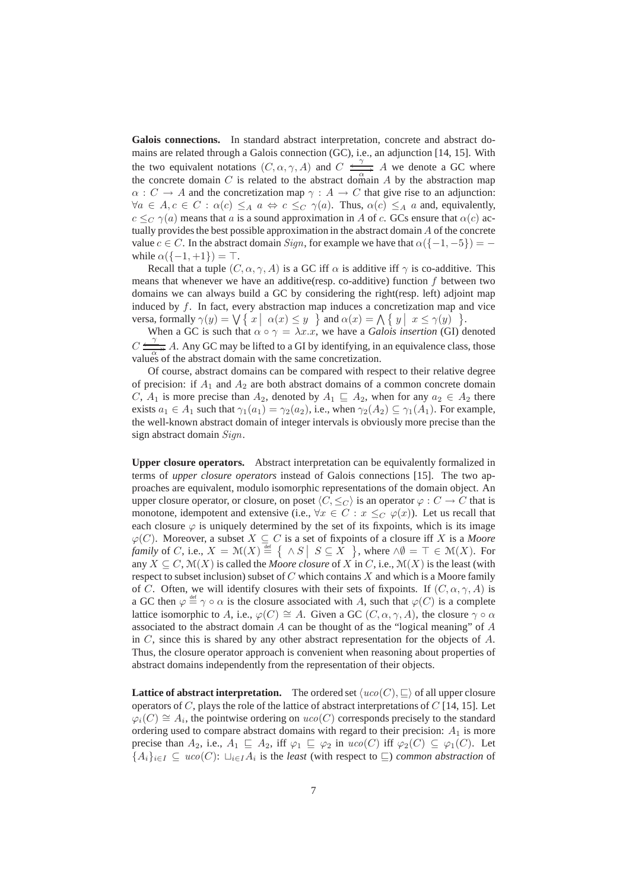**Galois connections.** In standard abstract interpretation, concrete and abstract domains are related through a Galois connection (GC), i.e., an adjunction [14, 15]. With the two equivalent notations  $(C, \alpha, \gamma, A)$  and  $C \xrightarrow{\gamma} A$  we denote a GC where the concrete domain  $C$  is related to the abstract domain  $A$  by the abstraction map  $\alpha: C \to A$  and the concretization map  $\gamma: A \to C$  that give rise to an adjunction:  $\forall a \in A, c \in C : \alpha(c) \leq_A a \Leftrightarrow c \leq_C \gamma(a)$ . Thus,  $\alpha(c) \leq_A a$  and, equivalently,  $c \leq_C \gamma(a)$  means that a is a sound approximation in A of c. GCs ensure that  $\alpha(c)$  actually provides the best possible approximation in the abstract domain  $\tilde{A}$  of the concrete value  $c \in C$ . In the abstract domain  $Sign$ , for example we have that  $\alpha({-1, -5}) =$ while  $\alpha({-1,+1}) = \top$ .

Recall that a tuple  $(C, \alpha, \gamma, A)$  is a GC iff  $\alpha$  is additive iff  $\gamma$  is co-additive. This means that whenever we have an additive(resp. co-additive) function  $f$  between two domains we can always build a GC by considering the right(resp. left) adjoint map induced by  $f$ . In fact, every abstraction map induces a concretization map and vice versa, formally  $\gamma(y) = \bigvee \{ x \mid \alpha(x) \leq y \}$  and  $\alpha(x) = \bigwedge \{ y \mid x \leq \gamma(y) \}$ .

When a GC is such that  $\alpha \circ \gamma = \lambda x.x$ , we have a *Galois insertion* (GI) denoted  $C \frac{q}{q}$  A. Any GC may be lifted to a GI by identifying, in an equivalence class, those values of the abstract domain with the same concretization.

Of course, abstract domains can be compared with respect to their relative degree of precision: if  $A_1$  and  $A_2$  are both abstract domains of a common concrete domain C,  $A_1$  is more precise than  $A_2$ , denoted by  $A_1 \subseteq A_2$ , when for any  $a_2 \in A_2$  there exists  $a_1 \in A_1$  such that  $\gamma_1(a_1) = \gamma_2(a_2)$ , i.e., when  $\gamma_2(A_2) \subseteq \gamma_1(A_1)$ . For example, the well-known abstract domain of integer intervals is obviously more precise than the sign abstract domain Sign.

**Upper closure operators.** Abstract interpretation can be equivalently formalized in terms of *upper closure operators* instead of Galois connections [15]. The two approaches are equivalent, modulo isomorphic representations of the domain object. An upper closure operator, or closure, on poset  $\langle C, \leq_C \rangle$  is an operator  $\varphi : C \to C$  that is monotone, idempotent and extensive (i.e.,  $\forall x \in C : x \leq_C \varphi(x)$ ). Let us recall that each closure  $\varphi$  is uniquely determined by the set of its fixpoints, which is its image  $\varphi(C)$ . Moreover, a subset  $X \subseteq C$  is a set of fixpoints of a closure iff X is a *Moore family* of *C*, i.e.,  $X = \mathcal{M}(X) \stackrel{\text{def}}{=} \left\{ \begin{array}{c} \wedge S \mid S \subseteq X \end{array} \right\}$ , where  $\wedge \emptyset = \top \in \mathcal{M}(X)$ . For any  $X \subseteq C$ ,  $\mathcal{M}(X)$  is called the *Moore closure* of X in C, i.e.,  $\mathcal{M}(X)$  is the least (with respect to subset inclusion) subset of  $C$  which contains  $X$  and which is a Moore family of C. Often, we will identify closures with their sets of fixpoints. If  $(C, \alpha, \gamma, A)$  is a GC then  $\varphi \stackrel{\text{def}}{=} \gamma \circ \alpha$  is the closure associated with A, such that  $\varphi(C)$  is a complete lattice isomorphic to A, i.e.,  $\varphi(C) \cong A$ . Given a GC  $(C, \alpha, \gamma, A)$ , the closure  $\gamma \circ \alpha$ associated to the abstract domain  $A$  can be thought of as the "logical meaning" of  $A$ in  $C$ , since this is shared by any other abstract representation for the objects of  $A$ . Thus, the closure operator approach is convenient when reasoning about properties of abstract domains independently from the representation of their objects.

**Lattice of abstract interpretation.** The ordered set  $\langle uco(C), \sqsubseteq \rangle$  of all upper closure operators of  $C$ , plays the role of the lattice of abstract interpretations of  $C$  [14, 15]. Let  $\varphi_i(C) \cong A_i$ , the pointwise ordering on  $uco(C)$  corresponds precisely to the standard ordering used to compare abstract domains with regard to their precision:  $A_1$  is more precise than  $A_2$ , i.e.,  $A_1 \subseteq A_2$ , iff  $\varphi_1 \subseteq \varphi_2$  in  $uco(C)$  iff  $\varphi_2(C) \subseteq \varphi_1(C)$ . Let  ${A_i}_{i\in I}$  ⊆  $uco(C)$ :  $\sqcup_{i\in I} A_i$  is the *least* (with respect to ⊑) *common abstraction* of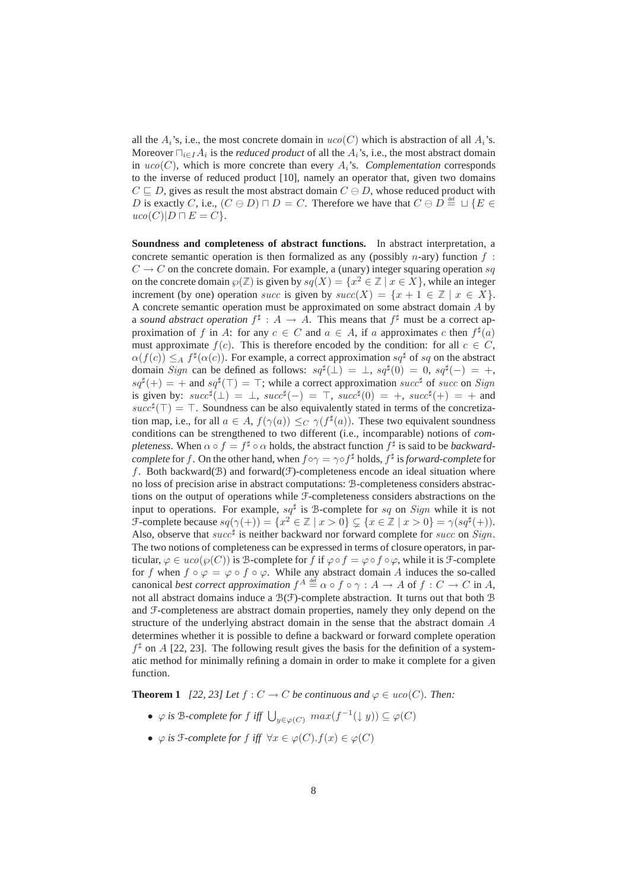all the  $A_i$ 's, i.e., the most concrete domain in  $uco(C)$  which is abstraction of all  $A_i$ 's. Moreover  $\prod_{i \in I} A_i$  is the *reduced product* of all the  $A_i$ 's, i.e., the most abstract domain in  $uco(C)$ , which is more concrete than every  $A_i$ 's. *Complementation* corresponds to the inverse of reduced product [10], namely an operator that, given two domains  $C \sqsubseteq D$ , gives as result the most abstract domain  $C \ominus D$ , whose reduced product with D is exactly C, i.e.,  $(C \ominus D) \sqcap D = C$ . Therefore we have that  $C \ominus D \stackrel{\text{def}}{=} \sqcup \{E \in$  $uco(C)|D \sqcap E = C$ .

**Soundness and completeness of abstract functions.** In abstract interpretation, a concrete semantic operation is then formalized as any (possibly n-ary) function  $f$ :  $C \rightarrow C$  on the concrete domain. For example, a (unary) integer squaring operation sq on the concrete domain  $\wp(\mathbb{Z})$  is given by  $sq(X) = \{x^2 \in \mathbb{Z} \mid x \in X\}$ , while an integer increment (by one) operation succ is given by  $succ(X) = \{x + 1 \in \mathbb{Z} \mid x \in X\}.$ A concrete semantic operation must be approximated on some abstract domain A by a *sound abstract operation*  $f^{\sharp}: A \to A$ . This means that  $f^{\sharp}$  must be a correct approximation of f in A: for any  $c \in C$  and  $a \in A$ , if a approximates c then  $f^{\sharp}(a)$ must approximate  $f(c)$ . This is therefore encoded by the condition: for all  $c \in C$ ,  $\alpha(f(c)) \leq_A f^{\sharp}(\alpha(c))$ . For example, a correct approximation  $sq^{\sharp}$  of sq on the abstract domain Sign can be defined as follows:  $sq^{\sharp}(\perp) = \perp$ ,  $sq^{\sharp}(0) = 0$ ,  $sq^{\sharp}(-) = +$ ,  $sq^{\sharp}(+) = +$  and  $sq^{\sharp}(\top) = \top$ ; while a correct approximation succ<sup>#</sup> of succ on Sign is given by:  $succ^{\sharp}(\perp) = \perp$ ,  $succ^{\sharp}(-) = \top$ ,  $succ^{\sharp}(0) = +$ ,  $succ^{\sharp}(+) = +$  and  $succ^{\sharp}(\top) = \top$ . Soundness can be also equivalently stated in terms of the concretization map, i.e., for all  $a \in A$ ,  $f(\gamma(a)) \leq_C \gamma(f^{\sharp}(a))$ . These two equivalent soundness conditions can be strengthened to two different (i.e., incomparable) notions of *completeness.* When  $\alpha \circ f = f^{\sharp} \circ \alpha$  holds, the abstract function  $f^{\sharp}$  is said to be *backwardcomplete* for f. On the other hand, when  $f \circ \gamma = \gamma \circ f^{\sharp}$  holds,  $f^{\sharp}$  is forward-complete for f. Both backward( $\mathcal{B}$ ) and forward( $\mathcal{F}$ )-completeness encode an ideal situation where no loss of precision arise in abstract computations: B-completeness considers abstractions on the output of operations while F-completeness considers abstractions on the input to operations. For example,  $sq^{\sharp}$  is B-complete for sq on Sign while it is not  $\mathcal{F}$ -complete because  $sq(\gamma(+) ) = \{x^2 \in \mathbb{Z} \mid x > 0\} \subsetneq \{x \in \mathbb{Z} \mid x > 0\} = \gamma(sq^{\sharp}(+)).$ Also, observe that  $succ^{\sharp}$  is neither backward nor forward complete for succ on Sign. The two notions of completeness can be expressed in terms of closure operators, in particular,  $\varphi \in uco(\varphi(C))$  is B-complete for f if  $\varphi \circ f = \varphi \circ f \circ \varphi$ , while it is F-complete for f when  $f \circ \varphi = \varphi \circ f \circ \varphi$ . While any abstract domain A induces the so-called canonical *best correct approximation*  $f^A \stackrel{\text{def}}{=} \alpha \circ f \circ \gamma : A \to A$  of  $f : C \to C$  in A, not all abstract domains induce a  $\mathcal{B}(F)$ -complete abstraction. It turns out that both  $\mathcal B$ and F-completeness are abstract domain properties, namely they only depend on the structure of the underlying abstract domain in the sense that the abstract domain  $\vec{A}$ determines whether it is possible to define a backward or forward complete operation  $f^{\sharp}$  on A [22, 23]. The following result gives the basis for the definition of a systematic method for minimally refining a domain in order to make it complete for a given function.

**Theorem 1** *[22, 23] Let*  $f: C \to C$  *be continuous and*  $\varphi \in uco(C)$ *. Then:* 

- $\varphi$  *is* B-complete for f iff  $\bigcup_{y \in \varphi(C)} max(f^{-1}(\downarrow y)) \subseteq \varphi(C)$
- $\varphi$  *is*  $\mathcal{F}$ -complete for  $f$  *iff*  $\forall x \in \varphi(C)$ .  $f(x) \in \varphi(C)$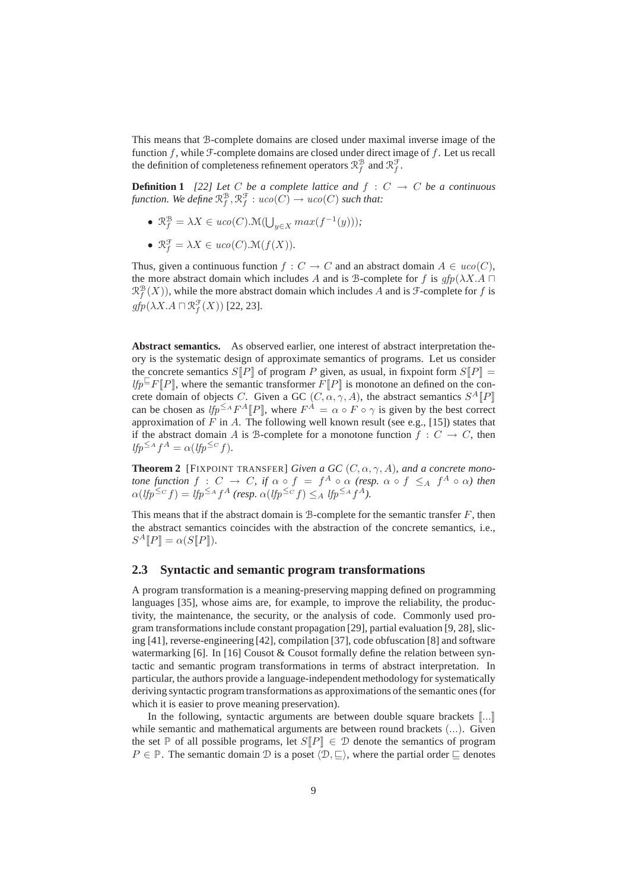This means that B-complete domains are closed under maximal inverse image of the function  $f$ , while  $\mathcal F$ -complete domains are closed under direct image of  $f$ . Let us recall the definition of completeness refinement operators  $\mathcal{R}_f^{\mathcal{B}}$  and  $\mathcal{R}_f^{\mathcal{F}}$ .

**Definition 1** [22] Let C be a complete lattice and  $f : C \rightarrow C$  be a continuous function. We define  $\mathcal{R}_f^\mathcal{B}, \mathcal{R}_f^\mathcal{F}: uco(C) \to uco(C)$  such that:

- $\mathcal{R}_f^{\mathcal{B}} = \lambda X \in uco(C) . \mathcal{M}(\bigcup_{y \in X} max(f^{-1}(y)));$
- $\mathcal{R}_f^{\mathcal{F}} = \lambda X \in uco(C) . \mathcal{M}(f(X)).$

Thus, given a continuous function  $f: C \to C$  and an abstract domain  $A \in uco(C)$ . the more abstract domain which includes A and is B-complete for f is  $qfp(\lambda X.A \sqcap$  $\mathcal{R}_f^{\mathcal{B}}(X)$ , while the more abstract domain which includes A and is  $\mathcal{F}$ -complete for f is  $gfp(\lambda X.A \sqcap \mathcal{R}^{\mathcal{F}}_f(X))$  [22, 23].

**Abstract semantics.** As observed earlier, one interest of abstract interpretation theory is the systematic design of approximate semantics of programs. Let us consider the concrete semantics  $S[P]$  of program P given, as usual, in fixpoint form  $S[P]$  = *lfp* $\big[$ F[P], where the semantic transformer F[P] is monotone an defined on the concrete domain of objects C. Given a GC  $(C, \alpha, \gamma, A)$ , the abstract semantics  $S^A[\![P]\!]$ can be chosen as  $lfp^{\leq A}F^A[P]$ , where  $F^A = \alpha \circ F \circ \gamma$  is given by the best correct approximation of  $F$  in  $A$ . The following well known result (see e.g., [15]) states that if the abstract domain A is B-complete for a monotone function  $f : C \to C$ , then  $lfp^{\leq A}f^{A} = \alpha(lfp^{\leq C}f).$ 

**Theorem 2** [FIXPOINT TRANSFER] *Given a GC*  $(C, \alpha, \gamma, A)$ *, and a concrete monotone function*  $f : C \to C$ *, if*  $\alpha \circ f = f^A \circ \alpha$  *(resp.*  $\alpha \circ f \leq_A f^A \circ \alpha$ *) then*  $\alpha(lfp^{\leq_C}f) = lfp^{\leq_A}f^A$  (resp.  $\alpha(lfp^{\leq_C}f) \leq_A lfp^{\leq_A}f^A$ ).

This means that if the abstract domain is  $\mathcal B$ -complete for the semantic transfer  $F$ , then the abstract semantics coincides with the abstraction of the concrete semantics, i.e.,  $S^A[P] = \alpha(S[P]).$ 

#### **2.3 Syntactic and semantic program transformations**

A program transformation is a meaning-preserving mapping defined on programming languages [35], whose aims are, for example, to improve the reliability, the productivity, the maintenance, the security, or the analysis of code. Commonly used program transformations include constant propagation [29], partial evaluation [9, 28], slicing [41], reverse-engineering [42], compilation [37], code obfuscation [8] and software watermarking [6]. In [16] Cousot & Cousot formally define the relation between syntactic and semantic program transformations in terms of abstract interpretation. In particular, the authors provide a language-independent methodology for systematically deriving syntactic program transformations as approximations of the semantic ones (for which it is easier to prove meaning preservation).

In the following, syntactic arguments are between double square brackets  $[\![...]\!]$ while semantic and mathematical arguments are between round brackets (...). Given the set P of all possible programs, let  $S[\![P]\!] \in \mathcal{D}$  denote the semantics of program  $P \in \mathbb{P}$ . The semantic domain D is a poset  $\langle \mathcal{D}, \sqsubset \rangle$ , where the partial order  $\sqsubset$  denotes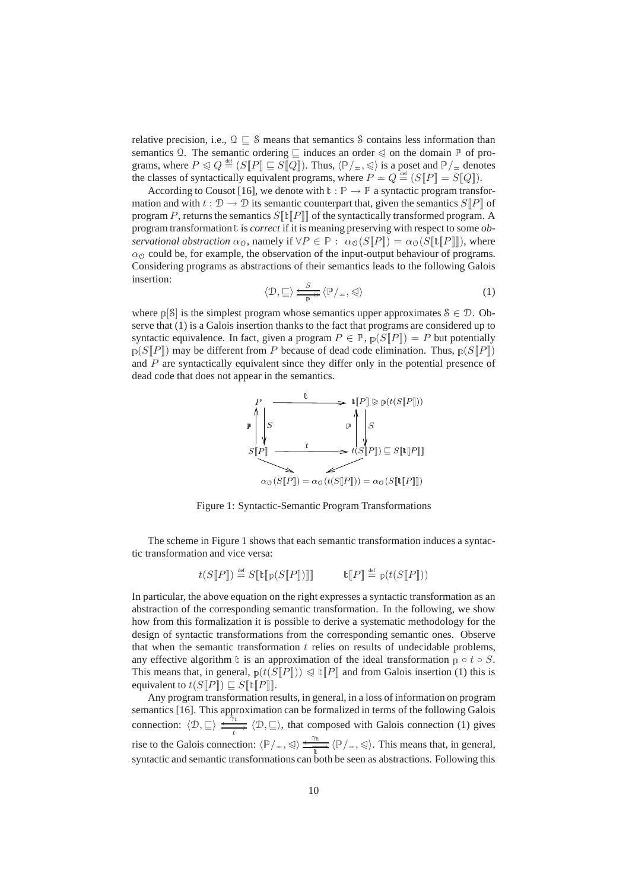relative precision, i.e.,  $\mathcal{Q} \subseteq \mathcal{S}$  means that semantics  $\mathcal{S}$  contains less information than semantics Q. The semantic ordering  $\sqsubseteq$  induces an order  $\triangleleft$  on the domain  $\mathbb P$  of programs, where  $P \triangleleft Q \stackrel{\text{def}}{=} (S[\![P]\!] \sqsubseteq S[\![Q]\!])$ . Thus,  $\langle \mathbb{P}/_{\pm}, \triangleleft \rangle$  is a poset and  $\mathbb{P}/_{\pm}$  denotes the classes of syntactically equivalent programs, where  $P = Q \stackrel{\text{def}}{=} (S[\![P]\!] = S[\![Q]\!]).$ 

According to Cousot [16], we denote with  $\mathbb{t} : \mathbb{P} \to \mathbb{P}$  a syntactic program transformation and with  $t : \mathcal{D} \to \mathcal{D}$  its semantic counterpart that, given the semantics  $S[\![P]\!]$  of program P, returns the semantics  $S[\![\mathbb{E}]\!]$  of the syntactically transformed program. A program transformation  $\mathbf{t}$  is *correct* if it is meaning preserving with respect to some *observational abstraction*  $\alpha_0$ , namely if  $\forall P \in \mathbb{P}$  :  $\alpha_0(S[P]) = \alpha_0(S[\![\mathbb{t}[P]\!]])$ , where  $\alpha_{\mathcal{O}}$  could be, for example, the observation of the input-output behaviour of programs. Considering programs as abstractions of their semantics leads to the following Galois insertion:

$$
\langle \mathcal{D}, \sqsubseteq \rangle \xrightarrow{\mathcal{S}}_{\mathbb{P}} \langle \mathbb{P}/_{\mathbb{H}}, \triangleleft \rangle \tag{1}
$$

where  $p[S]$  is the simplest program whose semantics upper approximates  $S \in \mathcal{D}$ . Observe that (1) is a Galois insertion thanks to the fact that programs are considered up to syntactic equivalence. In fact, given a program  $P \in \mathbb{P}$ ,  $p(S\llbracket P \rrbracket) = P$  but potentially  $p(S||P|)$  may be different from P because of dead code elimination. Thus,  $p(S||P|)$ and  $P$  are syntactically equivalent since they differ only in the potential presence of dead code that does not appear in the semantics.



Figure 1: Syntactic-Semantic Program Transformations

The scheme in Figure 1 shows that each semantic transformation induces a syntactic transformation and vice versa:

$$
t(S[\![P]\!]) \stackrel{\text{def}}{=} S[\![\mathbb{t}[\![p(S[\![P]\!]))]\!]] \qquad \qquad \mathbb{t}[\![P]\!] \stackrel{\text{def}}{=} p(t(S[\![P]\!]))
$$

In particular, the above equation on the right expresses a syntactic transformation as an abstraction of the corresponding semantic transformation. In the following, we show how from this formalization it is possible to derive a systematic methodology for the design of syntactic transformations from the corresponding semantic ones. Observe that when the semantic transformation  $t$  relies on results of undecidable problems, any effective algorithm t is an approximation of the ideal transformation  $p \circ t \circ S$ . This means that, in general,  $p(t(S\llbracket P \rrbracket)) \leq \mathbb{E}\llbracket P \rrbracket$  and from Galois insertion (1) this is equivalent to  $t(S||P|) \subseteq S||\mathbf{t}||P||$ .

Any program transformation results, in general, in a loss of information on program semantics [16]. This approximation can be formalized in terms of the following Galois connection:  $\langle \mathcal{D}, \sqsubseteq \rangle \xrightarrow[t]{\star \uparrow_t} \langle \mathcal{D}, \sqsubseteq \rangle$ , that composed with Galois connection (1) gives rise to the Galois connection:  $\langle \mathbb{P}/_{\pm}, \leq \rangle \xrightarrow[\mathbb{P}]{} \langle \mathbb{P}/_{\pm}, \leq \rangle$ . This means that, in general, syntactic and semantic transformations can both be seen as abstractions. Following this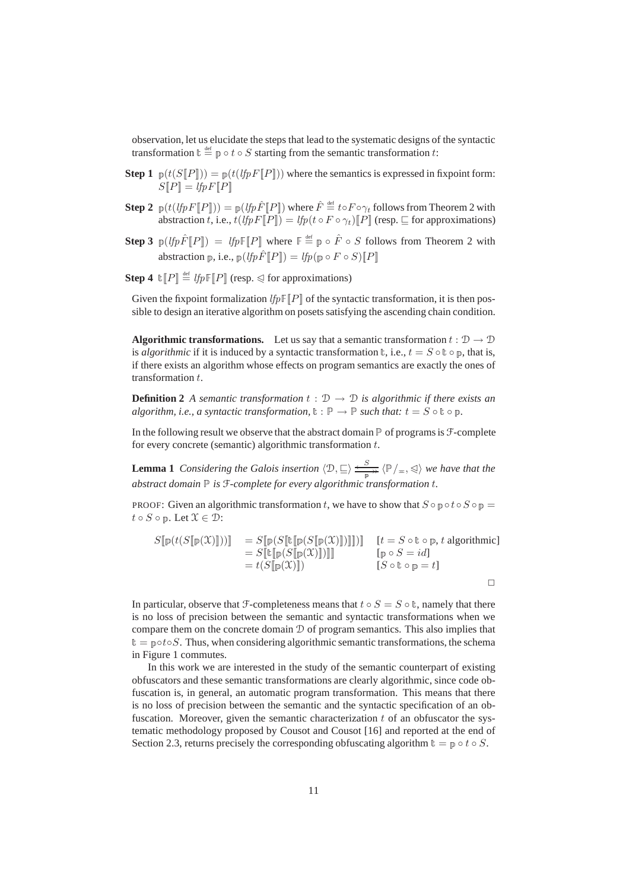observation, let us elucidate the steps that lead to the systematic designs of the syntactic transformation  $\mathbf{t} \stackrel{\text{def}}{=} \mathbf{p} \circ t \circ S$  starting from the semantic transformation t:

- **Step 1**  $p(t(S[\![P]\!])) = p(t(lfpF[\![P]\!]))$  where the semantics is expressed in fixpoint form:  $S[P] = lfpF[P]$
- $\textbf{Step 2 }~_{\mathbb{P}}(t(lfpF[\![P]\!])) = {}_{\mathbb{P}}(lfp\hat{F}[\![P]\!])$  where  $\hat{F} \stackrel{\text{\tiny def}}{=} t \circ F \circ \gamma_t$  follows from Theorem 2 with abstraction t, i.e.,  $t(lfpF\|P\|) = lfp(t \circ F \circ \gamma_t) \|P\|$  (resp.  $\sqsubseteq$  for approximations)
- **Step 3**  $p(lfp\hat{F}[[P]) = lfpF[[P]]$  where  $F \triangleq p \circ \hat{F} \circ S$  follows from Theorem 2 with abstraction p, i.e.,  $p(lfp\hat{F}||P||) = lfp(p \circ F \circ S)||P||$
- **Step 4**  $\mathbb{E}[P] \stackrel{\text{def}}{=} \mathit{lfpF}[P]$  (resp.  $\triangleleft$  for approximations)

Given the fixpoint formalization  $lfp\mathbb{F}[P]$  of the syntactic transformation, it is then possible to design an iterative algorithm on posets satisfying the ascending chain condition.

**Algorithmic transformations.** Let us say that a semantic transformation  $t : \mathcal{D} \to \mathcal{D}$ is *algorithmic* if it is induced by a syntactic transformation  $t$ , i.e.,  $t = S \circ t \circ p$ , that is, if there exists an algorithm whose effects on program semantics are exactly the ones of transformation  $t$ .

**Definition 2** *A semantic transformation*  $t : \mathcal{D} \to \mathcal{D}$  *is algorithmic if there exists an algorithm, i.e., a syntactic transformation,*  $\mathbf{t} : \mathbb{P} \to \mathbb{P}$  *such that:*  $t = S \circ \mathbf{t} \circ \mathbb{p}$ *.* 

In the following result we observe that the abstract domain  $P$  of programs is  $F$ -complete for every concrete (semantic) algorithmic transformation  $t$ .

**Lemma 1** *Considering the Galois insertion*  $\langle \mathcal{D}, \sqsubseteq \rangle \xrightarrow{S} \langle \mathbb{P}/_{\pm}, \triangleleft \rangle$  we have that the *abstract domain* <sup>P</sup> *is* F*-complete for every algorithmic transformation* t*.*

PROOF: Given an algorithmic transformation t, we have to show that  $S \circ \mathbb{D} \circ t \circ S \circ \mathbb{D} =$  $t \circ S \circ \mathbb{D}$ . Let  $\mathcal{X} \in \mathcal{D}$ :

$$
S[\![\mathbb{P}(t(S[\![\mathbb{P}(\mathcal{X})]\!]))\!] = S[\![\mathbb{P}(S[\![\mathbb{E}(\mathbb{P}(S[\![\mathbb{P}(X)]\!]))\!]])\!] = S[\![\mathbb{E}[\![\mathbb{P}(S[\![\mathbb{P}(X)]\!]))\!]]\!] = t(S[\![\mathbb{P}(S[\![\mathbb{P}(X)]\!]))\!] = t(S[\![\mathbb{P}(X)]\!])) = [S \circ \mathbb{E} \circ \mathbb{P} = id]
$$
\n
$$
[S \circ \mathbb{E} \circ \mathbb{P} = t]
$$

In particular, observe that F-completeness means that  $t \circ S = S \circ \mathbb{t}$ , namely that there is no loss of precision between the semantic and syntactic transformations when we compare them on the concrete domain D of program semantics. This also implies that  $t = p \circ t \circ S$ . Thus, when considering algorithmic semantic transformations, the schema in Figure 1 commutes.

In this work we are interested in the study of the semantic counterpart of existing obfuscators and these semantic transformations are clearly algorithmic, since code obfuscation is, in general, an automatic program transformation. This means that there is no loss of precision between the semantic and the syntactic specification of an obfuscation. Moreover, given the semantic characterization  $t$  of an obfuscator the systematic methodology proposed by Cousot and Cousot [16] and reported at the end of Section 2.3, returns precisely the corresponding obfuscating algorithm  $t = p \circ t \circ S$ .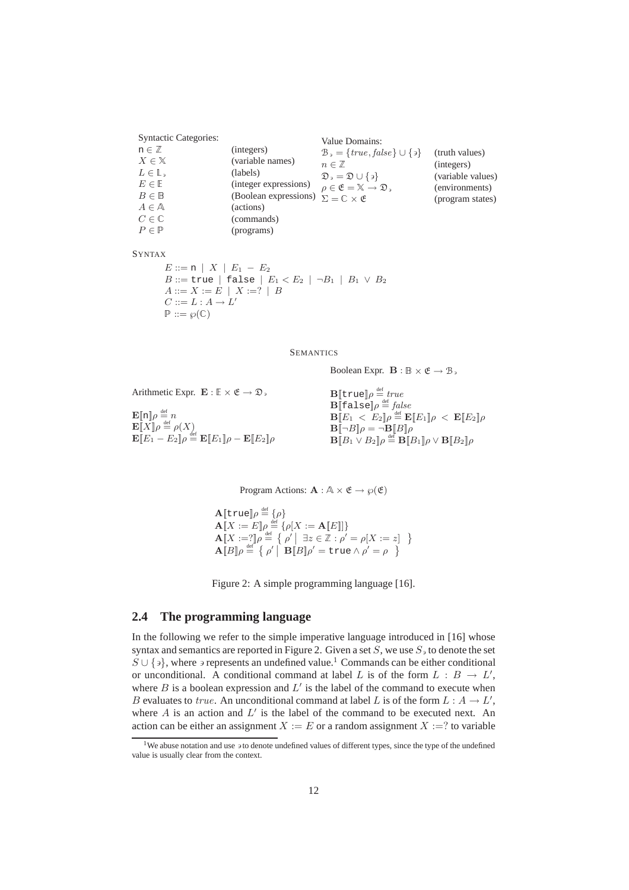| <b>Syntactic Categories:</b> |                       | Value Domains:                                                                       |                   |
|------------------------------|-----------------------|--------------------------------------------------------------------------------------|-------------------|
| $n \in \mathbb{Z}$           | (integers)            | $\mathcal{B}_{\mathcal{P}} = \{ \text{true}, \text{false} \} \cup \{ \mathcal{P} \}$ | (truth values)    |
| $X \in \mathbb{X}$           | (variable names)      | $n \in \mathbb{Z}$                                                                   | (integers)        |
| $L\in\mathbb{L}$ ,           | (labels)              | $\mathfrak{D}_3 = \mathfrak{D} \cup \{3\}$                                           | (variable values) |
| $E \in \mathbb{E}$           | (integer expressions) | $\rho \in \mathfrak{E} = \mathbb{X} \to \mathfrak{D}$ ,                              | (environments)    |
| $B \in \mathbb{B}$           | (Boolean expressions) | $\Sigma = \mathbb{C} \times \mathfrak{E}$                                            | (program states)  |
| $A \in \mathbb{A}$           | (actions)             |                                                                                      |                   |
| $C \in \mathbb{C}$           | (commands)            |                                                                                      |                   |
| $P \in \mathbb{P}$           | (programs)            |                                                                                      |                   |

#### SYNTAX

 $E ::= \texttt{n} \enspace | \enspace X \enspace | \enspace E_1 \enspace - \enspace E_2$  $B ::=$ true | false |  $E_1 < E_2$  |  $\neg B_1$  |  $B_1 \vee B_2$  $A ::= X := E | X :=? | B$  $C ::= L : A \rightarrow L'$  $P ::= \wp(\mathbb{C})$ 

SEMANTICS

Boolean Expr.  $\mathbf{B} : \mathbb{B} \times \mathfrak{E} \to \mathcal{B}$ ,

Arithmetic Expr.  $\mathbf{E} : \mathbb{E} \times \mathfrak{E} \to \mathfrak{D}$ ,

 $\mathbf{E}[\![\mathbf{n}]\!]\rho \stackrel{\text{\tiny def}}{=} n$  $\mathbf{E}[X]$  $\rho \stackrel{\text{def}}{=} \rho(X)$  $\mathbf{E}[\![E_1-E_2]\!]\rho \stackrel{\text{def}}{=} \mathbf{E}[\![E_1]\!]\rho - \mathbf{E}[\![E_2]\!]\rho$ 

 ${\bf B}[\![{\tt true}]\!] \rho \stackrel{\text{\tiny def}}{=} \mathit{true}$  $\mathbf{B} \bar{[\![}$ false $]\![\rho \stackrel{\scriptscriptstyle\rm def}{=} \! \int\! also$  $\mathbf{B} \llbracket E_1 \: < \: E_2 \rrbracket \rho \stackrel{\scriptscriptstyle{\mathsf{def}}}{=} \mathbf{E} \llbracket E_1 \rrbracket \rho \: < \: \mathbf{E} \llbracket E_2 \rrbracket \rho$  $\mathbf{B}$ [ $\neg B$ ] $\rho = \neg \mathbf{B}$ [ $B$ ] $\rho$  $\mathbf{B} \llbracket B_1 \vee B_2 \rrbracket \rho \stackrel{\textup{def}}{=} \mathbf{B} \llbracket B_1 \rrbracket \rho \vee \mathbf{B} \llbracket B_2 \rrbracket \rho$ 

Program Actions:  $\mathbf{A} : \mathbb{A} \times \mathfrak{E} \to \wp(\mathfrak{E})$ 

 $\mathbf{A}$ [true] $\rho \stackrel{\text{\tiny def}}{=} \{\rho\}$  $\mathbf{A}\llbracket X := E \rrbracket \rho \stackrel{\text{def}}{=} \{ \rho[X := \mathbf{A}\llbracket E \rrbracket] \}$  $\mathbf{A}[\![X]:=]\!] \rho \stackrel{\text{def}}{=} \left\{ \rho' \middle| \exists z \in \mathbb{Z} : \rho' = \rho[X:=z] \right\}$  $\mathbf{A}$ [ $B$ ] $\rho \stackrel{\text{def}}{=} {\rho' | \mathbf{B}[B] \rho' = \text{true} \wedge \rho' = \rho}$ 

Figure 2: A simple programming language [16].

### **2.4 The programming language**

In the following we refer to the simple imperative language introduced in [16] whose syntax and semantics are reported in Figure 2. Given a set  $S$ , we use  $S_3$  to denote the set  $S \cup \{a\}$ , where  $\alpha$  represents an undefined value.<sup>1</sup> Commands can be either conditional or unconditional. A conditional command at label L is of the form  $L : B \to L'$ , where  $B$  is a boolean expression and  $L'$  is the label of the command to execute when B evaluates to true. An unconditional command at label L is of the form  $L : A \to L'$ , where  $A$  is an action and  $L'$  is the label of the command to be executed next. An action can be either an assignment  $X := E$  or a random assignment  $X := ?$  to variable

<sup>&</sup>lt;sup>1</sup>We abuse notation and use  $\frac{1}{2}$  to denote undefined values of different types, since the type of the undefined value is usually clear from the context.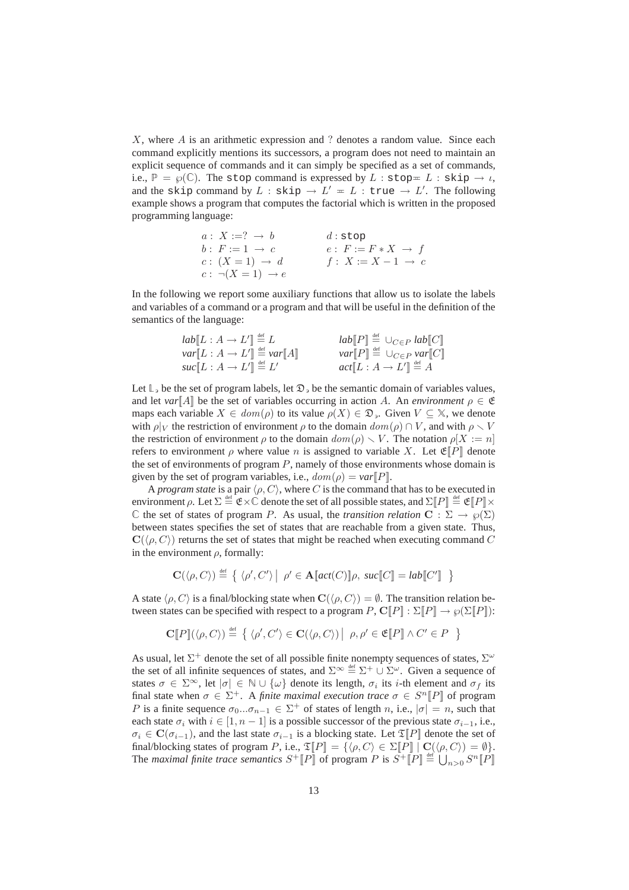$X$ , where  $A$  is an arithmetic expression and ? denotes a random value. Since each command explicitly mentions its successors, a program does not need to maintain an explicit sequence of commands and it can simply be specified as a set of commands, i.e.,  $\mathbb{P} = \varphi(\mathbb{C})$ . The stop command is expressed by  $L : \text{stop} = L : \text{skip} \to \iota$ , and the skip command by  $L:$  skip  $\rightarrow$   $L' = L:$  true  $\rightarrow$   $L'.$  The following example shows a program that computes the factorial which is written in the proposed programming language:

> $a: X := ? \rightarrow b$  d:stop  $b: F := 1 \rightarrow c$   $e: F := F * X \rightarrow f$  $c: (X = 1) \rightarrow d$   $f: X := X - 1 \rightarrow c$  $c : \neg(X = 1) \rightarrow e$

In the following we report some auxiliary functions that allow us to isolate the labels and variables of a command or a program and that will be useful in the definition of the semantics of the language:

| $lab(L : A \rightarrow L'] \stackrel{\text{def}}{=} L$      | $lab[\![P]\!] \stackrel{\text{def}}{=} \cup_{C \in P} lab[\![C]\!]$ |
|-------------------------------------------------------------|---------------------------------------------------------------------|
| $var[L : A \rightarrow L'] \stackrel{\text{def}}{=} var[A]$ | $var[P] \triangleq \cup_{C \in P} var[C]$                           |
| $suc[[L:A\rightarrow L']] \stackrel{\text{def}}{=} L'$      | $act[L: A \rightarrow L'] \stackrel{\text{def}}{=} A$               |

Let  $\mathbb{L}$ , be the set of program labels, let  $\mathfrak{D}$ , be the semantic domain of variables values, and let  $var[A]$  be the set of variables occurring in action A. An *environment*  $\rho \in \mathfrak{E}$ maps each variable  $X \in dom(\rho)$  to its value  $\rho(X) \in \mathfrak{D}_{\rho}$ . Given  $V \subseteq \mathbb{X}$ , we denote with  $\rho|_V$  the restriction of environment  $\rho$  to the domain  $dom(\rho) \cap V$ , and with  $\rho \setminus V$ the restriction of environment  $\rho$  to the domain  $dom(\rho) \setminus V$ . The notation  $\rho[X] := n$ ] refers to environment  $\rho$  where value n is assigned to variable X. Let  $\mathfrak{E}[P]$  denote the set of environments of program  $P$ , namely of those environments whose domain is given by the set of program variables, i.e.,  $dom(\rho) = var[P]$ .

A *program state* is a pair  $\langle \rho, C \rangle$ , where C is the command that has to be executed in environment  $\rho$ . Let  $\Sigma \stackrel{\text{\tiny def}}{=} \mathfrak{E} \times \mathbb{C}$  denote the set of all possible states, and  $\Sigma[\![P]\!] \stackrel{\text{\tiny def}}{=} \mathfrak{E}[\![P]\!] \times$ C the set of states of program P. As usual, the *transition relation*  $C : \Sigma \to \wp(\Sigma)$ between states specifies the set of states that are reachable from a given state. Thus,  $\mathbf{C}(\langle \rho, C \rangle)$  returns the set of states that might be reached when executing command C in the environment  $\rho$ , formally:

$$
\mathbf{C}(\langle \rho, C \rangle) \stackrel{\text{def}}{=} \left\{ \langle \rho', C' \rangle \big| \rho' \in \mathbf{A}[\![act(C)]\!] \rho, \; suc[\![C]\!] = lab[\![C']\!] \right\}
$$

A state  $\langle \rho, C \rangle$  is a final/blocking state when  $\mathbf{C}(\langle \rho, C \rangle) = \emptyset$ . The transition relation between states can be specified with respect to a program  $P$ ,  $\mathbb{C}[[P]] : \Sigma[[P]] \to \wp(\Sigma[[P]])$ :

$$
\mathbf{C}[P](\langle \rho, C \rangle) \stackrel{\text{def}}{=} \{ \langle \rho', C' \rangle \in \mathbf{C}(\langle \rho, C \rangle) | \rho, \rho' \in \mathfrak{E}[P] \land C' \in P \}
$$

As usual, let  $\Sigma^+$  denote the set of all possible finite nonempty sequences of states,  $\Sigma^\omega$ the set of all infinite sequences of states, and  $\Sigma^{\infty} \stackrel{\text{def}}{=} \Sigma^{+} \cup \Sigma^{\omega}$ . Given a sequence of states  $\sigma \in \Sigma^{\infty}$ , let  $|\sigma| \in \mathbb{N} \cup \{\omega\}$  denote its length,  $\sigma_i$  its *i*-th element and  $\sigma_f$  its final state when  $\sigma \in \Sigma^+$ . A *finite maximal execution trace*  $\sigma \in S^n[[P]]$  of program P is a finite sequence  $\sigma_0...\sigma_{n-1} \in \Sigma^+$  of states of length n, i.e.,  $|\sigma| = n$ , such that each state  $\sigma_i$  with  $i \in [1, n-1]$  is a possible successor of the previous state  $\sigma_{i-1}$ , i.e.,  $\sigma_i \in \mathbf{C}(\sigma_{i-1})$ , and the last state  $\sigma_{i-1}$  is a blocking state. Let  $\mathfrak{T}[P]$  denote the set of final/blocking states of program P, i.e.,  $\mathfrak{T}[P] = {\lbrace \phi, C \rangle \in \Sigma[\bar{P}] \mid \mathbf{C}(\langle \rho, C \rangle) = \emptyset }$ . The *maximal finite trace semantics*  $S^+[\![P]\!]$  of program P is  $S^+[\![P]\!] \triangleq \bigcup_{n>0} S^n[\![P]\!]$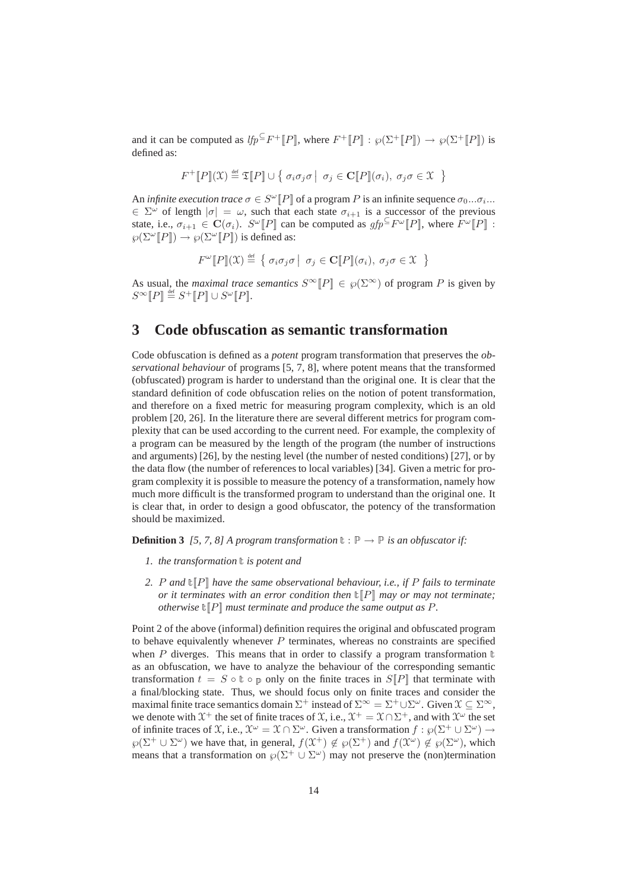and it can be computed as  $lfp \subseteq F^+[[P]]$ , where  $F^+[[P]] : \wp(\Sigma^+[[P]]) \to \wp(\Sigma^+[[P]])$  is defined as:

$$
F^+[\![P]\!](\mathfrak{X}) \stackrel{\text{def}}{=} \mathfrak{T}[\![P]\!] \cup \{ \sigma_i \sigma_j \sigma \mid \sigma_j \in \mathbf{C}[\![P]\!](\sigma_i), \sigma_j \sigma \in \mathfrak{X} \}
$$

An *infinite execution trace*  $\sigma \in S^{\omega}[[P]]$  of a program P is an infinite sequence  $\sigma_0...\sigma_i...$  $\in \Sigma^{\omega}$  of length  $|\sigma| = \omega$ , such that each state  $\sigma_{i+1}$  is a successor of the previous state, i.e.,  $\sigma_{i+1} \in \mathbf{C}(\sigma_i)$ .  $S^{\omega}[[P]]$  can be computed as  $gfp^{\subseteq}F^{\omega}[[P]]$ , where  $F^{\omega}[[P]]$ :  $\wp(\Sigma^{\omega}[\![P]\!]) \to \wp(\Sigma^{\omega}[\![P]\!])$  is defined as:

$$
F^{\omega}[\![P]\!](\mathfrak{X}) \stackrel{\text{def}}{=} \{ \sigma_i \sigma_j \sigma \mid \sigma_j \in \mathbf{C}[\![P]\!](\sigma_i), \sigma_j \sigma \in \mathfrak{X} \}
$$

As usual, the *maximal trace semantics*  $S^{\infty}[[P]] \in \wp(\Sigma^{\infty})$  of program P is given by  $S^{\infty}[\![P]\!] \stackrel{\text{def}}{=} S^{+}[\![P]\!] \cup S^{\omega}[\![P]\!]$ .

## **3 Code obfuscation as semantic transformation**

Code obfuscation is defined as a *potent* program transformation that preserves the *observational behaviour* of programs [5, 7, 8], where potent means that the transformed (obfuscated) program is harder to understand than the original one. It is clear that the standard definition of code obfuscation relies on the notion of potent transformation, and therefore on a fixed metric for measuring program complexity, which is an old problem [20, 26]. In the literature there are several different metrics for program complexity that can be used according to the current need. For example, the complexity of a program can be measured by the length of the program (the number of instructions and arguments) [26], by the nesting level (the number of nested conditions) [27], or by the data flow (the number of references to local variables) [34]. Given a metric for program complexity it is possible to measure the potency of a transformation, namely how much more difficult is the transformed program to understand than the original one. It is clear that, in order to design a good obfuscator, the potency of the transformation should be maximized.

**Definition 3** *[5, 7, 8] A program transformation*  $\mathbf{t} : \mathbb{P} \to \mathbb{P}$  *is an obfuscator if:* 

- 1. the transformation  $\mathbf t$  is potent and
- *2.* P *and* <sup>t</sup>[[P]] *have the same observational behaviour, i.e., if* P *fails to terminate or it terminates with an error condition then*  $\mathbb{E}[P]$  *may or may not terminate; otherwise*  $\mathbb{E}[P]$  *must terminate and produce the same output as*  $P$ *.*

Point 2 of the above (informal) definition requires the original and obfuscated program to behave equivalently whenever  $P$  terminates, whereas no constraints are specified when P diverges. This means that in order to classify a program transformation  $\mathbb{t}$ as an obfuscation, we have to analyze the behaviour of the corresponding semantic transformation  $t = S \circ \mathbb{t} \circ \mathbb{p}$  only on the finite traces in  $S[\![P]\!]$  that terminate with a final/blocking state. Thus, we should focus only on finite traces and consider the maximal finite trace semantics domain  $\Sigma^+$  instead of  $\Sigma^{\infty} = \Sigma^+ \cup \Sigma^{\omega}$ . Given  $\mathfrak{X} \subseteq \Sigma^{\infty}$ , we denote with  $\mathfrak{X}^+$  the set of finite traces of  $\mathfrak{X}$ , i.e.,  $\mathfrak{X}^+ = \mathfrak{X} \cap \Sigma^+$ , and with  $\mathfrak{X}^\omega$  the set of infinite traces of  $\mathfrak X$ , i.e.,  $\mathfrak X^{\omega} = \mathfrak X \cap \Sigma^{\omega}$ . Given a transformation  $f : \wp(\Sigma^+ \cup \Sigma^{\omega}) \to$  $\wp(\Sigma^+ \cup \Sigma^\omega)$  we have that, in general,  $f(\mathfrak{X}^+) \notin \wp(\Sigma^+)$  and  $f(\mathfrak{X}^\omega) \notin \wp(\Sigma^\omega)$ , which means that a transformation on  $\wp(\Sigma^+ \cup \Sigma^{\omega})$  may not preserve the (non)termination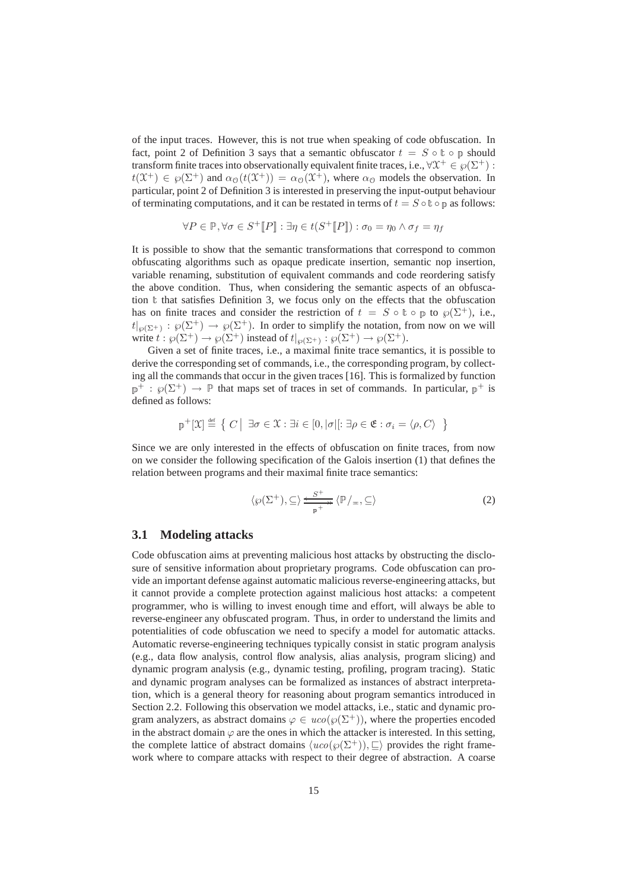of the input traces. However, this is not true when speaking of code obfuscation. In fact, point 2 of Definition 3 says that a semantic obfuscator  $t = S \circ \mathbb{t} \circ \mathbb{p}$  should transform finite traces into observationally equivalent finite traces, i.e.,  $\forall \mathfrak{X}^+ \in \wp(\Sigma^+)$ :  $t(\mathfrak{X}^+) \in \wp(\Sigma^+)$  and  $\alpha_0(t(\mathfrak{X}^+)) = \alpha_0(\mathfrak{X}^+)$ , where  $\alpha_0$  models the observation. In particular, point 2 of Definition 3 is interested in preserving the input-output behaviour of terminating computations, and it can be restated in terms of  $t = S \circ \mathbb{t} \circ \mathbb{p}$  as follows:

$$
\forall P \in \mathbb{P}, \forall \sigma \in S^+[\![P]\!]: \exists \eta \in t(S^+[\![P]\!]): \sigma_0 = \eta_0 \wedge \sigma_f = \eta_f
$$

It is possible to show that the semantic transformations that correspond to common obfuscating algorithms such as opaque predicate insertion, semantic nop insertion, variable renaming, substitution of equivalent commands and code reordering satisfy the above condition. Thus, when considering the semantic aspects of an obfuscation  $t$  that satisfies Definition 3, we focus only on the effects that the obfuscation has on finite traces and consider the restriction of  $t = S \circ \mathbb{t} \circ \mathbb{p}$  to  $\wp(\Sigma^+)$ , i.e.,  $t|_{\wp(\Sigma^+)} : \wp(\Sigma^+) \to \wp(\Sigma^+)$ . In order to simplify the notation, from now on we will write  $t : \wp(\Sigma^+) \to \wp(\Sigma^+)$  instead of  $t|_{\wp(\Sigma^+)} : \wp(\Sigma^+) \to \wp(\Sigma^+)$ .

Given a set of finite traces, i.e., a maximal finite trace semantics, it is possible to derive the corresponding set of commands, i.e., the corresponding program, by collecting all the commands that occur in the given traces [16]. This is formalized by function  $p^+ : \varphi(\Sigma^+) \to \mathbb{P}$  that maps set of traces in set of commands. In particular,  $p^+$  is defined as follows:

$$
\mathbb{P}^+[\mathfrak{X}] \stackrel{\text{def}}{=} \left\{ C \mid \exists \sigma \in \mathfrak{X} : \exists i \in [0, |\sigma|[:\exists \rho \in \mathfrak{E} : \sigma_i = \langle \rho, C \rangle \right\}
$$

Since we are only interested in the effects of obfuscation on finite traces, from now on we consider the following specification of the Galois insertion (1) that defines the relation between programs and their maximal finite trace semantics:

$$
\langle \wp(\Sigma^+), \subseteq \rangle \xrightarrow{\varepsilon^{-+}} \langle \mathbb{P}/_{\pm}, \subseteq \rangle \tag{2}
$$

#### **3.1 Modeling attacks**

Code obfuscation aims at preventing malicious host attacks by obstructing the disclosure of sensitive information about proprietary programs. Code obfuscation can provide an important defense against automatic malicious reverse-engineering attacks, but it cannot provide a complete protection against malicious host attacks: a competent programmer, who is willing to invest enough time and effort, will always be able to reverse-engineer any obfuscated program. Thus, in order to understand the limits and potentialities of code obfuscation we need to specify a model for automatic attacks. Automatic reverse-engineering techniques typically consist in static program analysis (e.g., data flow analysis, control flow analysis, alias analysis, program slicing) and dynamic program analysis (e.g., dynamic testing, profiling, program tracing). Static and dynamic program analyses can be formalized as instances of abstract interpretation, which is a general theory for reasoning about program semantics introduced in Section 2.2. Following this observation we model attacks, i.e., static and dynamic program analyzers, as abstract domains  $\varphi \in uco(\varphi(\Sigma^+))$ , where the properties encoded in the abstract domain  $\varphi$  are the ones in which the attacker is interested. In this setting, the complete lattice of abstract domains  $\langle u\text{co}(\wp(\Sigma^+)), \sqsubseteq \rangle$  provides the right framework where to compare attacks with respect to their degree of abstraction. A coarse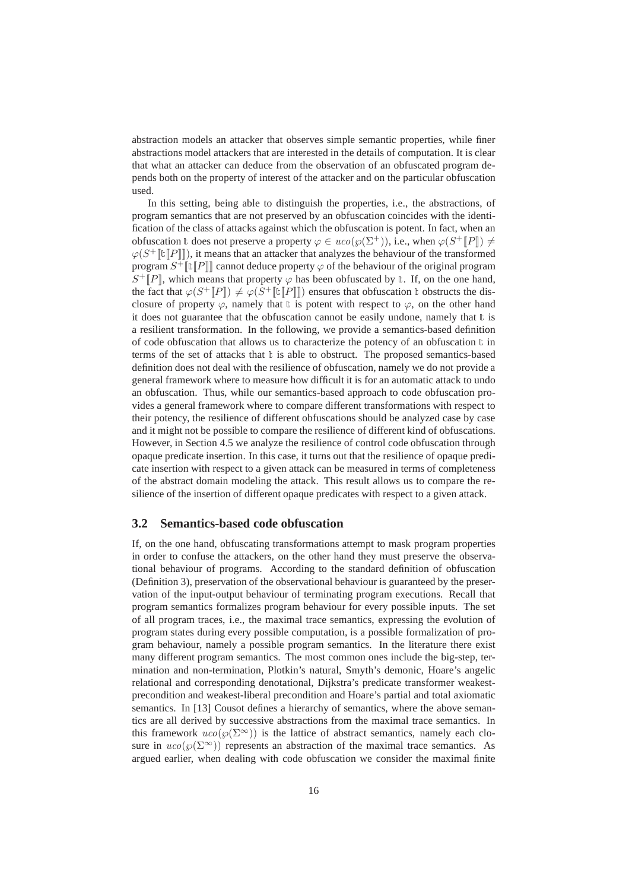abstraction models an attacker that observes simple semantic properties, while finer abstractions model attackers that are interested in the details of computation. It is clear that what an attacker can deduce from the observation of an obfuscated program depends both on the property of interest of the attacker and on the particular obfuscation used.

In this setting, being able to distinguish the properties, i.e., the abstractions, of program semantics that are not preserved by an obfuscation coincides with the identification of the class of attacks against which the obfuscation is potent. In fact, when an obfuscation t does not preserve a property  $\varphi \in uco(\varphi(\Sigma^+))$ , i.e., when  $\varphi(S^+[[P]]) \neq$  $\varphi(S^+[\![\mathbf{t}[P]\!]])$ , it means that an attacker that analyzes the behaviour of the transformed program  $S^+[\![\mathbf{t}][\![P]\!]]$  cannot deduce property  $\varphi$  of the behaviour of the original program  $S^+[P]$ , which means that property  $\varphi$  has been obfuscated by  $\ell$ . If, on the one hand, the fact that  $\varphi(S^+[[P]]) \neq \varphi(S^+[[T[[P]]])$  ensures that obfuscation t obstructs the disclosure of property  $\varphi$ , namely that t is potent with respect to  $\varphi$ , on the other hand it does not guarantee that the obfuscation cannot be easily undone, namely that  $\mathbb{t}$  is a resilient transformation. In the following, we provide a semantics-based definition of code obfuscation that allows us to characterize the potency of an obfuscation  $t$  in terms of the set of attacks that  $\mathbf{t}$  is able to obstruct. The proposed semantics-based definition does not deal with the resilience of obfuscation, namely we do not provide a general framework where to measure how difficult it is for an automatic attack to undo an obfuscation. Thus, while our semantics-based approach to code obfuscation provides a general framework where to compare different transformations with respect to their potency, the resilience of different obfuscations should be analyzed case by case and it might not be possible to compare the resilience of different kind of obfuscations. However, in Section 4.5 we analyze the resilience of control code obfuscation through opaque predicate insertion. In this case, it turns out that the resilience of opaque predicate insertion with respect to a given attack can be measured in terms of completeness of the abstract domain modeling the attack. This result allows us to compare the resilience of the insertion of different opaque predicates with respect to a given attack.

#### **3.2 Semantics-based code obfuscation**

If, on the one hand, obfuscating transformations attempt to mask program properties in order to confuse the attackers, on the other hand they must preserve the observational behaviour of programs. According to the standard definition of obfuscation (Definition 3), preservation of the observational behaviour is guaranteed by the preservation of the input-output behaviour of terminating program executions. Recall that program semantics formalizes program behaviour for every possible inputs. The set of all program traces, i.e., the maximal trace semantics, expressing the evolution of program states during every possible computation, is a possible formalization of program behaviour, namely a possible program semantics. In the literature there exist many different program semantics. The most common ones include the big-step, termination and non-termination, Plotkin's natural, Smyth's demonic, Hoare's angelic relational and corresponding denotational, Dijkstra's predicate transformer weakestprecondition and weakest-liberal precondition and Hoare's partial and total axiomatic semantics. In [13] Cousot defines a hierarchy of semantics, where the above semantics are all derived by successive abstractions from the maximal trace semantics. In this framework  $uco(\wp(\Sigma^{\infty}))$  is the lattice of abstract semantics, namely each closure in  $uco(\wp(\Sigma^{\infty}))$  represents an abstraction of the maximal trace semantics. As argued earlier, when dealing with code obfuscation we consider the maximal finite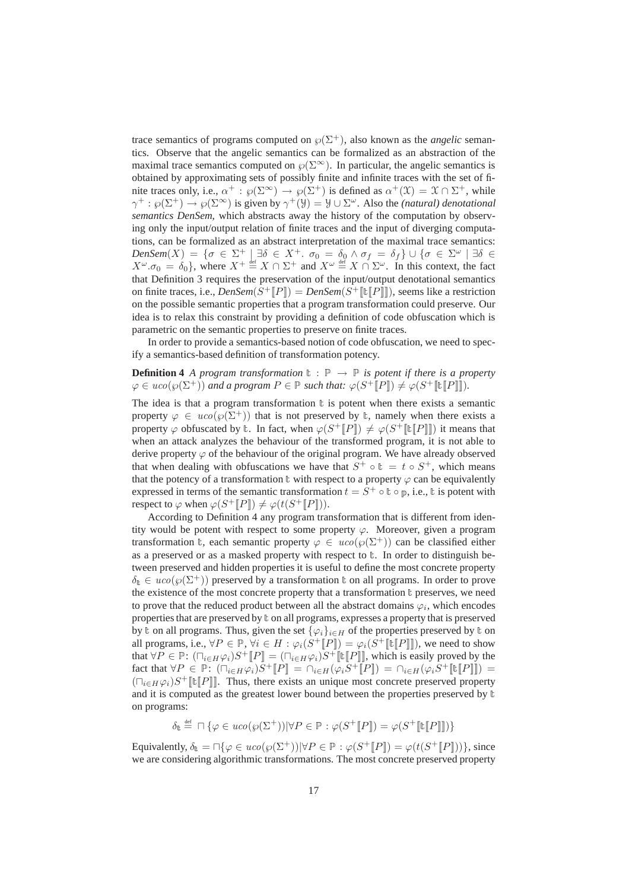trace semantics of programs computed on  $\wp(\Sigma^+)$ , also known as the *angelic* semantics. Observe that the angelic semantics can be formalized as an abstraction of the maximal trace semantics computed on  $\varphi(\Sigma^{\infty})$ . In particular, the angelic semantics is obtained by approximating sets of possibly finite and infinite traces with the set of finite traces only, i.e.,  $\alpha^+ : \wp(\Sigma^{\infty}) \to \wp(\Sigma^+)$  is defined as  $\alpha^+(\mathfrak{X}) = \mathfrak{X} \cap \Sigma^+$ , while  $\gamma^+ : \wp(\Sigma^+) \to \wp(\Sigma^{\infty})$  is given by  $\gamma^+(\mathcal{Y}) = \mathcal{Y} \cup \Sigma^{\omega}$ . Also the *(natural) denotational semantics DenSem*, which abstracts away the history of the computation by observing only the input/output relation of finite traces and the input of diverging computations, can be formalized as an abstract interpretation of the maximal trace semantics:  $DenSem(X) = \{ \sigma \in \Sigma^+ \mid \exists \delta \in X^+ \ldotp \sigma_0 = \delta_0 \wedge \sigma_f = \delta_f \} \cup \{ \sigma \in \Sigma^\omega \mid \exists \delta \in \Sigma^\omega \}$  $X^{\omega}$ . $\sigma_0 = \delta_0$ , where  $X^+ \stackrel{\text{def}}{=} X \cap \Sigma^+$  and  $X^{\omega} \stackrel{\text{def}}{=} X \cap \Sigma^{\omega}$ . In this context, the fact that Definition 3 requires the preservation of the input/output denotational semantics on finite traces, i.e.,  $DenSem(S^{\dagger}[P]) = DenSem(S^{\dagger}[E][P]])$ , seems like a restriction on the possible semantic properties that a program transformation could preserve. Our idea is to relax this constraint by providing a definition of code obfuscation which is parametric on the semantic properties to preserve on finite traces.

In order to provide a semantics-based notion of code obfuscation, we need to specify a semantics-based definition of transformation potency.

**Definition 4** *A program transformation*  $\mathbf{t} : \mathbb{P} \to \mathbb{P}$  *is potent if there is a property*  $\varphi \in uco(\varphi(\Sigma^+))$  and a program  $P \in \mathbb{P}$  such that:  $\varphi(S^+[\![P]\!]) \neq \varphi(S^+[\![\mathbb{t}[\![P]\!]]).$ 

The idea is that a program transformation  $\mathbb{t}$  is potent when there exists a semantic property  $\varphi \in uco(\varphi(\Sigma^+))$  that is not preserved by t, namely when there exists a property  $\varphi$  obfuscated by  $\ell$ . In fact, when  $\varphi(S^+[[P]]) \neq \varphi(S^+[[\ell[[P]]])$  it means that when an attack analyzes the behaviour of the transformed program, it is not able to derive property  $\varphi$  of the behaviour of the original program. We have already observed that when dealing with obfuscations we have that  $S^+ \circ \mathbb{t} = t \circ S^+$ , which means that the potency of a transformation  $t$  with respect to a property  $\varphi$  can be equivalently expressed in terms of the semantic transformation  $t = S^+ \circ \mathbb{t} \circ \mathbb{p}$ , i.e.,  $\mathbb{t}$  is potent with respect to  $\varphi$  when  $\varphi(S^+[\![P]\!]) \neq \varphi(t(S^+[\![P]\!]))$ .

According to Definition 4 any program transformation that is different from identity would be potent with respect to some property  $\varphi$ . Moreover, given a program transformation t, each semantic property  $\varphi \in uco(\varphi(\Sigma^+))$  can be classified either as a preserved or as a masked property with respect to  $\mathbb{t}$ . In order to distinguish between preserved and hidden properties it is useful to define the most concrete property  $\delta_{\mathbb{t}} \in uco(\varphi(\Sigma^+))$  preserved by a transformation  $\mathbb{t}$  on all programs. In order to prove the existence of the most concrete property that a transformation  $\mathbf t$  preserves, we need to prove that the reduced product between all the abstract domains  $\varphi_i$ , which encodes properties that are preserved by  $\text{t}$  on all programs, expresses a property that is preserved by t on all programs. Thus, given the set  $\{\varphi_i\}_{i\in H}$  of the properties preserved by t on all programs, i.e.,  $\forall P \in \mathbb{P}, \forall i \in H : \varphi_i(S^+[\![P]\!]) = \varphi_i(S^+[\![\mathbb{t}[P]\!]])$ , we need to show that  $\forall P \in \mathbb{P}$ :  $(\bigcap_{i \in H} \varphi_i) S^+ [\![P]\!] = (\bigcap_{i \in H} \varphi_i) S^+ [\![\mathbb{E}[\![P]\!] ]$ , which is easily proved by the fact that  $\forall P \in \mathbb{P}$ :  $(\bigcap_{i \in H} \varphi_i)S^+[\![P]\!] = \bigcap_{i \in H} (\varphi_i S^+[\![P]\!] ) = \bigcap_{i \in H} (\varphi_i S^+[\![P]\!] ] ) =$  $(\Box_{i\in H}\varphi_i)S^+[\![\mathbf{t}[P]\!]$ . Thus, there exists an unique most concrete preserved property and it is computed as the greatest lower bound between the properties preserved by <sup>t</sup> on programs:

$$
\delta_{\mathbb{t}} \stackrel{\text{def}}{=} \square \{ \varphi \in uco(\varphi(\Sigma^+)) | \forall P \in \mathbb{P} : \varphi(S^+[\![P]\!]) = \varphi(S^+[\![\mathbb{t}[\![P]\!]]) \}
$$

Equivalently,  $\delta_{\mathbb{t}} = \bigcap \{ \varphi \in uco(\varphi(\Sigma^+)) | \forall P \in \mathbb{P} : \varphi(S^+[\![P]\!]) = \varphi(t(S^+[\![P]\!])) \},$  since we are considering algorithmic transformations. The most concrete preserved property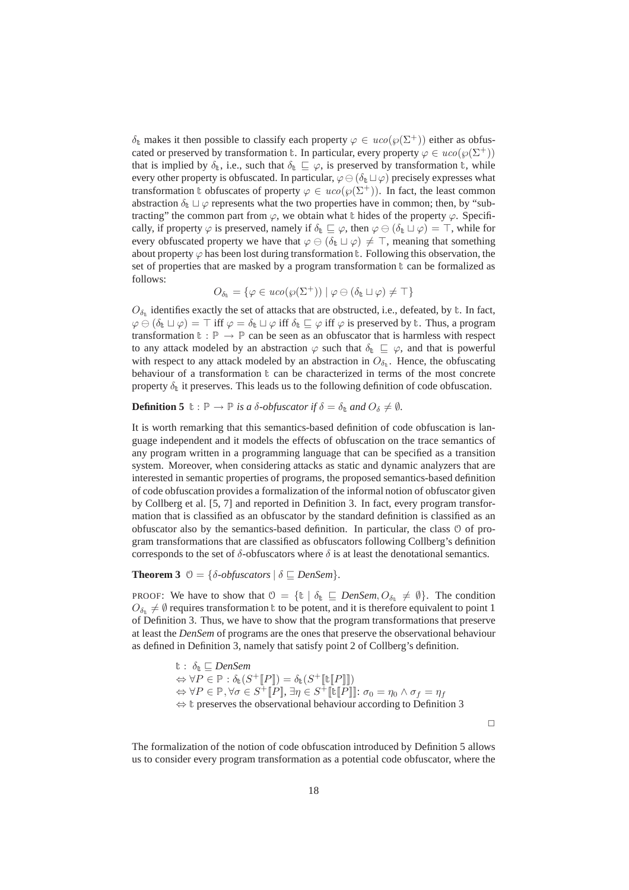$\delta_{t}$  makes it then possible to classify each property  $\varphi \in uco(\varphi(\Sigma^{+}))$  either as obfuscated or preserved by transformation t. In particular, every property  $\varphi \in u \text{co}(\varphi(\Sigma^+))$ that is implied by  $\delta_{\text{t}}$ , i.e., such that  $\delta_{\text{t}} \subseteq \varphi$ , is preserved by transformation  $\text{t}$ , while every other property is obfuscated. In particular,  $\varphi \ominus (\delta_{t} \sqcup \varphi)$  precisely expresses what transformation t obfuscates of property  $\varphi \in uco(\varphi(\Sigma^+))$ . In fact, the least common abstraction  $\delta_{\text{t}} \sqcup \varphi$  represents what the two properties have in common; then, by "subtracting" the common part from  $\varphi$ , we obtain what t hides of the property  $\varphi$ . Specifically, if property  $\varphi$  is preserved, namely if  $\delta_{\mathbb{t}} \sqsubseteq \varphi$ , then  $\varphi \ominus (\delta_{\mathbb{t}} \sqcup \varphi) = \top$ , while for every obfuscated property we have that  $\varphi \ominus (\delta_{\mathbb{t}} \sqcup \varphi) \neq \top$ , meaning that something about property  $\varphi$  has been lost during transformation t. Following this observation, the set of properties that are masked by a program transformation  $\mathbf{t}$  can be formalized as follows:

$$
O_{\delta_{\mathbb{t}}} = \{ \varphi \in uco(\wp(\Sigma^{+})) \mid \varphi \ominus (\delta_{\mathbb{t}} \sqcup \varphi) \neq \top \}
$$

 $O_{\delta_t}$  identifies exactly the set of attacks that are obstructed, i.e., defeated, by  $\mathbf{t}$ . In fact,  $\varphi \ominus (\delta_{\mathsf{t}} \sqcup \varphi) = \top$  iff  $\varphi = \delta_{\mathsf{t}} \sqcup \varphi$  iff  $\delta_{\mathsf{t}} \sqsubseteq \varphi$  iff  $\varphi$  is preserved by  $\mathsf{t}$ . Thus, a program transformation  $\mathbf{t} : \mathbb{P} \to \mathbb{P}$  can be seen as an obfuscator that is harmless with respect to any attack modeled by an abstraction  $\varphi$  such that  $\delta_{\ell} \subseteq \varphi$ , and that is powerful with respect to any attack modeled by an abstraction in  $O_{\delta_{\text{t}}}$ . Hence, the obfuscating behaviour of a transformation  $\mathbf{t}$  can be characterized in terms of the most concrete property  $\delta_{\rm t}$  it preserves. This leads us to the following definition of code obfuscation.

#### **Definition 5**  $\mathbf{t} : \mathbb{P} \to \mathbb{P}$  *is a*  $\delta$ *-obfuscator if*  $\delta = \delta_{\mathbf{t}}$  *and*  $O_{\delta} \neq \emptyset$ *.*

It is worth remarking that this semantics-based definition of code obfuscation is language independent and it models the effects of obfuscation on the trace semantics of any program written in a programming language that can be specified as a transition system. Moreover, when considering attacks as static and dynamic analyzers that are interested in semantic properties of programs, the proposed semantics-based definition of code obfuscation provides a formalization of the informal notion of obfuscator given by Collberg et al. [5, 7] and reported in Definition 3. In fact, every program transformation that is classified as an obfuscator by the standard definition is classified as an obfuscator also by the semantics-based definition. In particular, the class  $\theta$  of program transformations that are classified as obfuscators following Collberg's definition corresponds to the set of  $\delta$ -obfuscators where  $\delta$  is at least the denotational semantics.

#### **Theorem 3**  $\varnothing = {\delta \text{-}obfuscators} \mid \delta \sqsubseteq DenSem$ }.

PROOF: We have to show that  $\mathcal{O} = \{ \mathbb{t} \mid \delta_{\mathbb{t}} \subseteq \text{DenSem}, O_{\delta_{\mathbb{t}}} \neq \emptyset \}$ . The condition  $O_{\delta_{\varepsilon}} \neq \emptyset$  requires transformation t to be potent, and it is therefore equivalent to point 1 of Definition 3. Thus, we have to show that the program transformations that preserve at least the *DenSem* of programs are the ones that preserve the observational behaviour as defined in Definition 3, namely that satisfy point 2 of Collberg's definition.

$$
E : \delta_{E} \subseteq DenSem
$$
  
\n
$$
∀P ∈ P : \delta_{E}(S^{+}[P]) = \delta_{E}(S^{+}[E[P]])
$$
  
\n
$$
∀P ∈ P, ∀σ ∈ S^{+}[P], \exists η ∈ S^{+}[E[P]]: σ0 = η0 ∧ σf = ηf\n
$$
∀P ∈ P, ∀σ ∈ S^{+}[P], \exists η ∈ S^{+}[E[P]]: σ0 = η0 ∧ σf = ηf
$$
$$

 $\Box$ 

The formalization of the notion of code obfuscation introduced by Definition 5 allows us to consider every program transformation as a potential code obfuscator, where the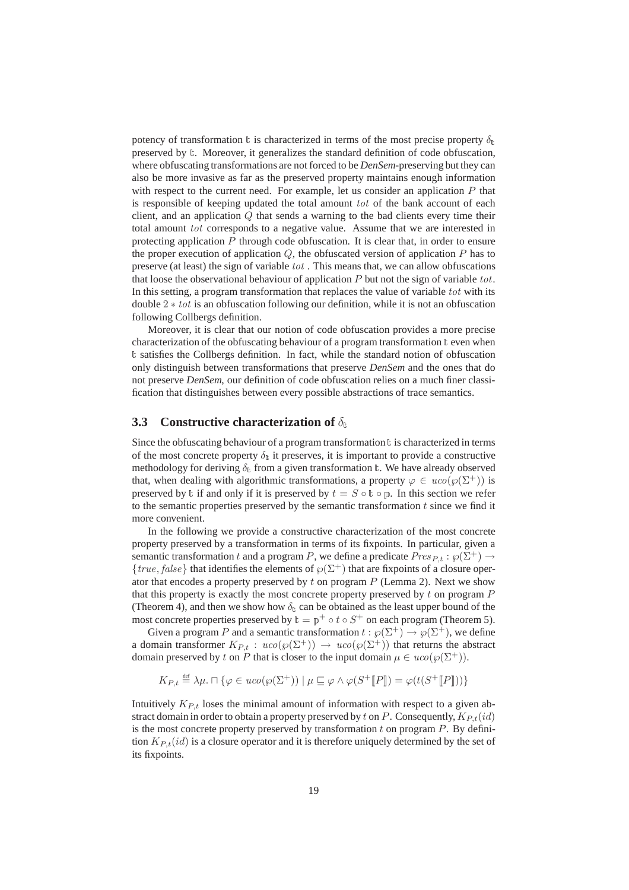potency of transformation  $\mathbf t$  is characterized in terms of the most precise property  $\delta_{\mathbf t}$ preserved by <sup>t</sup>. Moreover, it generalizes the standard definition of code obfuscation, where obfuscating transformations are not forced to be *DenSem*-preserving but they can also be more invasive as far as the preserved property maintains enough information with respect to the current need. For example, let us consider an application  $P$  that is responsible of keeping updated the total amount  $tot$  of the bank account of each client, and an application Q that sends a warning to the bad clients every time their total amount tot corresponds to a negative value. Assume that we are interested in protecting application P through code obfuscation. It is clear that, in order to ensure the proper execution of application  $Q$ , the obfuscated version of application  $P$  has to preserve (at least) the sign of variable  $tot$ . This means that, we can allow obfuscations that loose the observational behaviour of application  $P$  but not the sign of variable tot. In this setting, a program transformation that replaces the value of variable tot with its double  $2 * tot$  is an obfuscation following our definition, while it is not an obfuscation following Collbergs definition.

Moreover, it is clear that our notion of code obfuscation provides a more precise characterization of the obfuscating behaviour of a program transformation <sup>t</sup> even when <sup>t</sup> satisfies the Collbergs definition. In fact, while the standard notion of obfuscation only distinguish between transformations that preserve *DenSem* and the ones that do not preserve *DenSem*, our definition of code obfuscation relies on a much finer classification that distinguishes between every possible abstractions of trace semantics.

### **3.3 Constructive characterization of**  $\delta_{\text{t}}$

Since the obfuscating behaviour of a program transformation  $\mathbf t$  is characterized in terms of the most concrete property  $\delta_{\rm t}$  it preserves, it is important to provide a constructive methodology for deriving  $\delta_{\text{t}}$  from a given transformation  $\text{t}$ . We have already observed that, when dealing with algorithmic transformations, a property  $\varphi \in uco(\varphi(\Sigma^+))$  is preserved by t if and only if it is preserved by  $t = S \circ \mathbb{t} \circ \mathbb{p}$ . In this section we refer to the semantic properties preserved by the semantic transformation  $t$  since we find it more convenient.

In the following we provide a constructive characterization of the most concrete property preserved by a transformation in terms of its fixpoints. In particular, given a semantic transformation t and a program P, we define a predicate  $Pres_{P,t} : \wp(\Sigma^+) \rightarrow$ {true, false} that identifies the elements of  $\wp(\Sigma^+)$  that are fixpoints of a closure operator that encodes a property preserved by t on program  $P$  (Lemma 2). Next we show that this property is exactly the most concrete property preserved by  $t$  on program  $P$ (Theorem 4), and then we show how  $\delta_{\rm t}$  can be obtained as the least upper bound of the most concrete properties preserved by  $\mathbf{t} = \mathbf{p}^+ \circ t \circ S^+$  on each program (Theorem 5).

Given a program P and a semantic transformation  $t : \varphi(\Sigma^+) \to \varphi(\Sigma^+)$ , we define a domain transformer  $K_{P,t}$ :  $uco(\wp(\Sigma^+)) \to uco(\wp(\Sigma^+))$  that returns the abstract domain preserved by t on P that is closer to the input domain  $\mu \in uco(\wp(\Sigma^+))$ .

$$
K_{P,t} \stackrel{\text{def}}{=} \lambda \mu. \sqcap \{ \varphi \in uco(\varphi(\Sigma^+)) \mid \mu \sqsubseteq \varphi \land \varphi(S^+[\![P]\!]) = \varphi(t(S^+[\![P]\!])) \}
$$

Intuitively  $K_{P<sub>t</sub>}$  loses the minimal amount of information with respect to a given abstract domain in order to obtain a property preserved by t on P. Consequently,  $K_{P,t}(id)$ is the most concrete property preserved by transformation  $t$  on program  $P$ . By definition  $K_{P,t}(id)$  is a closure operator and it is therefore uniquely determined by the set of its fixpoints.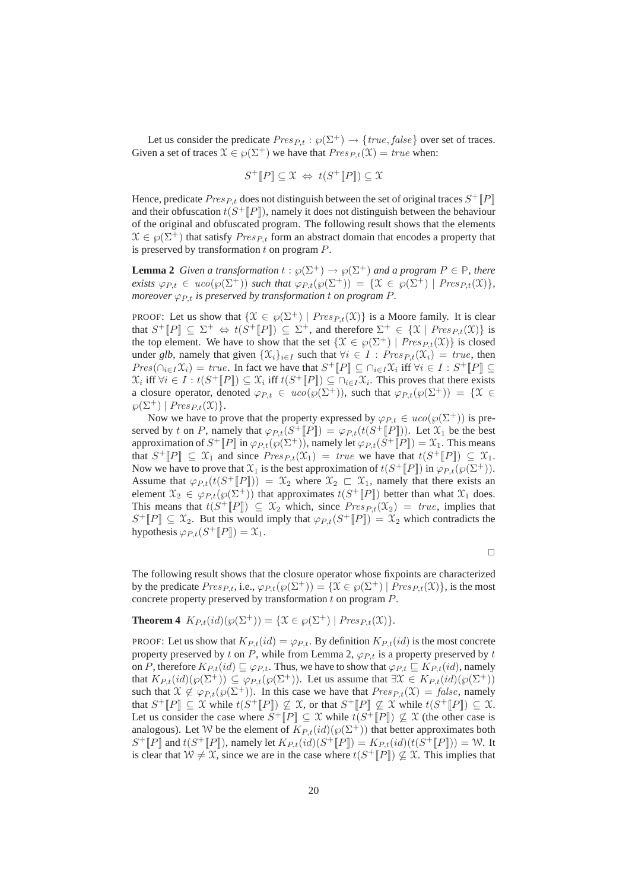Let us consider the predicate  $Pres_{P,t} : \wp(\Sigma^+) \to \{ true, false \}$  over set of traces. Given a set of traces  $\mathcal{X} \in \mathcal{P}(\Sigma^+)$  we have that  $Pres_{P,t}(\mathcal{X}) = true$  when:

$$
S^+[\![P]\!] \subseteq \mathfrak{X} \Leftrightarrow t(S^+[\![P]\!]) \subseteq \mathfrak{X}
$$

Hence, predicate  $Pres_{P,t}$  does not distinguish between the set of original traces  $S^+[\![P]\!]$ and their obfuscation  $t(S^+[[P]])$ , namely it does not distinguish between the behaviour of the original and obfuscated program. The following result shows that the elements  $\mathcal{X} \in \wp(\Sigma^+)$  that satisfy  $Pres_{P,t}$  form an abstract domain that encodes a property that is preserved by transformation  $t$  on program  $P$ .

**Lemma 2** *Given a transformation*  $t : \wp(\Sigma^+) \to \wp(\Sigma^+)$  *and a program*  $P \in \mathbb{P}$ *, there exists*  $\varphi_{P,t} \in uco(\varphi(\Sigma^+))$  *such that*  $\varphi_{P,t}(\varphi(\Sigma^+)) = {\mathcal{X} \in \varphi(\Sigma^+) | Pres_{P,t}(\mathcal{X})}$ *, moreover*  $\varphi_{P_t}$  *is preserved by transformation* t *on program* P.

PROOF: Let us show that  $\{\mathcal{X} \in \wp(\Sigma^+) \mid \text{Pres}_{P,t}(\mathcal{X})\}$  is a Moore family. It is clear that  $S^+[\![P]\!] \subseteq \Sigma^+ \Leftrightarrow t(S^+[\![P]\!]) \subseteq \Sigma^+$ , and therefore  $\Sigma^+ \in \{X \mid \text{Pres}_{P,t}(\mathfrak{X})\}$  is the top element. We have to show that the set  $\{X \in \wp(\Sigma^+) \mid \text{Pres}_{P,t}(\mathcal{X})\}$  is closed under *glb*, namely that given  $\{\mathfrak{X}_i\}_{i\in I}$  such that  $\forall i \in I$  :  $Pres_{P,t}(\mathfrak{X}_i) = true$ , then  $Pres(\cap_{i \in I} \mathfrak{X}_i) = true$ . In fact we have that  $S^+[\![P]\!] \subseteq \cap_{i \in I} \mathfrak{X}_i$  iff  $\forall i \in I : S^+[\![P]\!] \subseteq$  $\mathcal{X}_i$  iff  $\forall i \in I : t(S^+[\![P]\!]) \subseteq \mathcal{X}_i$  iff  $t(S^+[\![P]\!]) \subseteq \bigcap_{i \in I} \mathcal{X}_i$ . This proves that there exists a closure operator, denoted  $\varphi_{P,t} \in uco(\varphi(\Sigma^+))$ , such that  $\varphi_{P,t}(\varphi(\Sigma^+)) = {\mathfrak{X}} \in$  $\wp(\Sigma^+) \mid Pres_{P,t}(\mathfrak{X})\}.$ 

Now we have to prove that the property expressed by  $\varphi_{P,t} \in uco(\varphi(\Sigma^+))$  is preserved by t on P, namely that  $\varphi_{P,t}(S^+[[P]]) = \varphi_{P,t}(t(S^+[[P]]))$ . Let  $\mathfrak{X}_1$  be the best approximation of  $S^+[\![P]\!]$  in  $\varphi_{P,t}(\wp(\Sigma^+))$ , namely let  $\varphi_{P,t}(S^+[\![P]\!]) = \mathfrak{X}_1$ . This means that  $S^+[\![P]\!] \subseteq \mathfrak{X}_1$  and since  $Pres_{P,t}(\mathfrak{X}_1) = true$  we have that  $t(S^+[\![P]\!]) \subseteq \mathfrak{X}_1$ . Now we have to prove that  $\mathfrak{X}_1$  is the best approximation of  $t(S^+[\![P]\!])$  in  $\varphi_{P,t}(\wp(\Sigma^+)).$ Assume that  $\varphi_{P,t}(t(S^+[[P])) = \mathfrak{X}_2$  where  $\mathfrak{X}_2 \subset \mathfrak{X}_1$ , namely that there exists an element  $\mathfrak{X}_2 \in \varphi_{P,t}(\wp(\Sigma^+))$  that approximates  $t(S^+[\![P]\!])$  better than what  $\mathfrak{X}_1$  does. This means that  $t(S^+[\![P]\!]) \subseteq \mathfrak{X}_2$  which, since  $Pres_{P,t}(\mathfrak{X}_2) = true$ , implies that  $S^+[P] \subseteq \mathfrak{X}_2$ . But this would imply that  $\varphi_{P,t}(S^+[P]) = \mathfrak{X}_2$  which contradicts the hypothesis  $\varphi_{P,t}(S^+[\![P]\!]) = \mathfrak{X}_1.$ 

 $\Box$ 

The following result shows that the closure operator whose fixpoints are characterized by the predicate  $Pres_{Pt}$ , i.e.,  $\varphi_{Pt}(\varphi(\Sigma^+)) = {\mathcal{X} \in \varphi(\Sigma^+) | Pres_{Pt}(\mathcal{X})}$ , is the most concrete property preserved by transformation  $t$  on program  $P$ .

## **Theorem 4**  $K_{P,t}(id)(\wp(\Sigma^+)) = {\mathcal{X} \in \wp(\Sigma^+) | Pres_{P,t}(\mathcal{X})}.$

PROOF: Let us show that  $K_{P,t}(id) = \varphi_{P,t}$ . By definition  $K_{P,t}(id)$  is the most concrete property preserved by t on P, while from Lemma 2,  $\varphi_{P,t}$  is a property preserved by t on P, therefore  $K_{P,t}(id) \sqsubseteq \varphi_{P,t}$ . Thus, we have to show that  $\varphi_{P,t} \sqsubseteq K_{P,t}(id)$ , namely that  $K_{P,t}(id)(\wp(\Sigma^+)) \subseteq \varphi_{P,t}(\wp(\Sigma^+))$ . Let us assume that  $\exists \mathfrak{X} \in K_{P,t}(id)(\wp(\Sigma^+))$ such that  $\mathfrak{X} \notin \varphi_{P,t}(\varphi(\Sigma^+))$ . In this case we have that  $Pres_{P,t}(\mathfrak{X}) = false$ , namely that  $S^+[\![P]\!] \subseteq \mathfrak{X}$  while  $t(S^+[\![P]\!]) \nsubseteq \mathfrak{X}$ , or that  $S^+[\![P]\!] \nsubseteq \mathfrak{X}$  while  $t(S^+[\![P]\!]) \subseteq \mathfrak{X}$ . Let us consider the case where  $S^+[[P]] \subseteq \mathfrak{X}$  while  $t(S^+[[P]]) \not\subseteq \mathfrak{X}$  (the other case is analogous). Let W be the element of  $K_{P,t}(id)(\wp(\Sigma^+))$  that better approximates both  $S^+[P]$  and  $t(S^+[P])$ , namely let  $K_{P,t}(id)(S^+[P]) = K_{P,t}(id)(t(S^+[P])) = \mathcal{W}$ . It is clear that  $W \neq \mathfrak{X}$ , since we are in the case where  $t(S^+[[P]]) \nsubseteq \mathfrak{X}$ . This implies that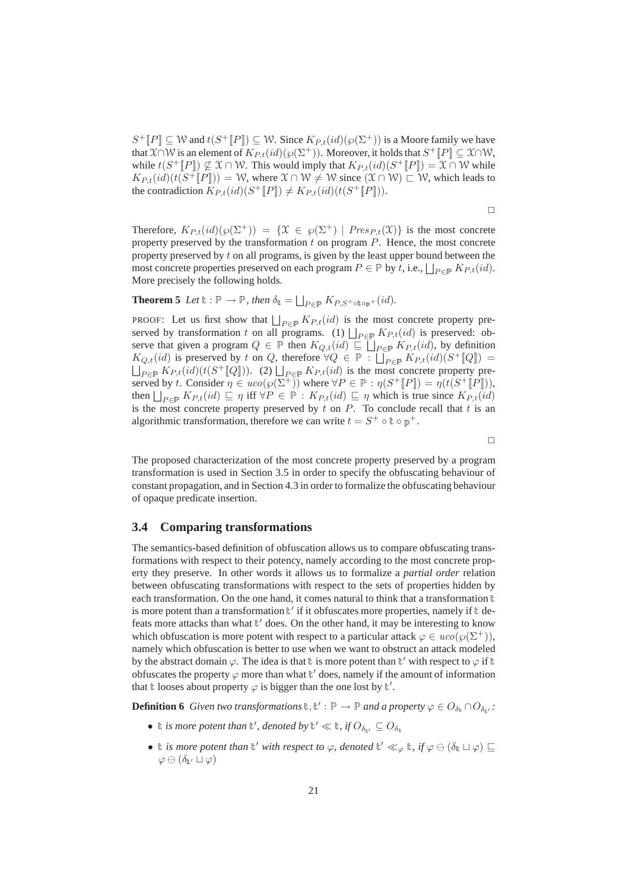$S^+[P] \subseteq \mathcal{W}$  and  $t(S^+[P]) \subseteq \mathcal{W}$ . Since  $K_{P,t}(id)(\wp(\Sigma^+))$  is a Moore family we have that  $\mathfrak{X}\cap \mathcal{W}$  is an element of  $K_{P,t}(id)(\wp(\Sigma^+))$ . Moreover, it holds that  $S^+[\![P]\!]\subseteq \mathfrak{X}\cap \mathcal{W}$ , while  $t(S^+[[P]) \nsubseteq \mathfrak{X} \cap \mathcal{W}$ . This would imply that  $K_{P,t}(id)(S^+[[P]]) = \mathfrak{X} \cap \mathcal{W}$  while  $K_{P,t}(id)(t(S^{\perp}[[P])) = W$ , where  $\mathfrak{X} \cap \mathcal{W} \neq \mathcal{W}$  since  $(\mathfrak{X} \cap \mathcal{W}) \sqsubset \mathcal{W}$ , which leads to the contradiction  $K_{P,t}(id)(S^+[\![P]\!]) \neq K_{P,t}(id)(t(S^+[\![P]\!]))$ .

 $\Box$ 

Therefore,  $K_{P,t}(id)(\varphi(\Sigma^+)) = {\mathfrak{X} \in \varphi(\Sigma^+) | Pres_{P,t}(\mathfrak{X})}$  is the most concrete property preserved by the transformation  $t$  on program  $P$ . Hence, the most concrete property preserved by  $t$  on all programs, is given by the least upper bound between the most concrete properties preserved on each program  $P \in \mathbb{P}$  by t, i.e.,  $\bigsqcup_{P \in \mathbb{P}} K_{P,t}(id)$ . More precisely the following holds.

**Theorem 5** *Let*  $\mathbf{t} : \mathbb{P} \to \mathbb{P}$ *, then*  $\delta_{\mathbf{t}} = \bigsqcup_{P \in \mathbb{P}} K_{P,S^+\text{otopy}^+}(id)$ *.* 

PROOF: Let us first show that  $\bigsqcup_{P \in \mathbb{P}} K_{P,t}(id)$  is the most concrete property preserved by transformation t on all programs. (1)  $\bigsqcup_{P \in \mathbb{P}} K_{P,t}(id)$  is preserved: observe that given a program  $Q \in \mathbb{P}$  then  $K_{Q,t}(id) \sqsubseteq \bigsqcup_{P \in \mathbb{P}} K_{P,t}(id)$ , by definition  $K_{Q,t}(id)$  is preserved by t on Q, therefore  $\forall Q \in \mathbb{P}: \prod_{P \in \mathbb{P}} K_{P,t}(id)(S^+[\![Q]\!]) =$  $\bigsqcup_{P \in \mathbb{P}} K_{P,t}(id)(t(S^+[\![Q]\!]))$ . (2)  $\bigsqcup_{P \in \mathbb{P}} K_{P,t}(id)$  is the most concrete property preserved by t. Consider  $\eta \in uco(\wp(\Sigma^+))$  where  $\forall P \in \mathbb{P} : \eta(S^+[\![P]\!]) = \eta(t(S^+[\![P]\!]))$ , then  $\bigsqcup_{P \in \mathbb{P}} K_{P,t}(id) \sqsubseteq \eta$  iff  $\forall P \in \mathbb{P} : K_{P,t}(id) \sqsubseteq \eta$  which is true since  $K_{P,t}(id)$ is the most concrete property preserved by  $t$  on  $P$ . To conclude recall that  $t$  is an algorithmic transformation, therefore we can write  $t = S^+ \circ \mathbb{t} \circ \mathbb{p}^+$ .

 $\Box$ 

The proposed characterization of the most concrete property preserved by a program transformation is used in Section 3.5 in order to specify the obfuscating behaviour of constant propagation, and in Section 4.3 in order to formalize the obfuscating behaviour of opaque predicate insertion.

#### **3.4 Comparing transformations**

The semantics-based definition of obfuscation allows us to compare obfuscating transformations with respect to their potency, namely according to the most concrete property they preserve. In other words it allows us to formalize a *partial order* relation between obfuscating transformations with respect to the sets of properties hidden by each transformation. On the one hand, it comes natural to think that a transformation  $t$ is more potent than a transformation  $t'$  if it obfuscates more properties, namely if  $t$  defeats more attacks than what  $\mathbb{t}'$  does. On the other hand, it may be interesting to know which obfuscation is more potent with respect to a particular attack  $\varphi \in uco(\varphi(\Sigma^+))$ , namely which obfuscation is better to use when we want to obstruct an attack modeled by the abstract domain  $\varphi$ . The idea is that t is more potent than t' with respect to  $\varphi$  if t obfuscates the property  $\varphi$  more than what  $\mathbb{t}'$  does, namely if the amount of information that t looses about property  $\varphi$  is bigger than the one lost by  $t'$ .

**Definition 6** *Given two transformations*  $\mathbf{t}, \mathbf{t}' : \mathbb{P} \to \mathbb{P}$  *and a property*  $\varphi \in O_{\delta_{\mathbf{t}}} \cap O_{\delta_{\mathbf{t}'}}$ .

- t *is more potent than*  $\mathbf{t}'$ , denoted by  $\mathbf{t}' \ll \mathbf{t}$ , if  $O_{\delta_{\mathbf{t}'}} \subseteq O_{\delta_{\mathbf{t}}}$
- t *is more potent than*  $t'$  *with respect to*  $\varphi$ *, denoted*  $t' \ll_{\varphi} t$ *, if*  $\varphi \ominus (\delta_t \sqcup \varphi) \sqsubseteq$  $\varphi \ominus (\delta_{\mathbb{F'}}\sqcup \varphi)$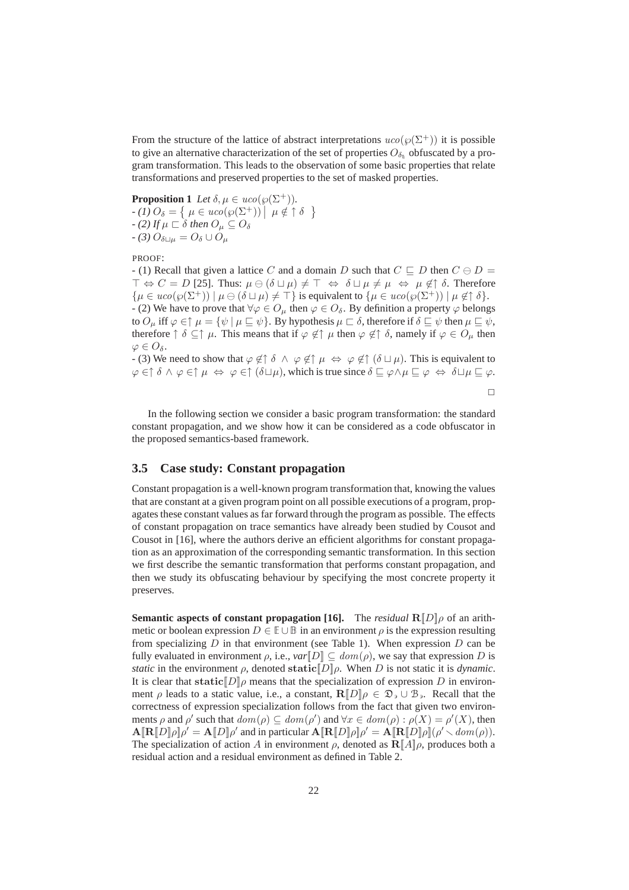From the structure of the lattice of abstract interpretations  $uco(\wp(\Sigma^+))$  it is possible to give an alternative characterization of the set of properties  $O_{\delta_{\kappa}}$  obfuscated by a program transformation. This leads to the observation of some basic properties that relate transformations and preserved properties to the set of masked properties.

**Proposition 1** *Let*  $\delta, \mu \in uco(\wp(\Sigma^+)).$ 

 $-\left(1\right)O_{\delta} = \left\{\mu \in uco(\wp(\Sigma^{+})) \mid \mu \notin \uparrow \delta \right\}$ *- (2)* If  $\mu \sqsubset \delta$  then  $O_{\mu} \subseteq O_{\delta}$  $-$  (3)  $O_{\delta\Box\mu} = O_{\delta} \cup O_{\mu}$ 

PROOF:

- (1) Recall that given a lattice C and a domain D such that  $C \sqsubseteq D$  then  $C \ominus D =$  $\top \Leftrightarrow C = D$  [25]. Thus:  $\mu \ominus (\delta \sqcup \mu) \neq \top \Leftrightarrow \delta \sqcup \mu \neq \mu \Leftrightarrow \mu \notin \uparrow \delta$ . Therefore  $\{\mu \in uco(\wp(\Sigma^+)) \mid \mu \ominus (\delta \sqcup \mu) \neq \top \}$  is equivalent to  $\{\mu \in uco(\wp(\Sigma^+)) \mid \mu \notin \uparrow \delta \}.$ - (2) We have to prove that  $\forall \varphi \in O_{\mu}$  then  $\varphi \in O_{\delta}$ . By definition a property  $\varphi$  belongs to  $O_\mu$  iff  $\varphi \in \uparrow \mu = {\psi \mid \mu \sqsubseteq \psi}$ . By hypothesis  $\mu \sqsubset \delta$ , therefore if  $\delta \sqsubseteq \psi$  then  $\mu \sqsubseteq \psi$ , therefore  $\uparrow \delta \subseteq \uparrow \mu$ . This means that if  $\varphi \notin \uparrow \mu$  then  $\varphi \notin \uparrow \delta$ , namely if  $\varphi \in O_{\mu}$  then  $\varphi \in O_{\delta}$ .

- (3) We need to show that  $\varphi \notin \hat{\delta} \land \varphi \notin \hat{\uparrow} \mu \Leftrightarrow \varphi \notin \hat{\uparrow} (\delta \sqcup \mu)$ . This is equivalent to  $\varphi \in \uparrow \delta \land \varphi \in \uparrow \mu \Leftrightarrow \varphi \in \uparrow (\delta \sqcup \mu)$ , which is true since  $\delta \sqsubseteq \varphi \land \mu \sqsubseteq \varphi \Leftrightarrow \delta \sqcup \mu \sqsubseteq \varphi$ .

 $\Box$ 

In the following section we consider a basic program transformation: the standard constant propagation, and we show how it can be considered as a code obfuscator in the proposed semantics-based framework.

### **3.5 Case study: Constant propagation**

Constant propagation is a well-known program transformation that, knowing the values that are constant at a given program point on all possible executions of a program, propagates these constant values as far forward through the program as possible. The effects of constant propagation on trace semantics have already been studied by Cousot and Cousot in [16], where the authors derive an efficient algorithms for constant propagation as an approximation of the corresponding semantic transformation. In this section we first describe the semantic transformation that performs constant propagation, and then we study its obfuscating behaviour by specifying the most concrete property it preserves.

**Semantic aspects of constant propagation [16].** The *residual*  $R[D]\rho$  of an arithmetic or boolean expression  $D \in \mathbb{E} \cup \mathbb{B}$  in an environment  $\rho$  is the expression resulting from specializing D in that environment (see Table 1). When expression D can be fully evaluated in environment  $\rho$ , i.e.,  $var\llbracket D \rrbracket \subseteq dom(\rho)$ , we say that expression D is *static* in the environment  $\rho$ , denoted static  $[D]\rho$ . When D is not static it is *dynamic*. It is clear that static  $D$ , means that the specialization of expression D in environment  $\rho$  leads to a static value, i.e., a constant,  $\mathbb{R}[[D]]\rho \in \mathfrak{D}_{\rho} \cup \mathfrak{B}_{\rho}$ . Recall that the correctness of expression specialization follows from the fact that given two environments  $\rho$  and  $\rho'$  such that  $dom(\rho) \subseteq dom(\rho')$  and  $\forall x \in dom(\rho) : \rho(X) = \rho'(X)$ , then  $\mathbf{A}[\mathbf{R}[D]\rho]\rho' = \mathbf{A}[D]\rho'$  and in particular  $\mathbf{A}[\mathbf{R}[D]\rho]\rho' = \mathbf{A}[\mathbf{R}[D]\rho](\rho' \sim dom(\rho)).$ The specialization of action A in environment  $\rho$ , denoted as  $\mathbb{R}[\![A]\!] \rho$ , produces both a residual action and a residual environment as defined in Table 2.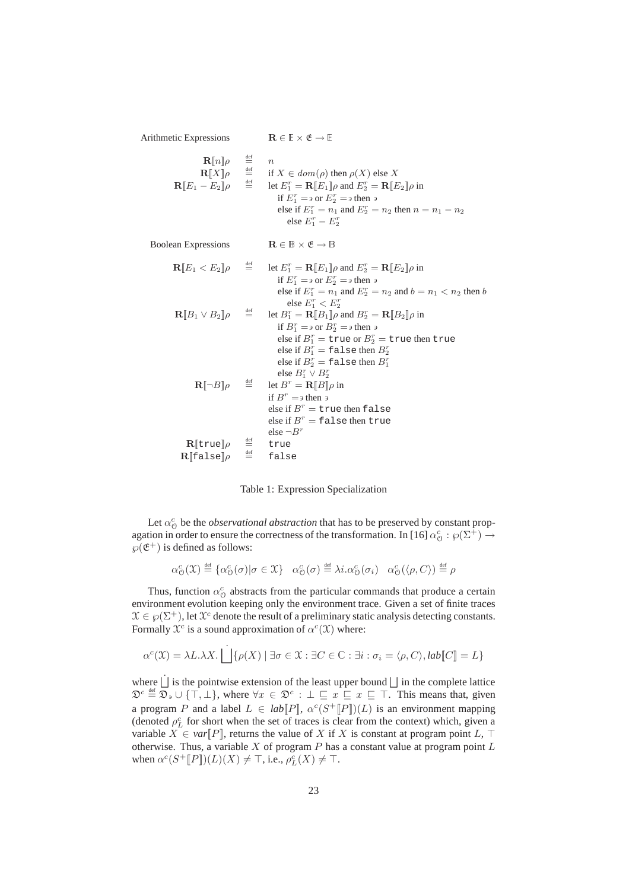Arithmetic Expressions  $\mathbf{R} \in \mathbb{E} \times \mathfrak{E} \to \mathbb{E}$  $\mathbf{R}[\![n]\!] \rho$  $\stackrel{\text{def}}{=}$   $\stackrel{\text{def}}{=}$   $\stackrel{\text{def}}{=}$  if  $\mathbf{R}$ [ $X$ ] $\rho$  $\stackrel{\text{def}}{=}$  if  $X \in dom(\rho)$  then  $\rho(X)$  else X<br>  $\stackrel{\text{def}}{=}$  let  $E_x^r = \mathbf{R} \mathbb{E} E_x \mathbb{I}$  and  $E_x^r = \mathbf{R} \mathbb{E} E$  $\mathbf{R}[\![E_1 - E_2]\!] \rho$  $\stackrel{\text{def}}{=}$  let  $E_1^r = \mathbf{R}[\![E_1]\!] \rho$  and  $E_2^r = \mathbf{R}[\![E_2]\!] \rho$  in if  $E_1^r = \partial$  or  $E_2^r = \partial$  then  $\partial$ else if  $E_1^r = n_1$  and  $E_2^r = n_2$  then  $n = n_1 - n_2$ else  $E_1^r - E_2^r$ Boolean Expressions  $\mathbf{R} \in \mathbb{B} \times \mathfrak{E} \to \mathbb{B}$  $\mathbf{R}[\![E_1 E_2]\!]\rho$  $\stackrel{\text{def}}{=}$  let  $E_1^r = \mathbf{R}[\![E_1]\!] \rho$  and  $E_2^r = \mathbf{R}[\![E_2]\!] \rho$  in if  $E_1^r = \partial$  or  $E_2^r = \partial$  then  $\partial$ else if  $E_1^r = n_1$  and  $E_2^r = n_2$  and  $b = n_1 < n_2$  then b else  $E_1^r < E_2^r$  $\mathbf{R}[\mathbf{B}_1 \vee \mathbf{B}_2]$ ρ  $\stackrel{\text{def}}{=}$  let  $B_1^r = \mathbf{R} [B_1] \rho$  and  $B_2^r = \mathbf{R} [B_2] \rho$  in if  $B_1^r = \partial$  or  $B_2^r = \partial$  then  $\partial$ else if  $B_1^r = \text{true}$  or  $B_2^r = \text{true}$  then true else if  $B_1^r = \texttt{false}$  then  $B_2^r$ else if  $B_2^r = \texttt{false}$  then  $B_1^r$ else  $B_1^r \vee B_2^r$  $\mathbf{R}$ [ $\neg B$ ] $\rho$  $\stackrel{\text{def}}{=}$  let  $B^r = \mathbf{R} [B] \rho$  in if  $B^r = \partial^r$  then  $\partial^r = \partial^r$ else if  $B^r =$  true then false else if  $B^r = \texttt{false}$  then true else  $\neg B^r$  $\mathbf{R}$ [true] $\rho$  $\stackrel{\text{def}}{=}$  true  $\mathbf{R}$ [false] $\rho$  $\stackrel{\text{def}}{=}$  false

Table 1: Expression Specialization

Let  $\alpha_0^c$  be the *observational abstraction* that has to be preserved by constant propagation in order to ensure the correctness of the transformation. In [16]  $\alpha_0^c : \wp(\Sigma^+) \to$  $\wp(\mathfrak{E}^+)$  is defined as follows:

$$
\alpha_\mathcal{O}^c(\mathfrak{X}) \stackrel{\scriptscriptstyle\rm def}{=} \{ \alpha_\mathcal{O}^c(\sigma) | \sigma \in \mathfrak{X} \} \quad \alpha_\mathcal{O}^c(\sigma) \stackrel{\scriptscriptstyle\rm def}{=} \lambda i.\alpha_\mathcal{O}^c(\sigma_i) \quad \alpha_\mathcal{O}^c(\langle \rho, C \rangle) \stackrel{\scriptscriptstyle\rm def}{=} \rho
$$

Thus, function  $\alpha_{\mathcal{O}}^c$  abstracts from the particular commands that produce a certain environment evolution keeping only the environment trace. Given a set of finite traces  $X \in \mathcal{G}(\Sigma^+)$ , let  $\mathcal{X}^c$  denote the result of a preliminary static analysis detecting constants. Formally  $\mathcal{X}^c$  is a sound approximation of  $\alpha^c(\mathcal{X})$  where:

$$
\alpha^{c}(\mathfrak{X}) = \lambda L. \lambda X. \bigsqcup \{ \rho(X) \mid \exists \sigma \in \mathfrak{X} : \exists C \in \mathbb{C} : \exists i : \sigma_{i} = \langle \rho, C \rangle, lab[[C]] = L \}
$$

where  $\dot{\bigsqcup}$  is the pointwise extension of the least upper bound  $\bigsqcup$  in the complete lattice  $\mathfrak{D}^c \stackrel{\text{def}}{=} \overline{\mathfrak{D}}_3 \cup \{\top, \bot\}$ , where  $\forall x \in \mathfrak{D}^c : \bot \sqsubseteq x \sqsubseteq x \sqsubseteq \top$ . This means that, given a program P and a label  $L \in lab[P], \alpha^{c}(S^+[P])(L)$  is an environment mapping (denoted  $\rho_L^c$  for short when the set of traces is clear from the context) which, given a variable  $X \in var[*P*]<sub>l</sub>$ , returns the value of X if X is constant at program point L,  $\top$ otherwise. Thus, a variable  $X$  of program  $P$  has a constant value at program point  $L$ when  $\alpha^c(S^+[\![P]\!])(L)(X) \neq \top$ , i.e.,  $\rho_L^c(X) \neq \top$ .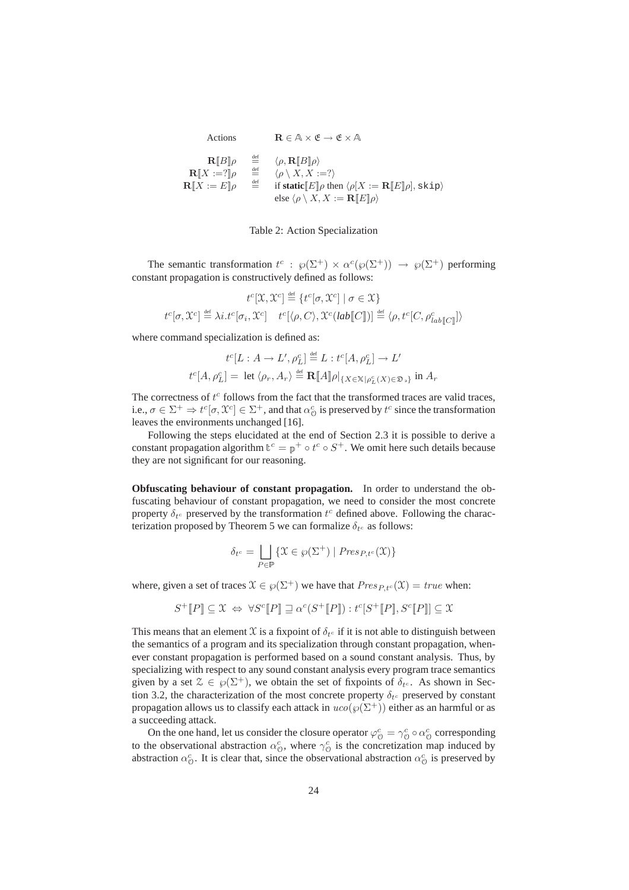| Actions                                                                                             |                                                                             | $\mathbf{R} \in \mathbb{A} \times \mathfrak{E} \rightarrow \mathfrak{E} \times \mathbb{A}$                                                                                                                                                                                                  |
|-----------------------------------------------------------------------------------------------------|-----------------------------------------------------------------------------|---------------------------------------------------------------------------------------------------------------------------------------------------------------------------------------------------------------------------------------------------------------------------------------------|
| $\mathbf{R}[[B]]\rho$<br>$\mathbf{R}[X := ?]$ $\rho$<br>${\bf R} \llbracket X := E \rrbracket \rho$ | $\stackrel{\text{def}}{=}$<br>$\stackrel{\text{def}}{=}$<br>$\frac{def}{ }$ | $\langle \rho, \mathbf{R}[[B]]\rho \rangle$<br>$\langle \rho \setminus X, X := ? \rangle$<br>if static $\llbracket E \rrbracket \rho$ then $\langle \rho   X := \mathbf{R} \llbracket E \rrbracket \rho \mid$ , skip)<br>else $\langle \rho \setminus X, X := \mathbf{R}[[E]] \rho \rangle$ |



The semantic transformation  $t^c$ :  $\wp(\Sigma^+) \times \alpha^c(\wp(\Sigma^+)) \to \wp(\Sigma^+)$  performing constant propagation is constructively defined as follows:

$$
t^c[\mathfrak{X}, \mathfrak{X}^c] \stackrel{\text{def}}{=} \{ t^c[\sigma, \mathfrak{X}^c] \mid \sigma \in \mathfrak{X} \}
$$

$$
t^c[\sigma, \mathfrak{X}^c] \stackrel{\text{def}}{=} \lambda i \cdot t^c[\sigma_i, \mathfrak{X}^c] \quad t^c[\langle \rho, C \rangle, \mathfrak{X}^c(\mathit{lab}[\![C]\!])] \stackrel{\text{def}}{=} \langle \rho, t^c[C, \rho_{\mathit{lab}}^c[\![C]\!]) \rangle
$$

where command specialization is defined as:

$$
t^{c}[L : A \to L', \rho_{L}^{c}] \stackrel{\text{def}}{=} L : t^{c}[A, \rho_{L}^{c}] \to L'
$$
  

$$
t^{c}[A, \rho_{L}^{c}] = \text{ let } \langle \rho_{r}, A_{r} \rangle \stackrel{\text{def}}{=} \mathbf{R}[\![A]\!] \rho|_{\{X \in \mathbb{X} \mid \rho_{L}^{c}(X) \in \mathfrak{D}_{\mathfrak{D}}\}} \text{ in } A_{r}
$$

The correctness of  $t^c$  follows from the fact that the transformed traces are valid traces, i.e.,  $\sigma \in \Sigma^+ \Rightarrow t^c[\sigma, \mathfrak{X}^c] \in \Sigma^+$ , and that  $\alpha^c_{\mathfrak{O}}$  is preserved by  $t^c$  since the transformation leaves the environments unchanged [16].

Following the steps elucidated at the end of Section 2.3 it is possible to derive a constant propagation algorithm  $\mathbb{t}^c = \mathbb{p}^+ \circ t^c \circ S^+$ . We omit here such details because they are not significant for our reasoning.

**Obfuscating behaviour of constant propagation.** In order to understand the obfuscating behaviour of constant propagation, we need to consider the most concrete property  $\delta_{t_c}$  preserved by the transformation  $t_c$  defined above. Following the characterization proposed by Theorem 5 we can formalize  $\delta_{t^c}$  as follows:

$$
\delta_{t^c} = \bigsqcup_{P \in \mathbb{P}} \{ \mathfrak{X} \in \wp(\Sigma^+) \mid \mathit{Pres}_{P,t^c}(\mathfrak{X}) \}
$$

where, given a set of traces  $\mathcal{X} \in \wp(\Sigma^+)$  we have that  $Pres_{P,tc}(\mathcal{X}) = true$  when:

$$
S^+[\![P]\!] \subseteq \mathfrak{X} \Leftrightarrow \forall S^c[\![P]\!] \sqsupseteq \alpha^c(S^+[\![P]\!]): t^c[S^+[\![P]\!], S^c[\![P]\!]] \subseteq \mathfrak{X}
$$

This means that an element X is a fixpoint of  $\delta_{t^c}$  if it is not able to distinguish between the semantics of a program and its specialization through constant propagation, whenever constant propagation is performed based on a sound constant analysis. Thus, by specializing with respect to any sound constant analysis every program trace semantics given by a set  $\mathcal{Z} \in \mathcal{G}(\Sigma^+)$ , we obtain the set of fixpoints of  $\delta_{t^c}$ . As shown in Section 3.2, the characterization of the most concrete property  $\delta_{t_c}$  preserved by constant propagation allows us to classify each attack in  $uco(\wp(\Sigma^+))$  either as an harmful or as a succeeding attack.

On the one hand, let us consider the closure operator  $\varphi^c_{\theta} = \gamma^c_{\theta} \circ \alpha^c_{\theta}$  corresponding to the observational abstraction  $\alpha_{\mathcal{O}}^c$ , where  $\gamma_{\mathcal{O}}^c$  is the concretization map induced by abstraction  $\alpha_0^c$ . It is clear that, since the observational abstraction  $\alpha_0^c$  is preserved by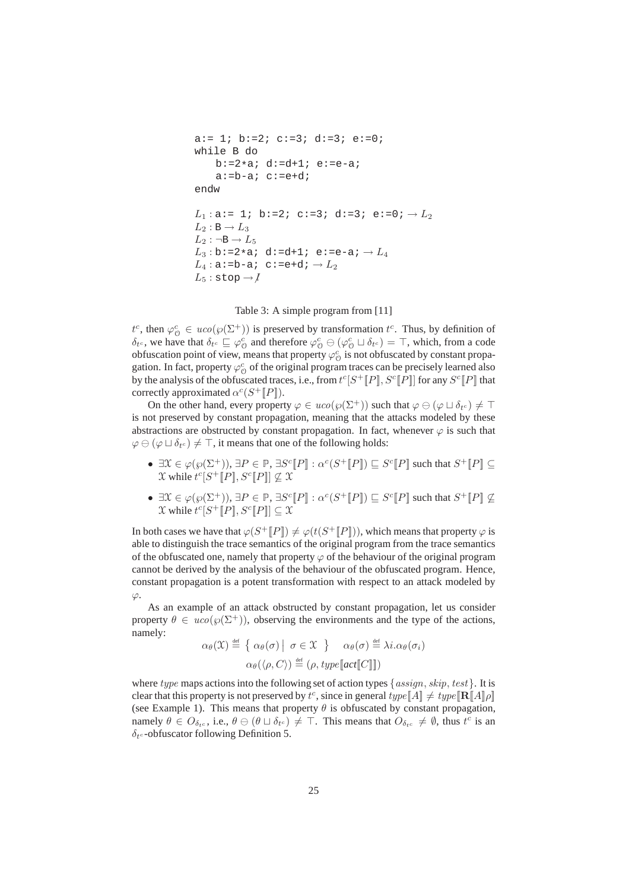```
a:= 1; b:=2; c:=3; d:=3; e:=0;
while B do
     b:=2*a; d:=d+1; e:=e-a;
     a:=b-a; c:=e+d;endw
L_1: a := 1; b:=2; c:=3; d:=3; e:=0; \rightarrow L_2L_2 : \mathbb{B} \to L_3L_2: \negB \rightarrow L_5L_3 : b := 2 * a; d := d + 1; e := e - a; \rightarrow L_4L<sub>4</sub>: a:=b-a; c:=e+d; \rightarrow L<sub>2</sub>
L_5: stop \rightarrow l
```
Table 3: A simple program from [11]

 $t^c$ , then  $\varphi^c_{\mathcal{O}} \in uco(\varphi(\Sigma^+))$  is preserved by transformation  $t^c$ . Thus, by definition of  $\delta_{t^c}$ , we have that  $\delta_{t^c} \sqsubseteq \varphi^c_{\mathcal{O}}$  and therefore  $\varphi^c_{\mathcal{O}} \ominus (\varphi^c_{\mathcal{O}} \sqcup \delta_{t^c}) = \top$ , which, from a code obfuscation point of view, means that property  $\varphi_0^c$  is not obfuscated by constant propagation. In fact, property  $\varphi^c_{\mathcal{O}}$  of the original program traces can be precisely learned also by the analysis of the obfuscated traces, i.e., from  $t^c[S^+[[P]], S^c[[P]]$  for any  $S^c[[P]]$  that correctly approximated  $\alpha^{c}(S^+[[P]])$ .

On the other hand, every property  $\varphi \in uco(\varphi(\Sigma^+))$  such that  $\varphi \ominus (\varphi \sqcup \delta_{t^c}) \neq \top$ is not preserved by constant propagation, meaning that the attacks modeled by these abstractions are obstructed by constant propagation. In fact, whenever  $\varphi$  is such that  $\varphi \ominus (\varphi \sqcup \delta_{t^c}) \neq \top$ , it means that one of the following holds:

- $\exists \mathcal{X} \in \varphi(\varphi(\Sigma^+)), \exists P \in \mathbb{P}, \exists S^c [P] : \alpha^c(S^+ [P]) \sqsubseteq S^c [P]$  such that  $S^+ [P] \subseteq$  $\mathfrak X$  while  $t^c[S^+[[P]], S^c[[P]] \nsubseteq \mathfrak X$
- $\exists \mathcal{X} \in \varphi(\varphi(\Sigma^+)), \exists P \in \mathbb{P}, \exists S^c [P] : \alpha^c(S^+ [P]) \sqsubseteq S^c [P]$  such that  $S^+ [P] \not\subseteq$  $\mathfrak X$  while  $t^c[S^+[\![P]\!], S^c[\![P]\!] \subseteq \mathfrak X$

In both cases we have that  $\varphi(S^+[[P]]) \neq \varphi(t(S^+[[P]]))$ , which means that property  $\varphi$  is able to distinguish the trace semantics of the original program from the trace semantics of the obfuscated one, namely that property  $\varphi$  of the behaviour of the original program cannot be derived by the analysis of the behaviour of the obfuscated program. Hence, constant propagation is a potent transformation with respect to an attack modeled by  $\varphi$ .

As an example of an attack obstructed by constant propagation, let us consider property  $\theta \in uco(\varphi(\Sigma^+))$ , observing the environments and the type of the actions, namely:

$$
\alpha_{\theta}(\mathfrak{X}) \stackrel{\text{def}}{=} \left\{ \alpha_{\theta}(\sigma) \mid \sigma \in \mathfrak{X} \right\} \quad \alpha_{\theta}(\sigma) \stackrel{\text{def}}{=} \lambda i. \alpha_{\theta}(\sigma_i)
$$

$$
\alpha_{\theta}(\langle \rho, C \rangle) \stackrel{\text{def}}{=} (\rho, \text{type}[\text{act}[\![C]\!]])
$$

where type maps actions into the following set of action types  $\{assign, skip, test\}$ . It is clear that this property is not preserved by  $t^c$ , since in general  $type[\![A]\!] \neq type[\![\mathbf{R}[\![A]\!] \rho]$ (see Example 1). This means that property  $\theta$  is obfuscated by constant propagation, namely  $\theta \in O_{\delta_t c}$ , i.e.,  $\theta \in (\theta \sqcup \delta_{t^c}) \neq \top$ . This means that  $O_{\delta_t c} \neq \emptyset$ , thus  $t^c$  is an  $\delta_{t^c}$ -obfuscator following Definition 5.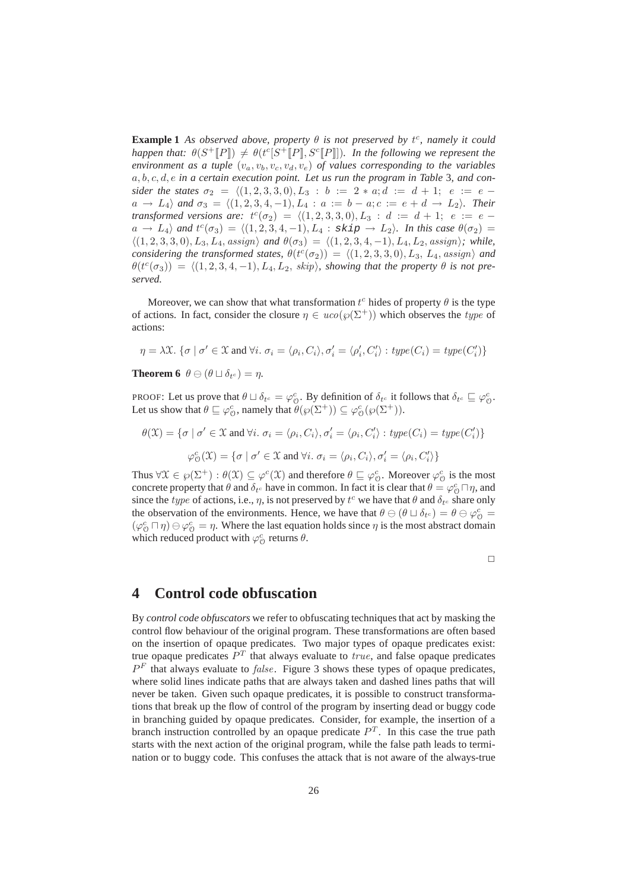**Example 1** As observed above, property  $\theta$  is not preserved by  $t^c$ , namely it could *happen that:*  $\theta(S^+[[P]) \neq \theta(t^c[S^+[[P]], S^c[[P]])$ *. In the following we represent the environment as a tuple*  $(v_a, v_b, v_c, v_d, v_e)$  *of values corresponding to the variables* a, b, c, d, e *in a certain execution point. Let us run the program in Table* 3*, and consider the states*  $\sigma_2 = \langle (1, 2, 3, 3, 0), L_3 : b := 2 * a; d := d + 1; e := e$  $a \to L_4$  *and*  $\sigma_3 = \langle (1, 2, 3, 4, -1), L_4 : a := b - a; c := e + d \to L_2 \rangle$ *. Their transformed versions are:*  $t^c(\sigma_2) = \langle (1, 2, 3, 3, 0), L_3 : d := d + 1; e := e$  $a \rightarrow L_4$  and  $t^c(\sigma_3) = \langle (1, 2, 3, 4, -1), L_4 : \text{skip} \rightarrow L_2 \rangle$ *. In this case*  $\theta(\sigma_2) =$  $\langle (1, 2, 3, 3, 0), L_3, L_4, \text{assign} \rangle$  and  $\theta(\sigma_3) = \langle (1, 2, 3, 4, -1), L_4, L_2, \text{assign} \rangle$ *; while, considering the transformed states,*  $\theta(t^c(\sigma_2)) = \langle (1, 2, 3, 3, 0), L_3, L_4, \text{assign} \rangle$  *and*  $\theta(t^c(\sigma_3)) = \langle (1, 2, 3, 4, -1), L_4, L_2, \text{ skip} \rangle$ , showing that the property  $\theta$  is not pre*served.*

Moreover, we can show that what transformation  $t^c$  hides of property  $\theta$  is the type of actions. In fact, consider the closure  $\eta \in uco(\wp(\Sigma^+))$  which observes the type of actions:

$$
\eta = \lambda \mathfrak{X}.\ \{\sigma \mid \sigma' \in \mathfrak{X} \text{ and } \forall i.\ \sigma_i = \langle \rho_i, C_i \rangle, \sigma'_i = \langle \rho'_i, C'_i \rangle : type(C_i) = type(C'_i) \}
$$

**Theorem 6**  $\theta \ominus (\theta \sqcup \delta_{t^c}) = \eta$ .

PROOF: Let us prove that  $\theta \sqcup \delta_{t^c} = \varphi_0^c$ . By definition of  $\delta_{t^c}$  it follows that  $\delta_{t^c} \sqsubseteq \varphi_0^c$ . Let us show that  $\theta \sqsubseteq \varphi^c_{\Theta}$ , namely that  $\theta(\varphi(\Sigma^+)) \subseteq \varphi^c_{\Theta}(\varphi(\Sigma^+)).$ 

 $\theta(\mathfrak{X}) = \{ \sigma \mid \sigma' \in \mathfrak{X} \text{ and } \forall i. \ \sigma_i = \langle \rho_i, C_i \rangle, \sigma'_i = \langle \rho_i, C'_i \rangle : type(C_i) = type(C'_i) \}$  $\varphi_{\mathcal{O}}^{c}(\mathfrak{X}) = \{ \sigma \mid \sigma' \in \mathfrak{X} \text{ and } \forall i. \sigma_i = \langle \rho_i, C_i \rangle, \sigma'_i = \langle \rho_i, C'_i \rangle \}$ 

Thus  $\forall \mathfrak{X} \in \wp(\Sigma^+) : \theta(\mathfrak{X}) \subseteq \varphi^c(\mathfrak{X})$  and therefore  $\theta \sqsubseteq \varphi^c_{\mathfrak{O}}$ . Moreover  $\varphi^c_{\mathfrak{O}}$  is the most concrete property that  $\theta$  and  $\delta_{t_c}$  have in common. In fact it is clear that  $\theta = \varphi_0^c \Box \eta$ , and since the *type* of actions, i.e.,  $\eta$ , is not preserved by  $t^c$  we have that  $\theta$  and  $\delta_{t^c}$  share only the observation of the environments. Hence, we have that  $\theta \ominus (\theta \sqcup \delta_{t^c}) = \theta \ominus \varphi^c_{\mathcal{O}} =$  $(\varphi_0^c \sqcap \eta) \ominus \varphi_0^c = \eta$ . Where the last equation holds since  $\eta$  is the most abstract domain which reduced product with  $\varphi_{\mathcal{O}}^c$  returns  $\theta$ .

 $\Box$ 

## **4 Control code obfuscation**

By *control code obfuscators* we refer to obfuscating techniques that act by masking the control flow behaviour of the original program. These transformations are often based on the insertion of opaque predicates. Two major types of opaque predicates exist: true opaque predicates  $P<sup>T</sup>$  that always evaluate to  $true$ , and false opaque predicates  $P<sup>F</sup>$  that always evaluate to *false*. Figure 3 shows these types of opaque predicates, where solid lines indicate paths that are always taken and dashed lines paths that will never be taken. Given such opaque predicates, it is possible to construct transformations that break up the flow of control of the program by inserting dead or buggy code in branching guided by opaque predicates. Consider, for example, the insertion of a branch instruction controlled by an opaque predicate  $P<sup>T</sup>$ . In this case the true path starts with the next action of the original program, while the false path leads to termination or to buggy code. This confuses the attack that is not aware of the always-true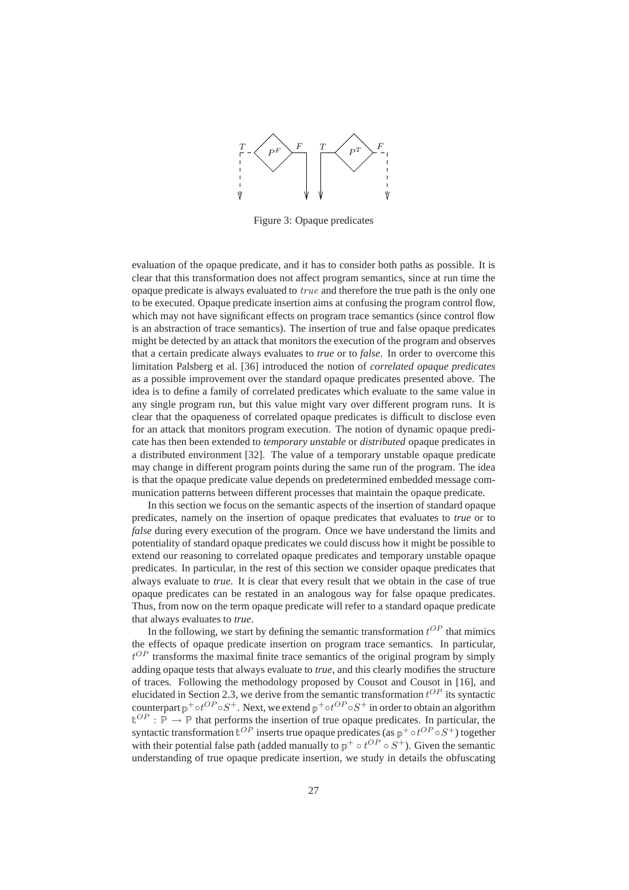

Figure 3: Opaque predicates

evaluation of the opaque predicate, and it has to consider both paths as possible. It is clear that this transformation does not affect program semantics, since at run time the opaque predicate is always evaluated to true and therefore the true path is the only one to be executed. Opaque predicate insertion aims at confusing the program control flow, which may not have significant effects on program trace semantics (since control flow is an abstraction of trace semantics). The insertion of true and false opaque predicates might be detected by an attack that monitors the execution of the program and observes that a certain predicate always evaluates to *true* or to *false*. In order to overcome this limitation Palsberg et al. [36] introduced the notion of *correlated opaque predicates* as a possible improvement over the standard opaque predicates presented above. The idea is to define a family of correlated predicates which evaluate to the same value in any single program run, but this value might vary over different program runs. It is clear that the opaqueness of correlated opaque predicates is difficult to disclose even for an attack that monitors program execution. The notion of dynamic opaque predicate has then been extended to *temporary unstable* or *distributed* opaque predicates in a distributed environment [32]. The value of a temporary unstable opaque predicate may change in different program points during the same run of the program. The idea is that the opaque predicate value depends on predetermined embedded message communication patterns between different processes that maintain the opaque predicate.

In this section we focus on the semantic aspects of the insertion of standard opaque predicates, namely on the insertion of opaque predicates that evaluates to *true* or to *false* during every execution of the program. Once we have understand the limits and potentiality of standard opaque predicates we could discuss how it might be possible to extend our reasoning to correlated opaque predicates and temporary unstable opaque predicates. In particular, in the rest of this section we consider opaque predicates that always evaluate to *true*. It is clear that every result that we obtain in the case of true opaque predicates can be restated in an analogous way for false opaque predicates. Thus, from now on the term opaque predicate will refer to a standard opaque predicate that always evaluates to *true*.

In the following, we start by defining the semantic transformation  $t^{OP}$  that mimics the effects of opaque predicate insertion on program trace semantics. In particular,  $t^{OP}$  transforms the maximal finite trace semantics of the original program by simply adding opaque tests that always evaluate to *true*, and this clearly modifies the structure of traces. Following the methodology proposed by Cousot and Cousot in [16], and elucidated in Section 2.3, we derive from the semantic transformation  $t^{OP}$  its syntactic counterpart  $p^+ \circ t^{OP} \circ S^+$ . Next, we extend  $p^+ \circ t^{OP} \circ S^+$  in order to obtain an algorithm  $\mathbb{t}^{OP}: \mathbb{P} \to \mathbb{P}$  that performs the insertion of true opaque predicates. In particular, the syntactic transformation  $\mathbf{t}^{OP}$  inserts true opaque predicates (as  $\mathbf{p}^+ \circ t^{OP} \circ S^+$ ) together with their potential false path (added manually to  $p^+ \circ t^{OP} \circ S^+$ ). Given the semantic understanding of true opaque predicate insertion, we study in details the obfuscating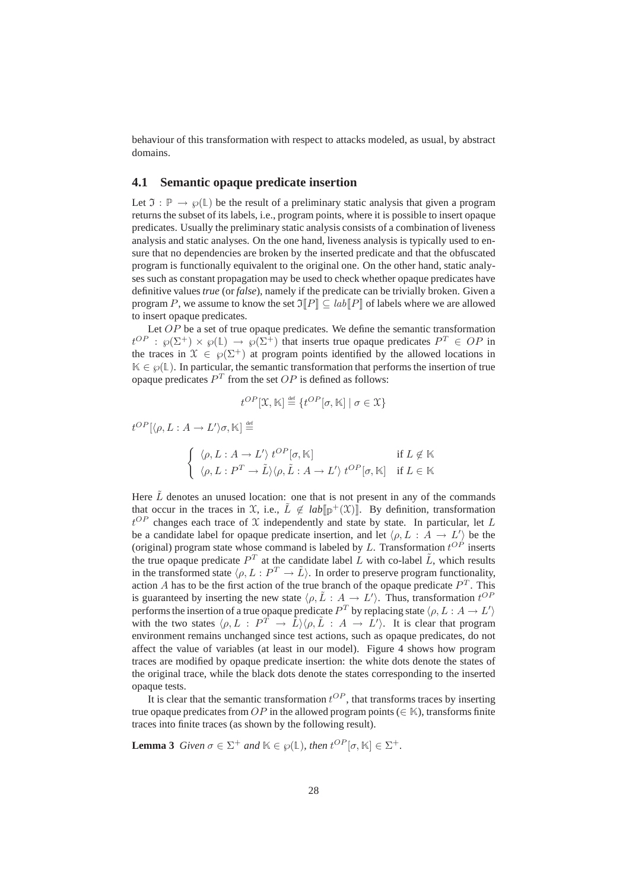behaviour of this transformation with respect to attacks modeled, as usual, by abstract domains.

## **4.1 Semantic opaque predicate insertion**

Let  $\mathfrak{I} : \mathbb{P} \to \wp(\mathbb{L})$  be the result of a preliminary static analysis that given a program returns the subset of its labels, i.e., program points, where it is possible to insert opaque predicates. Usually the preliminary static analysis consists of a combination of liveness analysis and static analyses. On the one hand, liveness analysis is typically used to ensure that no dependencies are broken by the inserted predicate and that the obfuscated program is functionally equivalent to the original one. On the other hand, static analyses such as constant propagation may be used to check whether opaque predicates have definitive values *true* (or *false*), namely if the predicate can be trivially broken. Given a program P, we assume to know the set  $\mathfrak{I}\llbracket P \rrbracket \subseteq lab \llbracket P \rrbracket$  of labels where we are allowed to insert opaque predicates.

Let  $OP$  be a set of true opaque predicates. We define the semantic transformation  $t^{OP}$ :  $\wp(\Sigma^+) \times \wp(\mathbb{L}) \to \wp(\Sigma^+)$  that inserts true opaque predicates  $P^T \in OP$  in the traces in  $\mathcal{X} \in \mathcal{O}(\Sigma^+)$  at program points identified by the allowed locations in  $K \in \mathcal{P}(\mathbb{L})$ . In particular, the semantic transformation that performs the insertion of true opaque predicates  $P<sup>T</sup>$  from the set  $OP$  is defined as follows:

$$
t^{OP}[\mathfrak{X},\mathbb{K}] \stackrel{\text{def}}{=} \{t^{OP}[\sigma,\mathbb{K}] \mid \sigma \in \mathfrak{X}\}
$$

 $t^{OP}[\langle \rho, L : A \to L' \rangle \sigma, \mathbb{K}] \stackrel{\text{\tiny def}}{=}$  $\left(\begin{array}{c} \langle \rho, L : A \to L' \rangle \ t^{OP}[\sigma, \mathbb{K}] \end{array}\right)$  if  $L \notin \mathbb{K}$  $\langle \rho, L : P^T \to \tilde{L} \rangle \langle \rho, \tilde{L} : A \to L' \rangle t^{OP}[\sigma, \mathbb{K}] \text{ if } L \in \mathbb{K}$ 

Here  $\tilde{L}$  denotes an unused location: one that is not present in any of the commands that occur in the traces in  $\mathfrak X$ , i.e.,  $\tilde L \notin lab[\mathbb{p}^+(\mathfrak X)]$ . By definition, transformation  $t^{OP}$  changes each trace of X independently and state by state. In particular, let L be a candidate label for opaque predicate insertion, and let  $\langle \rho, L : A \to L' \rangle$  be the (original) program state whose command is labeled by  $L$ . Transformation  $t^{OP}$  inserts the true opaque predicate  $P<sup>T</sup>$  at the candidate label L with co-label  $\tilde{L}$ , which results in the transformed state  $\langle \rho, L : P^T \to \tilde{L} \rangle$ . In order to preserve program functionality, action A has to be the first action of the true branch of the opaque predicate  $P<sup>T</sup>$ . This is guaranteed by inserting the new state  $\langle \rho, \tilde{L} : A \to L' \rangle$ . Thus, transformation  $t^{OP}$ performs the insertion of a true opaque predicate  $P^T$  by replacing state  $\langle \rho, L : A \to L' \rangle$ with the two states  $\langle \rho, L : P^T \to \tilde{L} \rangle \langle \rho, \tilde{L} : A \to L' \rangle$ . It is clear that program environment remains unchanged since test actions, such as opaque predicates, do not affect the value of variables (at least in our model). Figure 4 shows how program traces are modified by opaque predicate insertion: the white dots denote the states of the original trace, while the black dots denote the states corresponding to the inserted opaque tests.

It is clear that the semantic transformation  $t^{OP}$ , that transforms traces by inserting true opaque predicates from OP in the allowed program points ( $\in \mathbb{K}$ ), transforms finite traces into finite traces (as shown by the following result).

**Lemma 3** *Given*  $\sigma \in \Sigma^+$  *and*  $\mathbb{K} \in \wp(\mathbb{L})$ *, then*  $t^{OP}[\sigma, \mathbb{K}] \in \Sigma^+$ *.*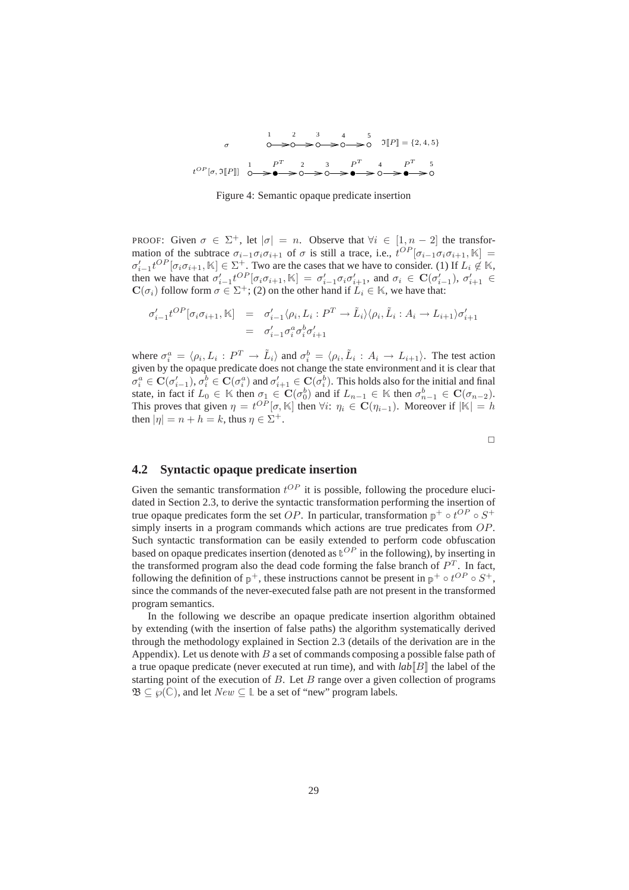

Figure 4: Semantic opaque predicate insertion

PROOF: Given  $\sigma \in \Sigma^+$ , let  $|\sigma| = n$ . Observe that  $\forall i \in [1, n-2]$  the transformation of the subtrace  $\sigma_{i-1}\sigma_i\sigma_{i+1}$  of  $\sigma$  is still a trace, i.e.,  $t^{OP}[\sigma_{i-1}\sigma_i\sigma_{i+1}, \mathbb{K}] =$  $\sigma'_{i-1}t^{OP}[\sigma_i\sigma_{i+1},\mathbb{K}] \in \Sigma^+$ . Two are the cases that we have to consider. (1) If  $L_i \notin \mathbb{K}$ , then we have that  $\sigma'_{i-1}t^{OP}[\sigma_i\sigma_{i+1}, \mathbb{K}] = \sigma'_{i-1}\sigma_i\sigma'_{i+1}$ , and  $\sigma_i \in \mathbf{C}(\sigma'_{i-1}), \sigma'_{i+1} \in$  $\mathbf{C}(\sigma_i)$  follow form  $\sigma \in \Sigma^+$ ; (2) on the other hand if  $L_i \in \mathbb{K}$ , we have that:

$$
\sigma'_{i-1}t^{OP}[\sigma_i\sigma_{i+1}, \mathbb{K}] = \sigma'_{i-1}\langle \rho_i, L_i : P^T \to \tilde{L}_i \rangle \langle \rho_i, \tilde{L}_i : A_i \to L_{i+1} \rangle \sigma'_{i+1}
$$
  
= 
$$
\sigma'_{i-1}\sigma_i^a \sigma_i^b \sigma'_{i+1}
$$

where  $\sigma_i^a = \langle \rho_i, L_i : P^T \to \tilde{L}_i \rangle$  and  $\sigma_i^b = \langle \rho_i, \tilde{L}_i : A_i \to L_{i+1} \rangle$ . The test action given by the opaque predicate does not change the state environment and it is clear that  $\sigma_i^a\in\mathbf{C}(\sigma_{i-1}'),\sigma_i^b\in\mathbf{C}(\sigma_i^a)$  and  $\sigma_{i+1}'\in\mathbf{C}(\sigma_i^b).$  This holds also for the initial and final state, in fact if  $L_0 \in \mathbb{K}$  then  $\sigma_1 \in \mathbf{C}(\sigma_0^b)$  and if  $L_{n-1} \in \mathbb{K}$  then  $\sigma_{n-1}^b \in \mathbf{C}(\sigma_{n-2})$ . This proves that given  $\eta = t^{OP}[\sigma, \mathbb{K}]$  then  $\forall i: \eta_i \in \mathbf{C}(\eta_{i-1})$ . Moreover if  $|\mathbb{K}| = h$ then  $|\eta| = n + h = k$ , thus  $\eta \in \Sigma^{+}$ .

 $\Box$ 

## **4.2 Syntactic opaque predicate insertion**

Given the semantic transformation  $t^{OP}$  it is possible, following the procedure elucidated in Section 2.3, to derive the syntactic transformation performing the insertion of true opaque predicates form the set OP. In particular, transformation  $p^+ \circ t^{OP} \circ S^+$ simply inserts in a program commands which actions are true predicates from  $OP$ . Such syntactic transformation can be easily extended to perform code obfuscation based on opaque predicates insertion (denoted as  $\mathbb{C}^P$  in the following), by inserting in the transformed program also the dead code forming the false branch of  $P<sup>T</sup>$ . In fact, following the definition of  $p^+$ , these instructions cannot be present in  $p^+ \circ t^{OP} \circ S^+$ , since the commands of the never-executed false path are not present in the transformed program semantics.

In the following we describe an opaque predicate insertion algorithm obtained by extending (with the insertion of false paths) the algorithm systematically derived through the methodology explained in Section 2.3 (details of the derivation are in the Appendix). Let us denote with  $B$  a set of commands composing a possible false path of a true opaque predicate (never executed at run time), and with  $\ell ab||B||$  the label of the starting point of the execution of B. Let B range over a given collection of programs  $\mathfrak{B} \subseteq \wp(\mathbb{C})$ , and let  $New \subseteq \mathbb{L}$  be a set of "new" program labels.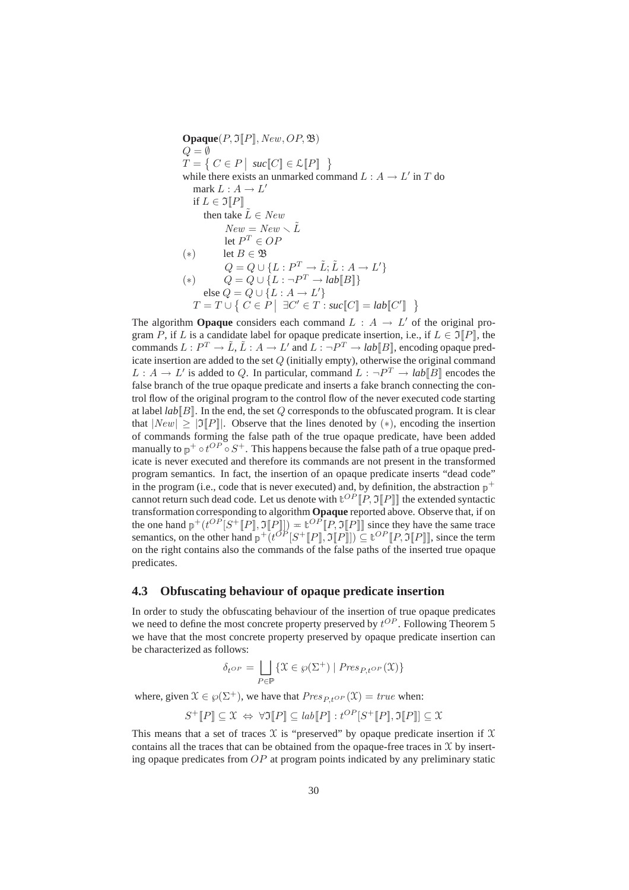**Opaque** $(P, \mathfrak{I}[[P]], \text{New}, \text{OP}, \mathfrak{B})$  $Q = \emptyset$  $T = \left\{ C \in P \mid \textit{succ}[\![C]\!] \in \mathcal{L}[\![P]\!] \right\}$ while there exists an unmarked command  $L: A \rightarrow L'$  in T do mark  $L: A \to L'$ if  $L \in \Im[P]$ then take  $\tilde{L} \in New$  $New = New \setminus \tilde{L}$ let  $P^T \in OF$ (\*) let *B* ∈  $\mathfrak{B}$  $Q = Q \cup \{L : P^T \to \tilde{L}; \tilde{L} : A \to L'\}$ (\*)  $Q = Q \cup \{L : \neg P^T \rightarrow lab[\hspace{-0.08cm}[B]\hspace{-0.08cm}] \}$ else  $Q = Q \cup \{L : A \rightarrow L'\}$  $T = T \cup \{ C \in P \mid \exists C' \in T : \textit{succ}[\hspace{-0.03cm}[C] \hspace{-0.03cm}] = \textit{lab}[\hspace{-0.03cm}[C'] \hspace{-0.03cm}] \}$ 

The algorithm **Opaque** considers each command  $L : A \rightarrow L'$  of the original program P, if L is a candidate label for opaque predicate insertion, i.e., if  $L \in \mathfrak{I}\llbracket P \rrbracket$ , the commands  $L: P^T \to \tilde{L}, \tilde{L}: A \to L'$  and  $L: \neg P^T \to lab[[B]]$ , encoding opaque predicate insertion are added to the set  $Q$  (initially empty), otherwise the original command  $L: A \to L'$  is added to Q. In particular, command  $L: \neg P^T \to lab[[B]]$  encodes the false branch of the true opaque predicate and inserts a fake branch connecting the control flow of the original program to the control flow of the never executed code starting at label  $lab[**B**]$ . In the end, the set  $Q$  corresponds to the obfuscated program. It is clear that  $|New| > |\mathfrak{I}||P||$ . Observe that the lines denoted by  $(*)$ , encoding the insertion of commands forming the false path of the true opaque predicate, have been added manually to  $p^+ \circ t^{OP} \circ S^+$ . This happens because the false path of a true opaque predicate is never executed and therefore its commands are not present in the transformed program semantics. In fact, the insertion of an opaque predicate inserts "dead code" in the program (i.e., code that is never executed) and, by definition, the abstraction  $p^+$ cannot return such dead code. Let us denote with  $\mathbb{E}^{OP}[[P, \mathfrak{I}[P]]$  the extended syntactic transformation corresponding to algorithm **Opaque** reported above. Observe that, if on the one hand  $p^+(t^{OP}[S^+[P], \Im[P]]) = t^{OP}[P, \Im[P]]$  since they have the same trace semantics, on the other hand  $p^+(t^{OP}[S^+[P], \Im[P]]) \subseteq t^{OP}[P, \Im[P]]$ , since the term on the right contains also the commands of the false paths of the inserted true opaque predicates.

### **4.3 Obfuscating behaviour of opaque predicate insertion**

In order to study the obfuscating behaviour of the insertion of true opaque predicates we need to define the most concrete property preserved by  $t^{OP}$ . Following Theorem 5 we have that the most concrete property preserved by opaque predicate insertion can be characterized as follows:

$$
\delta_{t^{OP}} = \bigsqcup_{P \in \mathbb{P}} \{ \mathcal{X} \in \wp(\Sigma^+) \mid \mathit{Pres}_{P, t^{OP}}(\mathcal{X}) \}
$$

where, given  $\mathcal{X} \in \mathcal{O}(\Sigma^+)$ , we have that  $Pres_{P+OP}(\mathcal{X}) = true$  when:

$$
S^+[\![P]\!] \subseteq \mathfrak{X} \; \Leftrightarrow \; \forall \mathfrak{I}[\![P]\!] \subseteq \mathit{lab}[\![P]\!] : t^{OP}[S^+[\![P]\!], \mathfrak{I}[\![P]\!]] \subseteq \mathfrak{X}
$$

This means that a set of traces  $X$  is "preserved" by opaque predicate insertion if  $X$ contains all the traces that can be obtained from the opaque-free traces in  $X$  by inserting opaque predicates from  $OP$  at program points indicated by any preliminary static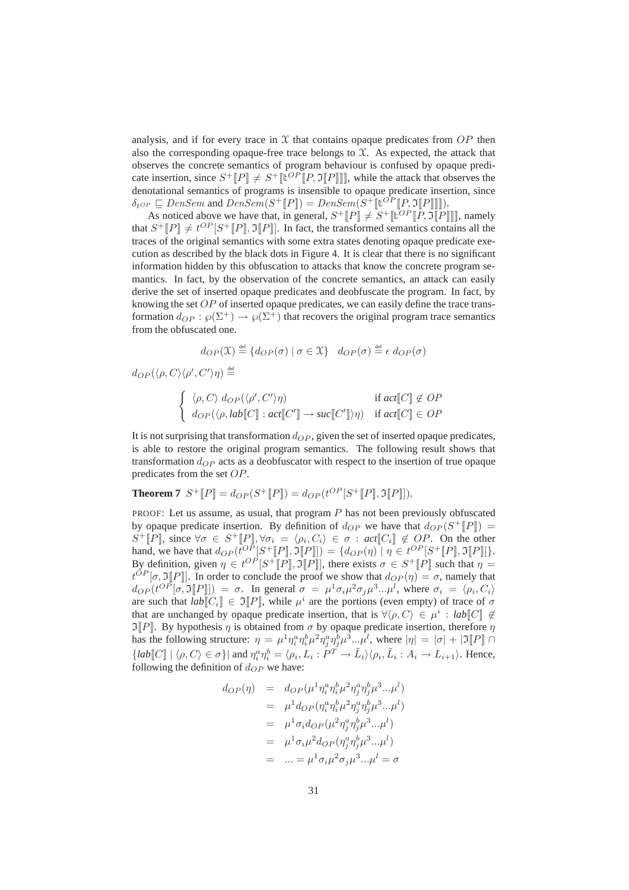analysis, and if for every trace in  $X$  that contains opaque predicates from  $OP$  then also the corresponding opaque-free trace belongs to  $\mathfrak X$ . As expected, the attack that observes the concrete semantics of program behaviour is confused by opaque predicate insertion, since  $S^+[[P]] \neq S^+[[U^{OP}[[P, \Im[[P]]]]]$ , while the attack that observes the denotational semantics of programs is insensible to opaque predicate insertion, since  $\delta_{t^{OP}} \sqsubseteq DenSem$  and  $DenSem(S^+[\![P]\!]) = DenSem(S^+[\![\mathbb{t}^{OP}[\![P,\Im[\![P]\!] \!]]).$ 

As noticed above we have that, in general,  $S^+[\![P]\!] \neq S^+[\![\mathbf{t}^{OP}[\![P, \mathbf{\Im}[\![P]\!] \!]]$ , namely that  $S^+[\![P]\!] \neq t^{OP}[S^+[\![P]\!], \mathfrak{I}[\![P]\!]]$ . In fact, the transformed semantics contains all the traces of the original semantics with some extra states denoting opaque predicate execution as described by the black dots in Figure 4. It is clear that there is no significant information hidden by this obfuscation to attacks that know the concrete program semantics. In fact, by the observation of the concrete semantics, an attack can easily derive the set of inserted opaque predicates and deobfuscate the program. In fact, by knowing the set  $OP$  of inserted opaque predicates, we can easily define the trace transformation  $d_{OP} : \wp(\Sigma^+) \to \wp(\Sigma^+)$  that recovers the original program trace semantics from the obfuscated one.

$$
d_{OP}(\mathfrak{X}) \stackrel{\text{def}}{=} \{ d_{OP}(\sigma) \mid \sigma \in \mathfrak{X} \} \quad d_{OP}(\sigma) \stackrel{\text{def}}{=} \epsilon \, d_{OP}(\sigma)
$$

 $d_{OP}(\langle \rho,C\rangle\langle \rho',C'\rangle\eta) \stackrel{\text{\tiny def}}{=}$ 

$$
\begin{cases} \langle \rho, C \rangle \, d_{OP}(\langle \rho', C' \rangle \eta) & \text{if } act[[C]] \notin OP \\ d_{OP}(\langle \rho, lab[[C]] : act[[C']] \to suc[[C']] \eta) & \text{if } act[[C]] \in OP \end{cases}
$$

It is not surprising that transformation  $d_{OP}$ , given the set of inserted opaque predicates, is able to restore the original program semantics. The following result shows that transformation  $d_{OP}$  acts as a deobfuscator with respect to the insertion of true opaque predicates from the set OP.

**Theorem 7** 
$$
S^+[P] = d_{OP}(S^+[P]) = d_{OP}(t^{OP}[S^+[P], \Im[P]]).
$$

PROOF: Let us assume, as usual, that program  $P$  has not been previously obfuscated by opaque predicate insertion. By definition of  $d_{OP}$  we have that  $d_{OP}(S^+[[P]]) =$ S<sup>+</sup>[P], since  $\forall \sigma \in S^+$ [P],  $\forall \sigma_i = \langle \rho_i, C_i \rangle \in \sigma : act[C_i] \notin OP$ . On the other hand, we have that  $d_{OP}(t^{OP}[S^+[[P], \mathfrak{I}[[P]]) = \{d_{OP}(\eta) \mid \eta \in t^{OP}[S^+[[P], \mathfrak{I}[[P]]\}.$ By definition, given  $\eta \in t^{OP}[S^+[[P], \Im[ P]],$  there exists  $\sigma \in S^+[[P]]$  such that  $\eta =$  $t^{OP}[\sigma, \Im[P]]$ . In order to conclude the proof we show that  $d_{OP}(\eta) = \sigma$ , namely that  $d_{OP}(t^{OP}[\sigma, \Im[\![P]\!]) = \sigma$ . In general  $\sigma = \mu^1 \sigma_i \mu^2 \sigma_j \mu^3 ... \mu^l$ , where  $\sigma_i = \langle \rho_i, C_i \rangle$ are such that  $lab[[C_i]] \in \mathfrak{I}[P]$ , while  $\mu^i$  are the portions (even empty) of trace of  $\sigma$ that are unchanged by opaque predicate insertion, that is  $\forall \langle \rho, C \rangle \in \mu^i : lab[[C]] \notin$  $\Im[P]$ . By hypothesis  $\eta$  is obtained from  $\sigma$  by opaque predicate insertion, therefore  $\eta$ has the following structure:  $\eta = \mu^1 \eta_i^a \eta_i^b \mu^2 \eta_j^a \eta_j^b \mu^3...\mu^l$ , where  $|\eta| = |\sigma| + |\mathfrak{I}[P]| \cap$  ${[lab[[C]] | \langle \rho, C \rangle \in \sigma]}$  and  $\eta_i^a \eta_i^b = \langle \rho_i, L_i : P^T \to \tilde{L}_i \rangle \langle \rho_i, \tilde{L}_i : A_i \to L_{i+1} \rangle$ . Hence, following the definition of  $d_{OP}$  we have:

$$
d_{OP}(\eta) = d_{OP}(\mu^{1} \eta_{i}^{a} \eta_{i}^{b} \mu^{2} \eta_{j}^{a} \eta_{j}^{b} \mu^{3} ... \mu^{l})
$$
  
\n
$$
= \mu^{1} d_{OP}(\eta_{i}^{a} \eta_{i}^{b} \mu^{2} \eta_{j}^{a} \eta_{j}^{b} \mu^{3} ... \mu^{l})
$$
  
\n
$$
= \mu^{1} \sigma_{i} d_{OP}(\mu^{2} \eta_{j}^{a} \eta_{j}^{b} \mu^{3} ... \mu^{l})
$$
  
\n
$$
= \mu^{1} \sigma_{i} \mu^{2} d_{OP}(\eta_{j}^{a} \eta_{j}^{b} \mu^{3} ... \mu^{l})
$$
  
\n
$$
= ... = \mu^{1} \sigma_{i} \mu^{2} \sigma_{j} \mu^{3} ... \mu^{l} = \sigma
$$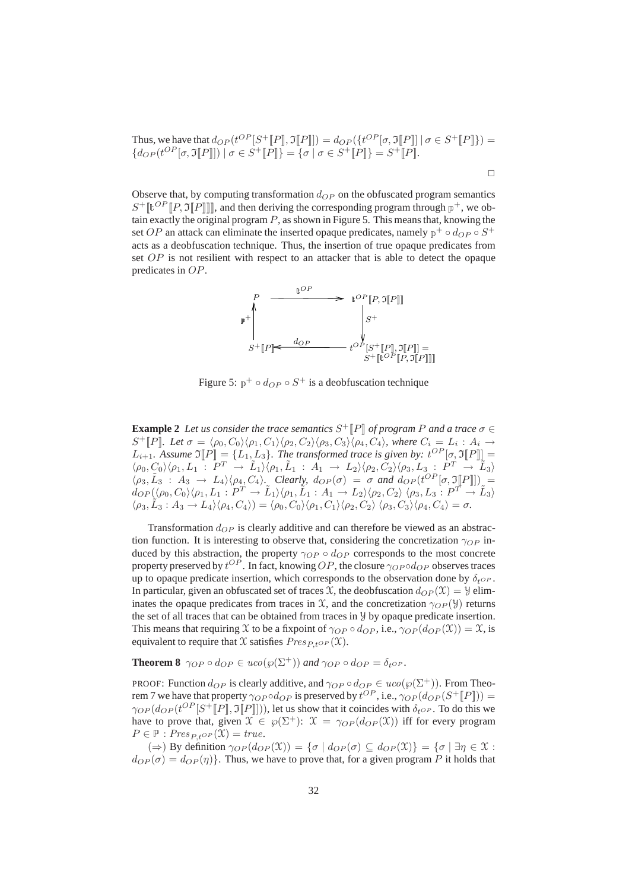Thus, we have that 
$$
d_{OP}(t^{OP}[S^+[[P]], \Im[P]]) = d_{OP}(\lbrace t^{OP}[\sigma, \Im[[P]] \mid \sigma \in S^+[[P]] \rbrace) = \lbrace d_{OP}(t^{OP}[\sigma, \Im[[P]] \mid \sigma \in S^+[[P]] \rbrace = \lbrace \sigma \mid \sigma \in S^+[[P]] \rbrace = S^+[[P]].
$$

Observe that, by computing transformation  $d_{OP}$  on the obfuscated program semantics  $S^+[\![\mathbf{t}^{OP}[\![P, \mathbf{\Im}[\![P]\!] ]\!]$ , and then deriving the corresponding program through  $p^+$ , we obtain exactly the original program  $P$ , as shown in Figure 5. This means that, knowing the set OP an attack can eliminate the inserted opaque predicates, namely  $p^+ \circ d_{OP} \circ S^+$ acts as a deobfuscation technique. Thus, the insertion of true opaque predicates from set  $OP$  is not resilient with respect to an attacker that is able to detect the opaque predicates in OP.



Figure 5:  $p^+ \circ d_{OP} \circ S^+$  is a deobfuscation technique

**Example 2** Let us consider the trace semantics  $S^+$  [P] of program P and a trace  $\sigma \in$  $S^+[[P]]$ *. Let*  $\sigma = \langle \rho_0, C_0 \rangle \langle \rho_1, C_1 \rangle \langle \rho_2, C_2 \rangle \langle \rho_3, C_3 \rangle \langle \rho_4, C_4 \rangle$ *, where*  $C_i = L_i : A_i \rightarrow$  $L_{i+1}$ . Assume  $\mathfrak{I}[P] = \{L_1, L_3\}$ . The transformed trace is given by:  $t^{OP}[\sigma, \mathfrak{I}[P]] =$  $\langle \rho_0, C_0 \rangle \langle \rho_1, L_1 : P^T \rightarrow \tilde{L}_1 \rangle \langle \rho_1, \tilde{L}_1 : A_1 \rightarrow L_2 \rangle \langle \rho_2, C_2 \rangle \langle \rho_3, L_3 : P^T \rightarrow \tilde{L}_3 \rangle$  $\langle \rho_3, \tilde{L}_3 : A_3 \to L_4 \rangle \langle \rho_4, C_4 \rangle$ . Clearly,  $d_{OP}(\sigma) = \sigma$  and  $d_{OP}(t^{OP}[\sigma, \mathfrak{I}[\![P]\!]]) =$  $d_{OP}(\langle\rho_0,C_0\rangle\langle\rho_1,L_1:P^T\rightarrow \tilde{L}_1\rangle\langle\rho_1,\tilde{L}_1:A_1\rightarrow L_2\rangle\langle\rho_2,C_2\rangle\,\langle\rho_3,L_3:P^T\rightarrow \tilde{L}_3\rangle$  $\langle \rho_3, \tilde{L}_3 : A_3 \to L_4 \rangle \langle \rho_4, C_4 \rangle) = \langle \rho_0, C_0 \rangle \langle \rho_1, C_1 \rangle \langle \rho_2, C_2 \rangle \langle \rho_3, C_3 \rangle \langle \rho_4, C_4 \rangle = \sigma.$ 

Transformation  $d_{OP}$  is clearly additive and can therefore be viewed as an abstraction function. It is interesting to observe that, considering the concretization  $\gamma_{OP}$  induced by this abstraction, the property  $\gamma_{OP} \circ d_{OP}$  corresponds to the most concrete property preserved by  $t^{OP}$  . In fact, knowing  $OP$ , the closure  $\gamma_{OP}$  od $_{OP}$  observes traces up to opaque predicate insertion, which corresponds to the observation done by  $\delta_{t^{OP}}$ . In particular, given an obfuscated set of traces X, the deobfuscation  $d_{OP}(\mathfrak{X}) = \mathfrak{Y}$  eliminates the opaque predicates from traces in  $\mathfrak X$ , and the concretization  $\gamma_{OP}(\mathcal Y)$  returns the set of all traces that can be obtained from traces in Y by opaque predicate insertion. This means that requiring X to be a fixpoint of  $\gamma_{OP} \circ d_{OP}$ , i.e.,  $\gamma_{OP}(d_{OP}(\mathfrak{X})) = \mathfrak{X}$ , is equivalent to require that X satisfies  $Pres_{P\, to P}(\mathfrak{X})$ .

**Theorem 8**  $\gamma_{OP} \circ d_{OP} \in uco(\wp(\Sigma^+))$  *and*  $\gamma_{OP} \circ d_{OP} = \delta_{t^{OP}}$ *.* 

PROOF: Function  $d_{OP}$  is clearly additive, and  $\gamma_{OP} \circ d_{OP} \in uco(\wp(\Sigma^+))$ . From Theorem 7 we have that property  $\gamma_{OP} \circ d_{OP}$  is preserved by  $t^{OP}$ , i.e.,  $\gamma_{OP}(d_{OP}(S^+ \llbracket P \rrbracket)) =$  $\gamma_{OP}(d_{OP}(t^{OP}[S^+[P], \mathfrak{I}[[P]])))$ , let us show that it coincides with  $\delta_{t^{OP}}$ . To do this we have to prove that, given  $\mathfrak{X} \in \mathfrak{g}(\Sigma^+)$ :  $\mathfrak{X} = \gamma_{OP}(d_{OP}(\mathfrak{X}))$  iff for every program  $P \in \mathbb{P} : Pres_{P,t^{OP}}(\mathfrak{X}) = true.$ 

 $(\Rightarrow)$  By definition  $\gamma_{OP}(d_{OP}(\mathfrak{X})) = {\sigma | d_{OP}(\sigma) \subseteq d_{OP}(\mathfrak{X})} = {\sigma | \exists \eta \in \mathfrak{X}}$ :  $d_{OP}(\sigma) = d_{OP}(\eta)$ . Thus, we have to prove that, for a given program P it holds that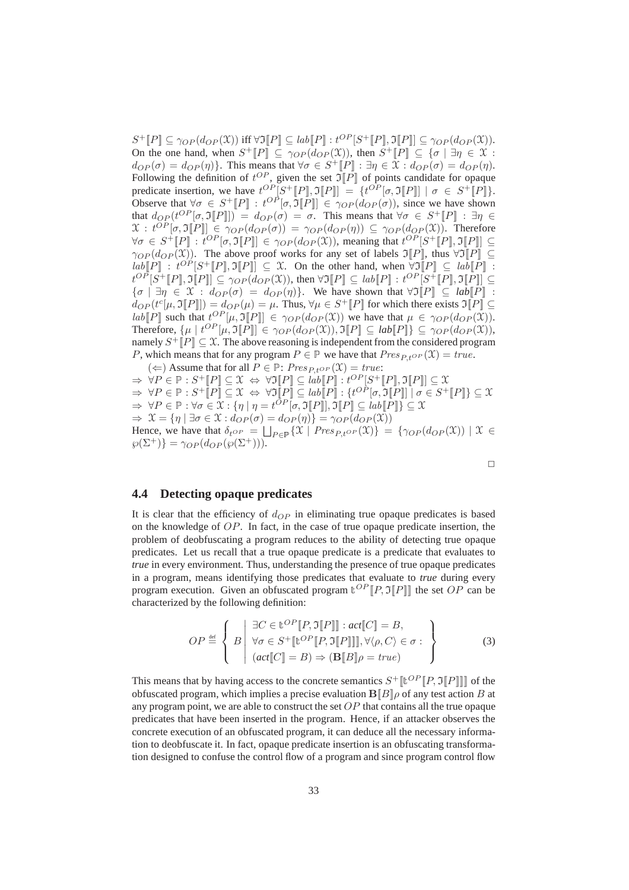$S^+[[P]] \subseteq \gamma_{OP}(d_{OP}(\mathfrak{X}))$  iff  $\forall \mathfrak{I}[P]] \subseteq lab[[P]] : t^{OP}[S^+[[P]], \mathfrak{I}[P]]] \subseteq \gamma_{OP}(d_{OP}(\mathfrak{X})).$ On the one hand, when  $S^+[\![P]\!] \subseteq \gamma_{OP}(d_{OP}(\mathfrak{X}))$ , then  $S^+[\![P]\!] \subseteq {\sigma | \exists \eta \in \mathfrak{X}}$ :  $d_{OP}(\sigma) = d_{OP}(\eta)$ . This means that  $\forall \sigma \in S^+[\![P]\!] : \exists \eta \in \mathfrak{X} : d_{OP}(\sigma) = d_{OP}(\eta)$ . Following the definition of  $t^{OP}$ , given the set  $\mathfrak{I}[\![P]\!]$  of points candidate for opaque predicate insertion, we have  $t^{OP}[S^+[[P], \mathfrak{I}[P]] = \{t^{OP}[\sigma, \mathfrak{I}[P]] \mid \sigma \in S^+[[P]]\}.$ Observe that  $\forall \sigma \in S^+[\![P]\!] : t^{OP}[\sigma, \Im[\![P]\!] \in \gamma_{OP}(d_{OP}(\sigma))$ , since we have shown that  $d_{OP}(t^{OP}[\sigma, \mathfrak{I}[\![P]\!]]) = d_{OP}(\sigma) = \sigma$ . This means that  $\forall \sigma \in S^+[\![P]\!] : \exists \eta \in S$  $\mathfrak{X}: t^{OP}[\sigma, \mathfrak{I}\llbracket P \rrbracket] \in \gamma_{OP}(d_{OP}(\sigma)) = \gamma_{OP}(d_{OP}(\eta)) \subseteq \gamma_{OP}(d_{OP}(\mathfrak{X}))$ . Therefore  $\forall \sigma \in S^+[\![P]\!] : t^{OP}[\sigma, \Im[\![P]\!] \in \gamma_{OP}(d_{OP}(\mathfrak{X})),$  meaning that  $t^{OP}[S^+[\![P]\!], \Im[\![P]\!] \subseteq$  $\gamma_{OP}(d_{OP}(\mathfrak{X}))$ . The above proof works for any set of labels  $\mathfrak{I}\llbracket P \rrbracket$ , thus  $\forall \mathfrak{I}\llbracket P \rrbracket \subseteq$  $lab[[P]] : t^{OP}[S^+[[P], \mathfrak{I}[P]]] \subseteq \mathfrak{X}$ . On the other hand, when  $\forall \mathfrak{I}[P]] \subseteq lab[[P]]$ :  $t^{OP}[S^+[[P], \mathfrak{I}[P]] \subseteq \gamma_{OP}(d_{OP}(\mathfrak{X}))$ , then  $\forall \mathfrak{I}[P]] \subseteq lab[[P]] : t^{OP}[S^+[[P], \mathfrak{I}[P]]] \subseteq$  ${\sigma \mid \exists \eta \in \mathcal{X} : d_{OP}(\sigma) = d_{OP}(\eta)}$ . We have shown that  $\forall \mathfrak{I}[P] \subseteq lab[P]$ :  $d_{OP}(t^c[\mu, \Im[\![P]\!]]) = d_{OP}(\mu) = \mu$ . Thus,  $\forall \mu \in S^+[\![P]\!]$  for which there exists  $\Im[\![P]\!] \subseteq$ lab[P] such that  $t^{OP}[\mu, \Im[P]] \in \gamma_{OP}(d_{OP}(\mathfrak{X}))$  we have that  $\mu \in \gamma_{OP}(d_{OP}(\mathfrak{X}))$ . Therefore,  $\{\mu \mid t^{OP}[\mu, \Im[\![\vec{P}]\!] ] \in \gamma_{OP}(d_{OP}(\mathfrak{X})), \Im[\![\vec{P}]\!] \subseteq lab[\![\vec{P}]\!] \} \subseteq \gamma_{OP}(d_{OP}(\mathfrak{X})),$ namely  $S^+[\![P]\!] \subseteq \mathfrak{X}$ . The above reasoning is independent from the considered program P, which means that for any program  $P \in \mathbb{P}$  we have that  $Pres_{P\downarrow OP}(\mathfrak{X}) = true$ .

(  $\Leftarrow$  ) Assume that for all *P* ∈ *P*: *Pres*<sub>*P*+*OP*</sub>( $\mathcal{X}$ ) = true:  $\Rightarrow \forall P \in \mathbb{P}: S^+[\![P]\!] \subseteq \mathfrak{X} \Leftrightarrow \forall \mathfrak{I}[\![P]\!] \subseteq \mathit{lab}[\![P]\!] : t^{OP}[S^+[\![P]\!], \mathfrak{I}[\![P]\!]] \subseteq \mathfrak{X}$  $\Rightarrow \forall P \in \mathbb{P}: S^+[\![P]\!] \subseteq \mathfrak{X} \; \Leftrightarrow \; \forall \mathfrak{I}[\![P]\!] \subseteq lab[\![P]\!] : \{t^{OP}[\sigma, \mathfrak{I}[\![P]\!] \mid \sigma \in S^+[\![P]\!] \} \subseteq \mathfrak{X}$  $\Rightarrow \forall P \in \mathbb{P} : \forall \sigma \in \mathcal{X} : \{\eta \mid \eta = t^{\bar{O}P}[\sigma, \Im[\![P]\!]], \Im[\![P]\!] \subseteq lab[\![P]\!] \} \subseteq \mathcal{X}$  $\Rightarrow \mathcal{X} = \{\eta \mid \exists \sigma \in \mathcal{X} : d_{OP}(\sigma) = d_{OP}(\eta)\} = \gamma_{OP}(d_{OP}(\mathcal{X}))$ Hence, we have that  $\delta_{t^{OP}} = \bigsqcup_{P \in \mathbb{P}} \{ \mathcal{X} \mid \text{Pres}_{P, t^{OP}}(\mathcal{X}) \} = \{ \gamma_{OP}(d_{OP}(\mathcal{X})) \mid \mathcal{X} \in$  $\wp(\Sigma^+) = \gamma_{OP}(d_{OP}(\wp(\Sigma^+))).$ 

 $\Box$ 

## **4.4 Detecting opaque predicates**

It is clear that the efficiency of  $d_{OP}$  in eliminating true opaque predicates is based on the knowledge of  $OP$ . In fact, in the case of true opaque predicate insertion, the problem of deobfuscating a program reduces to the ability of detecting true opaque predicates. Let us recall that a true opaque predicate is a predicate that evaluates to *true* in every environment. Thus, understanding the presence of true opaque predicates in a program, means identifying those predicates that evaluate to *true* during every program execution. Given an obfuscated program  $\mathbf{t}^{OP}[[P, \mathfrak{I}][P]]$  the set OP can be characterized by the following definition:

$$
OP \stackrel{\text{def}}{=} \left\{ B \middle| \begin{array}{l} \exists C \in \mathbb{t}^{OP} [P, \Im[P]] : act[C] = B, \\ \forall \sigma \in S^+ [ \mathbb{t}^{OP} [P, \Im[P]]], \forall \langle \rho, C \rangle \in \sigma : \\ (act[C] = B) \Rightarrow (\mathbf{B}[B] \rho = true) \end{array} \right\}
$$
(3)

This means that by having access to the concrete semantics  $S^+$  [ $\ell^{OP}[P, \mathfrak{I}[P]]$ ] of the obfuscated program, which implies a precise evaluation  $\mathbf{B}[\![B]\!] \rho$  of any test action B at any program point, we are able to construct the set  $OP$  that contains all the true opaque predicates that have been inserted in the program. Hence, if an attacker observes the concrete execution of an obfuscated program, it can deduce all the necessary information to deobfuscate it. In fact, opaque predicate insertion is an obfuscating transformation designed to confuse the control flow of a program and since program control flow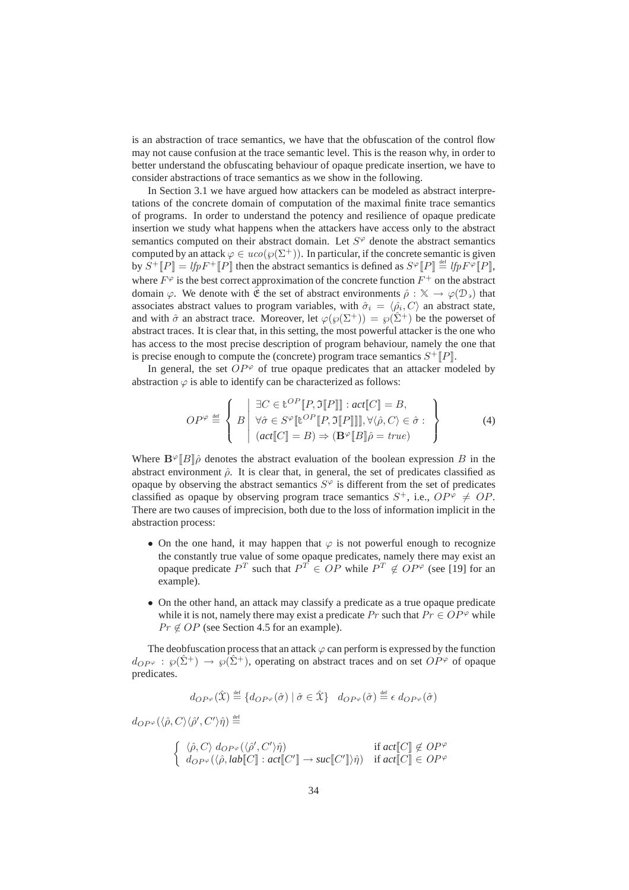is an abstraction of trace semantics, we have that the obfuscation of the control flow may not cause confusion at the trace semantic level. This is the reason why, in order to better understand the obfuscating behaviour of opaque predicate insertion, we have to consider abstractions of trace semantics as we show in the following.

In Section 3.1 we have argued how attackers can be modeled as abstract interpretations of the concrete domain of computation of the maximal finite trace semantics of programs. In order to understand the potency and resilience of opaque predicate insertion we study what happens when the attackers have access only to the abstract semantics computed on their abstract domain. Let  $S<sup>\varphi</sup>$  denote the abstract semantics computed by an attack  $\varphi \in uco(\varphi(\Sigma^+))$ . In particular, if the concrete semantic is given by  $S^+[[P]] = lfpF^+[[P]]$  then the abstract semantics is defined as  $S^{\varphi}[P]] \stackrel{\text{def}}{=} lfpF^{\varphi}[P]$ , where  $F^{\varphi}$  is the best correct approximation of the concrete function  $F^+$  on the abstract domain  $\varphi$ . We denote with  $\hat{\mathfrak{E}}$  the set of abstract environments  $\hat{\rho}: \mathbb{X} \to \varphi(\mathcal{D})$  that associates abstract values to program variables, with  $\hat{\sigma}_i = \langle \hat{\rho}_i, C \rangle$  an abstract state, and with  $\hat{\sigma}$  an abstract trace. Moreover, let  $\varphi(\varphi(\Sigma^+)) = \varphi(\hat{\Sigma}^+)$  be the powerset of abstract traces. It is clear that, in this setting, the most powerful attacker is the one who has access to the most precise description of program behaviour, namely the one that is precise enough to compute the (concrete) program trace semantics  $S^+[[P]]$ .

In general, the set  $OP^{\varphi}$  of true opaque predicates that an attacker modeled by abstraction  $\varphi$  is able to identify can be characterized as follows:

$$
OP^{\varphi} \stackrel{\text{def}}{=} \left\{ B \middle| \begin{array}{l} \exists C \in \mathbb{t}^{OP} [P, \Im[P]] : act[C] = B, \\ \forall \hat{\sigma} \in S^{\varphi} [ \mathbb{t}^{OP} [P, \Im[P]]], \forall \langle \hat{\rho}, C \rangle \in \hat{\sigma} : \\ (act[C] = B) \Rightarrow (\mathbf{B}^{\varphi} [B] \hat{\rho} = true) \end{array} \right\}
$$
(4)

Where  $\mathbf{B}^{\varphi}||B||\hat{\rho}$  denotes the abstract evaluation of the boolean expression B in the abstract environment  $\hat{\rho}$ . It is clear that, in general, the set of predicates classified as opaque by observing the abstract semantics  $S^{\varphi}$  is different from the set of predicates classified as opaque by observing program trace semantics  $S^+$ , i.e.,  $OP^{\varphi} \neq OP$ . There are two causes of imprecision, both due to the loss of information implicit in the abstraction process:

- On the one hand, it may happen that  $\varphi$  is not powerful enough to recognize the constantly true value of some opaque predicates, namely there may exist an opaque predicate  $P^T$  such that  $P^T \in OP$  while  $P^T \notin OP^{\varphi}$  (see [19] for an example).
- On the other hand, an attack may classify a predicate as a true opaque predicate while it is not, namely there may exist a predicate Pr such that  $Pr \in OP^{\varphi}$  while  $Pr \notin OP$  (see Section 4.5 for an example).

The deobfuscation process that an attack  $\varphi$  can perform is expressed by the function  $d_{OP\varphi}: \varphi(\hat{\Sigma}^+) \to \varphi(\hat{\Sigma}^+)$ , operating on abstract traces and on set  $OP^{\varphi}$  of opaque predicates.

$$
d_{OP^{\varphi}}(\hat{\mathbf{X}}) \stackrel{\text{def}}{=} \{ d_{OP^{\varphi}}(\hat{\sigma}) \mid \hat{\sigma} \in \hat{\mathbf{X}} \} \quad d_{OP^{\varphi}}(\hat{\sigma}) \stackrel{\text{def}}{=} \epsilon \; d_{OP^{\varphi}}(\hat{\sigma})
$$

 $d_{OP^{\varphi}}(\langle \hat{\rho},C\rangle\langle \hat{\rho}',C'\rangle\hat{\eta})\stackrel{\scriptscriptstyle\rm def}{=}$ 

$$
\begin{cases} \langle \hat{\rho}, C \rangle \, d_{OP^{\varphi}}(\langle \hat{\rho}', C' \rangle \hat{\eta}) & \text{if } act[[C]] \notin OP^{\varphi} \\ d_{OP^{\varphi}}(\langle \hat{\rho}, lab[[C]] : act[[C']] \to suc[[C']] \rangle \hat{\eta}) & \text{if } act[[C]] \in OP^{\varphi} \end{cases}
$$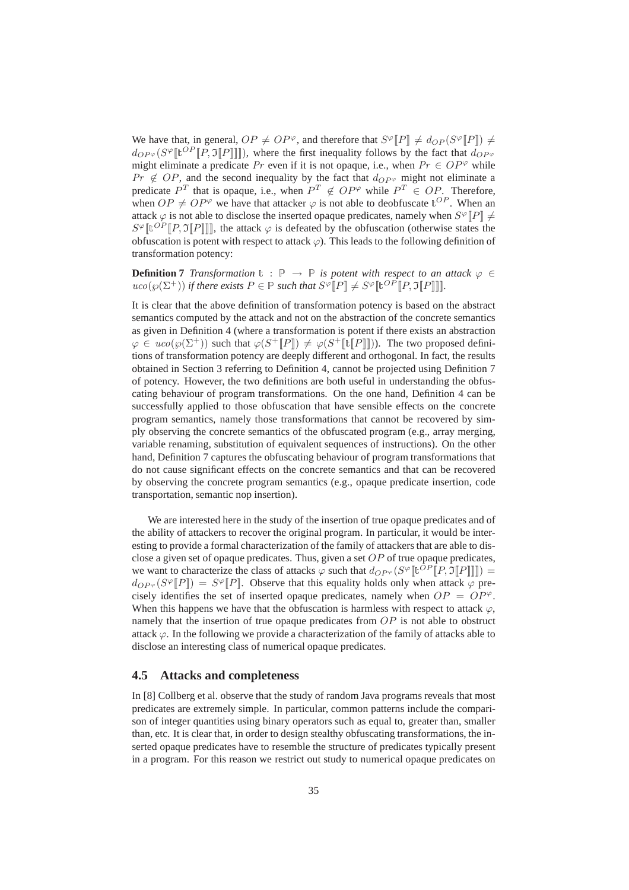We have that, in general,  $OP \neq OP^{\varphi}$ , and therefore that  $S^{\varphi}[[P]] \neq d_{OP}(S^{\varphi}[[P]]) \neq$  $d_{OP^{\varphi}}(S^{\varphi}[\![\mathbf{t}^{OP}[\![P, \mathfrak{I}[\![P]\!] \!]]])$ , where the first inequality follows by the fact that  $d_{OP^{\varphi}}$ might eliminate a predicate Pr even if it is not opaque, i.e., when  $Pr \in OP^{\varphi}$  while  $Pr \notin OP$ , and the second inequality by the fact that  $d_{OP} \varphi$  might not eliminate a predicate  $P^T$  that is opaque, i.e., when  $P^T \notin OP^{\varphi}$  while  $P^T \in OP$ . Therefore, when  $OP \neq OP^{\varphi}$  we have that attacker  $\varphi$  is not able to deobfuscate  $t^{OP}$ . When an attack  $\varphi$  is not able to disclose the inserted opaque predicates, namely when  $S^{\varphi}[\![P]\!] \neq \emptyset$  $S^{\varphi}[\![\mathbf{t}^{OP}[\![P, \mathfrak{I}[\![P]\!] ]\!]$ , the attack  $\varphi$  is defeated by the obfuscation (otherwise states the obfuscation is potent with respect to attack  $\varphi$ ). This leads to the following definition of transformation potency:

**Definition 7** *Transformation*  $\mathbb{t} : \mathbb{P} \to \mathbb{P}$  *is potent with respect to an attack*  $\varphi \in$  $uco(\wp(\Sigma^+))$  *if there exists*  $P \in \mathbb{P}$  *such that*  $S^{\varphi}[\![P]\!] \neq S^{\varphi}[\![v] \in [P, \mathfrak{I}[\![P]\!] ]\!]$ .

It is clear that the above definition of transformation potency is based on the abstract semantics computed by the attack and not on the abstraction of the concrete semantics as given in Definition 4 (where a transformation is potent if there exists an abstraction  $\varphi \in uco(\varphi(\Sigma^+))$  such that  $\varphi(S^+[[P]]) \neq \varphi(S^+[[P]]])$ . The two proposed definitions of transformation potency are deeply different and orthogonal. In fact, the results obtained in Section 3 referring to Definition 4, cannot be projected using Definition 7 of potency. However, the two definitions are both useful in understanding the obfuscating behaviour of program transformations. On the one hand, Definition 4 can be successfully applied to those obfuscation that have sensible effects on the concrete program semantics, namely those transformations that cannot be recovered by simply observing the concrete semantics of the obfuscated program (e.g., array merging, variable renaming, substitution of equivalent sequences of instructions). On the other hand, Definition 7 captures the obfuscating behaviour of program transformations that do not cause significant effects on the concrete semantics and that can be recovered by observing the concrete program semantics (e.g., opaque predicate insertion, code transportation, semantic nop insertion).

We are interested here in the study of the insertion of true opaque predicates and of the ability of attackers to recover the original program. In particular, it would be interesting to provide a formal characterization of the family of attackers that are able to disclose a given set of opaque predicates. Thus, given a set  $OP$  of true opaque predicates, we want to characterize the class of attacks  $\varphi$  such that  $d_{OP} \varphi(S^{\varphi}[\![\mathbf{t}^{OP}[\![P,\mathfrak{I}[\![P]\!] ]\!]] ) =$  $d_{OP^{\varphi}}(S^{\varphi}[[P]]) = S^{\varphi}[[P]]$ . Observe that this equality holds only when attack  $\varphi$  precisely identifies the set of inserted opaque predicates, namely when  $OP = OP^{\varphi}$ . When this happens we have that the obfuscation is harmless with respect to attack  $\varphi$ . namely that the insertion of true opaque predicates from  $OP$  is not able to obstruct attack  $\varphi$ . In the following we provide a characterization of the family of attacks able to disclose an interesting class of numerical opaque predicates.

#### **4.5 Attacks and completeness**

In [8] Collberg et al. observe that the study of random Java programs reveals that most predicates are extremely simple. In particular, common patterns include the comparison of integer quantities using binary operators such as equal to, greater than, smaller than, etc. It is clear that, in order to design stealthy obfuscating transformations, the inserted opaque predicates have to resemble the structure of predicates typically present in a program. For this reason we restrict out study to numerical opaque predicates on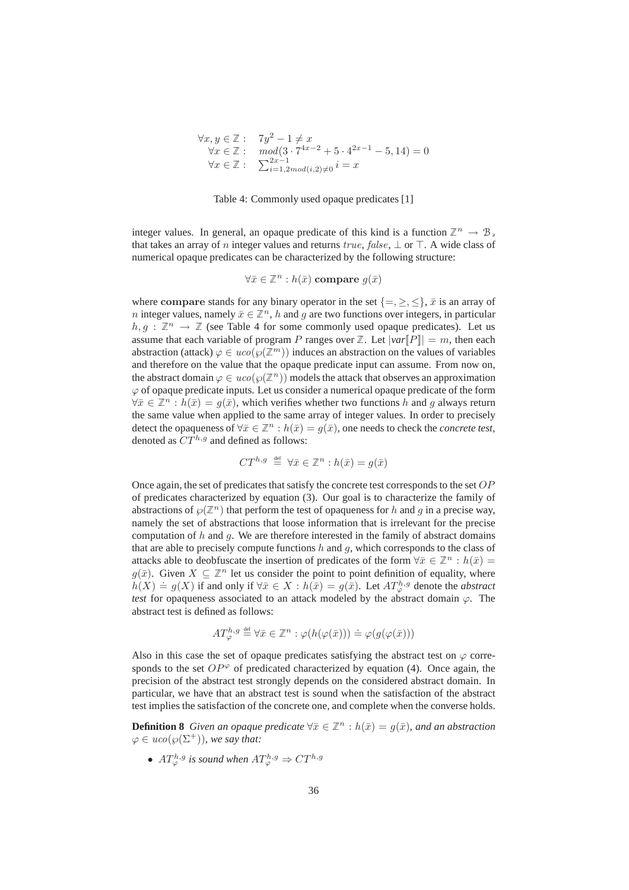$$
\forall x, y \in \mathbb{Z}: \quad 7y^2 - 1 \neq x
$$
  
\n
$$
\forall x \in \mathbb{Z}: \quad mod(3 \cdot 7^{4x-2} + 5 \cdot 4^{2x-1} - 5, 14) = 0
$$
  
\n
$$
\forall x \in \mathbb{Z}: \quad \sum_{i=1, 2 \text{ mod}(i, 2) \neq 0}^{2x-1} i = x
$$

Table 4: Commonly used opaque predicates [1]

integer values. In general, an opaque predicate of this kind is a function  $\mathbb{Z}^n \to \mathbb{B}$ , that takes an array of n integer values and returns true, false,  $\perp$  or  $\top$ . A wide class of numerical opaque predicates can be characterized by the following structure:

$$
\forall \bar{x} \in \mathbb{Z}^n : h(\bar{x}) \text{ compare } g(\bar{x})
$$

where compare stands for any binary operator in the set  $\{=\leq,\leq\}$ ,  $\bar{x}$  is an array of *n* integer values, namely  $\bar{x} \in \mathbb{Z}^n$ , *h* and *g* are two functions over integers, in particular  $h, g : \mathbb{Z}^n \to \mathbb{Z}$  (see Table 4 for some commonly used opaque predicates). Let us assume that each variable of program P ranges over  $\mathbb{Z}$ . Let  $|var[P]| = m$ , then each abstraction (attack)  $\varphi \in uco(\varphi(\mathbb{Z}^m))$  induces an abstraction on the values of variables and therefore on the value that the opaque predicate input can assume. From now on, the abstract domain  $\varphi \in uco(\varphi(\mathbb{Z}^n))$  models the attack that observes an approximation  $\varphi$  of opaque predicate inputs. Let us consider a numerical opaque predicate of the form  $\forall \bar{x} \in \mathbb{Z}^n : h(\bar{x}) = q(\bar{x})$ , which verifies whether two functions h and q always return the same value when applied to the same array of integer values. In order to precisely detect the opaqueness of  $\forall \bar{x} \in \mathbb{Z}^n : h(\bar{x}) = g(\bar{x})$ , one needs to check the *concrete test*, denoted as  $CT^{h,g}$  and defined as follows:

$$
CT^{h,g} \stackrel{\text{def}}{=} \forall \bar{x} \in \mathbb{Z}^n : h(\bar{x}) = g(\bar{x})
$$

Once again, the set of predicates that satisfy the concrete test corresponds to the set  $OP$ of predicates characterized by equation (3). Our goal is to characterize the family of abstractions of  $\wp(\mathbb{Z}^n)$  that perform the test of opaqueness for h and g in a precise way, namely the set of abstractions that loose information that is irrelevant for the precise computation of  $h$  and  $g$ . We are therefore interested in the family of abstract domains that are able to precisely compute functions  $h$  and  $g$ , which corresponds to the class of attacks able to deobfuscate the insertion of predicates of the form  $\forall \bar{x} \in \mathbb{Z}^n : h(\bar{x}) =$  $g(\bar{x})$ . Given  $X \subseteq \mathbb{Z}^n$  let us consider the point to point definition of equality, where  $h(X) \doteq g(X)$  if and only if  $\forall \bar{x} \in X : h(\bar{x}) = g(\bar{x})$ . Let  $AT_p^{h,g}$  denote the *abstract test* for opaqueness associated to an attack modeled by the abstract domain  $\varphi$ . The abstract test is defined as follows:

$$
AT_{\varphi}^{h,g} \stackrel{\text{def}}{=} \forall \bar{x} \in \mathbb{Z}^n : \varphi(h(\varphi(\bar{x}))) \doteq \varphi(g(\varphi(\bar{x})))
$$

Also in this case the set of opaque predicates satisfying the abstract test on  $\varphi$  corresponds to the set  $OP^{\varphi}$  of predicated characterized by equation (4). Once again, the precision of the abstract test strongly depends on the considered abstract domain. In particular, we have that an abstract test is sound when the satisfaction of the abstract test implies the satisfaction of the concrete one, and complete when the converse holds.

**Definition 8** *Given an opaque predicate*  $\forall \bar{x} \in \mathbb{Z}^n : h(\bar{x}) = g(\bar{x})$ *, and an abstraction*  $\varphi \in uco(\varphi(\Sigma^+))$ *, we say that:* 

•  $AT_{\varphi}^{h,g}$  is sound when  $AT_{\varphi}^{h,g} \Rightarrow CT^{h,g}$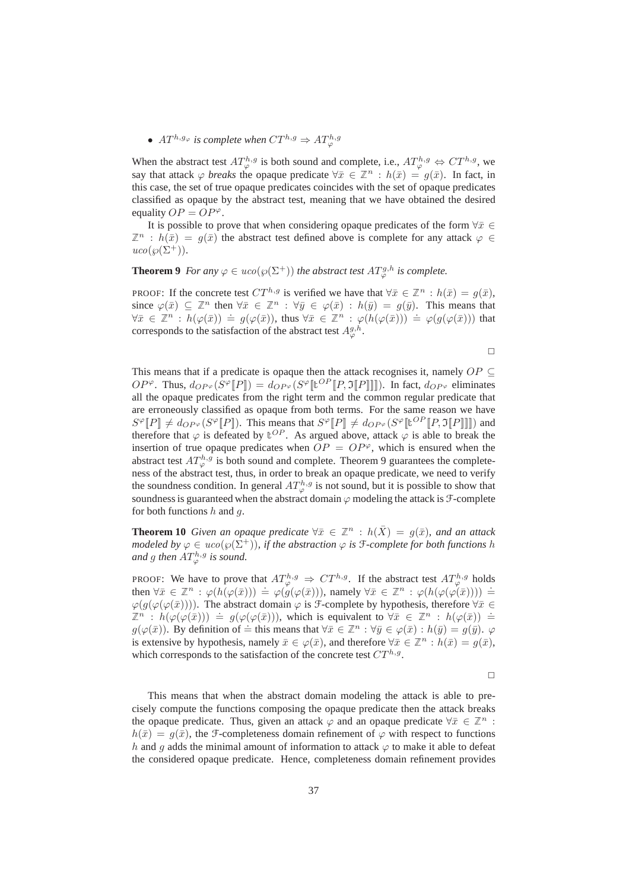## •  $AT^{h,g_{\varphi}}$  is complete when  $CT^{h,g} \Rightarrow AT^{h,g_{\varphi}}_{\varphi}$

When the abstract test  $AT_{\varphi}^{h,g}$  is both sound and complete, i.e.,  $AT_{\varphi}^{h,g} \Leftrightarrow CT^{h,g}$ , we say that attack  $\varphi$  *breaks* the opaque predicate  $\forall \bar{x} \in \mathbb{Z}^n : h(\bar{x}) = g(\bar{x})$ . In fact, in this case, the set of true opaque predicates coincides with the set of opaque predicates classified as opaque by the abstract test, meaning that we have obtained the desired equality  $OP = OP^{\varphi}$ .

It is possible to prove that when considering opaque predicates of the form  $\forall \bar{x} \in \mathbb{R}$  $\mathbb{Z}^n$ :  $h(\bar{x}) = q(\bar{x})$  the abstract test defined above is complete for any attack  $\varphi \in$  $uco(\wp(\Sigma^+)).$ 

## **Theorem 9** *For any*  $\varphi \in uco(\varphi(\Sigma^+))$  *the abstract test*  $AT_{\varphi}^{g,h}$  *is complete.*

PROOF: If the concrete test  $CT^{h,g}$  is verified we have that  $\forall \bar{x} \in \mathbb{Z}^n : h(\bar{x}) = g(\bar{x}),$ since  $\varphi(\bar{x}) \subseteq \mathbb{Z}^n$  then  $\forall \bar{x} \in \mathbb{Z}^n : \forall \bar{y} \in \varphi(\bar{x}) : h(\bar{y}) = g(\bar{y})$ . This means that  $\forall \bar{x} \in \mathbb{Z}^n : h(\varphi(\bar{x})) \doteq g(\varphi(\bar{x}))$ , thus  $\forall \bar{x} \in \mathbb{Z}^n : \varphi(h(\varphi(\bar{x}))) \doteq \varphi(g(\varphi(\bar{x})))$  that corresponds to the satisfaction of the abstract test  $A_{\varphi}^{g,h}$ .

 $\Box$ 

This means that if a predicate is opaque then the attack recognises it, namely  $OP \subseteq$  $OP^{\varphi}$ . Thus,  $d_{OP^{\varphi}}(S^{\varphi}[[P]]) = d_{OP^{\varphi}}(S^{\varphi}[[U^{OP}[[P, \mathfrak{I}[P]]]]))$ . In fact,  $d_{OP^{\varphi}}$  eliminates all the opaque predicates from the right term and the common regular predicate that are erroneously classified as opaque from both terms. For the same reason we have  $S^{\varphi}[P] \neq d_{OP^{\varphi}}(S^{\varphi}[P])$ . This means that  $S^{\varphi}[P] \neq d_{OP^{\varphi}}(S^{\varphi}[{\lbrack\mathbb{L}}^{OP}[P,\mathfrak{I}[P]]])$  and therefore that  $\varphi$  is defeated by  $\mathbb{E}^{OP}$ . As argued above, attack  $\varphi$  is able to break the insertion of true opaque predicates when  $OP = OP^{\varphi}$ , which is ensured when the abstract test  $AT_{\varphi}^{h,g}$  is both sound and complete. Theorem 9 guarantees the completeness of the abstract test, thus, in order to break an opaque predicate, we need to verify the soundness condition. In general  $AT_{\varphi}^{h,g}$  is not sound, but it is possible to show that soundness is guaranteed when the abstract domain  $\varphi$  modeling the attack is  $\mathcal{F}$ -complete for both functions  $h$  and  $q$ .

**Theorem 10** *Given an opaque predicate*  $\forall \bar{x} \in \mathbb{Z}^n : h(\bar{X}) = q(\bar{x})$ *, and an attack modeled by*  $\varphi \in uco(\varphi(\Sigma^+))$ *, if the abstraction*  $\varphi$  *is*  $\mathcal F$ -*complete for both functions h* and g then  $AT^{h,g}_{\varphi}$  is sound.

PROOF: We have to prove that  $AT^{h,g}_{\varphi} \Rightarrow CT^{h,g}$ . If the abstract test  $AT^{h,g}_{\varphi}$  holds then  $\forall \bar{x} \in \mathbb{Z}^n : \varphi(h(\varphi(\bar{x}))) \doteq \varphi(g(\varphi(\bar{x}))),$  namely  $\forall \bar{x} \in \mathbb{Z}^n : \varphi(h(\varphi(\varphi(\bar{x})))) \doteq$  $\varphi(g(\varphi(\bar{x})))$ . The abstract domain  $\varphi$  is *F*-complete by hypothesis, therefore  $\forall \bar{x} \in$  $\mathbb{Z}^n : h(\varphi(\varphi(\bar{x}))) \doteq g(\varphi(\varphi(\bar{x}))),$  which is equivalent to  $\forall \bar{x} \in \mathbb{Z}^n : h(\varphi(\bar{x})) \doteq$  $g(\varphi(\bar{x}))$ . By definition of  $\dot{=}$  this means that  $\forall \bar{x} \in \mathbb{Z}^n : \forall \bar{y} \in \varphi(\bar{x}) : h(\bar{y}) = g(\bar{y})$ .  $\varphi$ is extensive by hypothesis, namely  $\bar{x} \in \varphi(\bar{x})$ , and therefore  $\forall \bar{x} \in \mathbb{Z}^n : h(\bar{x}) = g(\bar{x})$ , which corresponds to the satisfaction of the concrete test  $CT^{h,g}$ .

 $\Box$ 

This means that when the abstract domain modeling the attack is able to precisely compute the functions composing the opaque predicate then the attack breaks the opaque predicate. Thus, given an attack  $\varphi$  and an opaque predicate  $\forall \bar{x} \in \mathbb{Z}^n$ :  $h(\bar{x}) = g(\bar{x})$ , the F-completeness domain refinement of  $\varphi$  with respect to functions h and q adds the minimal amount of information to attack  $\varphi$  to make it able to defeat the considered opaque predicate. Hence, completeness domain refinement provides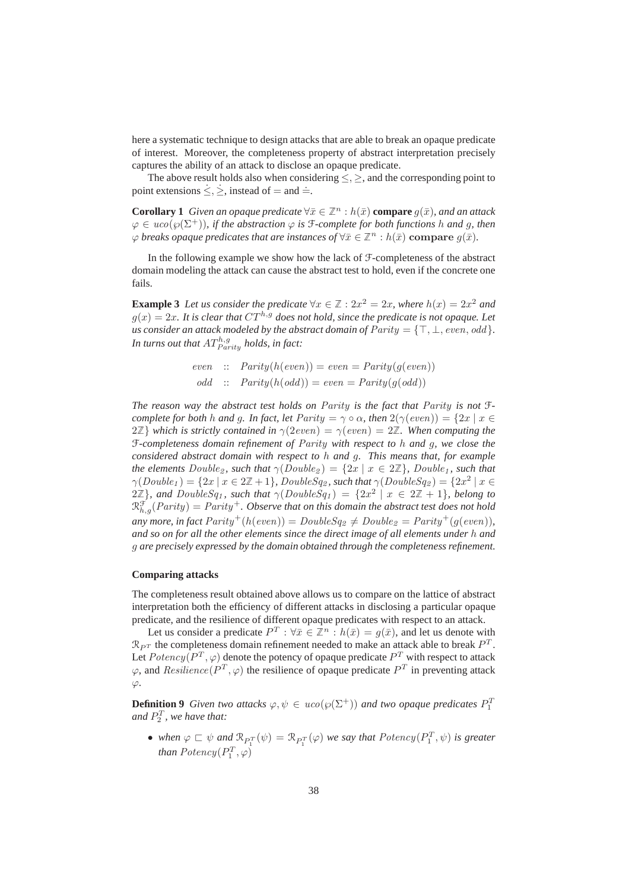here a systematic technique to design attacks that are able to break an opaque predicate of interest. Moreover, the completeness property of abstract interpretation precisely captures the ability of an attack to disclose an opaque predicate.

The above result holds also when considering  $\leq, \geq$ , and the corresponding point to point extensions  $\leq, \geq$ , instead of = and  $\approx$ .

**Corollary 1** *Given an opaque predicate*  $\forall \bar{x} \in \mathbb{Z}^n : h(\bar{x})$  **compare**  $g(\bar{x})$ *, and an attack*  $\varphi \in uco(\varphi(\Sigma^+))$ , if the abstraction  $\varphi$  is *f*-complete for both functions h and g, then  $\varphi$  *breaks opaque predicates that are instances of*  $\forall \bar{x} \in \mathbb{Z}^n : h(\bar{x})$  **compare**  $g(\bar{x})$ *.* 

In the following example we show how the lack of  $\mathcal F$ -completeness of the abstract domain modeling the attack can cause the abstract test to hold, even if the concrete one fails.

**Example 3** Let us consider the predicate  $\forall x \in \mathbb{Z}: 2x^2 = 2x$ , where  $h(x) = 2x^2$  and  $q(x) = 2x$ . It is clear that  $CT^{h,g}$  does not hold, since the predicate is not opaque. Let *us consider an attack modeled by the abstract domain of*  $Parity = \{\top, \bot, even, odd\}$ *.* In turns out that  $AT_{Parity}^{h,g}$  holds, in fact:

even :: 
$$
Parity(h(even)) = even = Parity(g(even))
$$
  
odd ::  $Parity(h(odd)) = even = Parity(g(odd))$ 

*The reason way the abstract test holds on* Parity *is the fact that* Parity *is not* F*complete for both* h *and* g. In fact, let  $Parity = \gamma \circ \alpha$ , then  $2(\gamma(even)) = \{2x \mid x \in$  $2\mathbb{Z}$ *}* which is strictly contained in  $\gamma(2even) = \gamma(even) = 2\mathbb{Z}$ . When computing the F*-completeness domain refinement of* Parity *with respect to* h *and* g*, we close the considered abstract domain with respect to* h *and* g*. This means that, for example the elements*  $Double_2$ *, such that*  $\gamma(Double_2) = \{2x \mid x \in 2\mathbb{Z}\}$ *, Double<sub>1</sub>, such that*  $\gamma(Double_1) = \{2x \mid x \in 2\mathbb{Z} + 1\}$ , DoubleSq<sub>2</sub>, such that  $\gamma(DoubleSq_2) = \{2x^2 \mid x \in X\}$  $2\mathbb{Z}$ *}, and DoubleSq<sub>1</sub></sub>, such that*  $\gamma(DoubleSq_1) = \{2x^2 \mid x \in 2\mathbb{Z} + 1\}$ *, belong to*  $\mathfrak{R}_{h,g}^{\mathfrak{F}}(Parity)=Parity^+.$  Observe that on this domain the abstract test does not hold *any more, in fact*  $Parity^{+}(h(even)) = DoubleSq_{2} \neq Doubleg_{2} = Parity^{+}(q(even)),$ *and so on for all the other elements since the direct image of all elements under* h *and* g *are precisely expressed by the domain obtained through the completeness refinement.*

#### **Comparing attacks**

The completeness result obtained above allows us to compare on the lattice of abstract interpretation both the efficiency of different attacks in disclosing a particular opaque predicate, and the resilience of different opaque predicates with respect to an attack.

Let us consider a predicate  $P^T : \forall \bar{x} \in \mathbb{Z}^n : h(\bar{x}) = g(\bar{x})$ , and let us denote with  $\mathcal{R}_{P^T}$  the completeness domain refinement needed to make an attack able to break  $P^T$ . Let  $Potency(P^T,\varphi)$  denote the potency of opaque predicate  $P^T$  with respect to attack  $\varphi$ , and  $Resilience(P^T, \varphi)$  the resilience of opaque predicate  $P^T$  in preventing attack  $\varphi$ .

**Definition 9** *Given two attacks*  $\varphi, \psi \in uco(\varphi(\Sigma^+))$  *and two opaque predicates*  $P_1^T$ and  $P_2^T$ , we have that:

• when  $\varphi \sqsubset \psi$  and  $\mathcal{R}_{P_1^T}(\psi) = \mathcal{R}_{P_1^T}(\varphi)$  we say that  $Potency(P_1^T, \psi)$  is greater *than*  $Potency(P_1^T, \varphi)$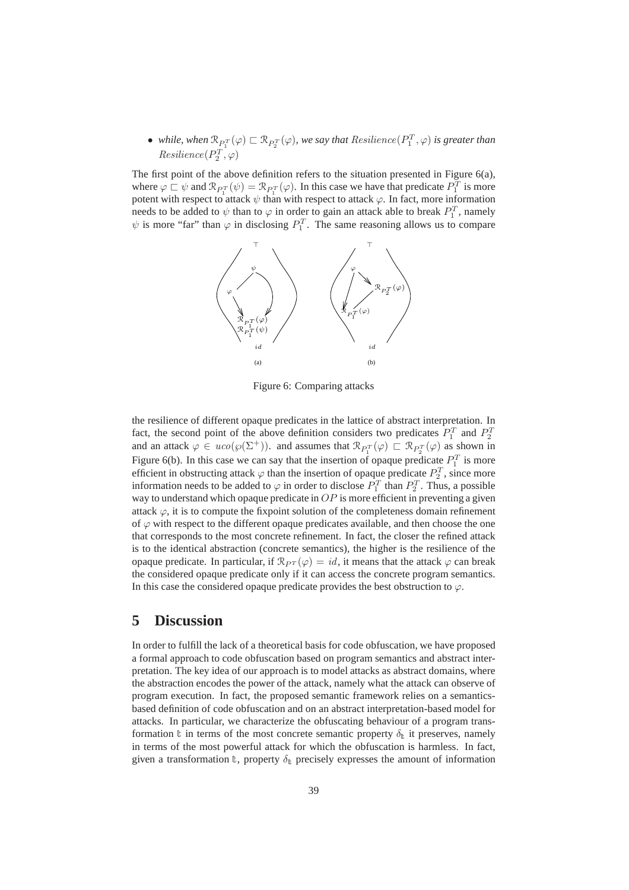• while, when  $\mathcal{R}_{P_1^T}(\varphi) \sqsubset \mathcal{R}_{P_2^T}(\varphi)$ , we say that  $Resilience(P_1^T,\varphi)$  is greater than  $Resilience(P_2^T,\varphi)$ 

The first point of the above definition refers to the situation presented in Figure 6(a), where  $\varphi \sqsubset \psi$  and  $\mathcal{R}_{P_1^T}(\psi) = \mathcal{R}_{P_1^T}(\varphi)$ . In this case we have that predicate  $P_1^T$  is more potent with respect to attack  $\psi$  than with respect to attack  $\varphi$ . In fact, more information needs to be added to  $\psi$  than to  $\varphi$  in order to gain an attack able to break  $P_1^T$ , namely  $\psi$  is more "far" than  $\varphi$  in disclosing  $P_1^T$ . The same reasoning allows us to compare



Figure 6: Comparing attacks

the resilience of different opaque predicates in the lattice of abstract interpretation. In fact, the second point of the above definition considers two predicates  $P_1^T$  and  $P_2^T$ and an attack  $\varphi \in uco(\varphi(\Sigma^+))$ . and assumes that  $\mathcal{R}_{P_1^T}(\varphi) \subset \mathcal{R}_{P_2^T}(\varphi)$  as shown in Figure 6(b). In this case we can say that the insertion of opaque predicate  $P_1^T$  is more efficient in obstructing attack  $\varphi$  than the insertion of opaque predicate  $P_2^T$ , since more information needs to be added to  $\varphi$  in order to disclose  $P_1^T$  than  $P_2^T$ . Thus, a possible way to understand which opaque predicate in  $OP$  is more efficient in preventing a given attack  $\varphi$ , it is to compute the fixpoint solution of the completeness domain refinement of  $\varphi$  with respect to the different opaque predicates available, and then choose the one that corresponds to the most concrete refinement. In fact, the closer the refined attack is to the identical abstraction (concrete semantics), the higher is the resilience of the opaque predicate. In particular, if  $\mathcal{R}_{PT}(\varphi) = id$ , it means that the attack  $\varphi$  can break the considered opaque predicate only if it can access the concrete program semantics. In this case the considered opaque predicate provides the best obstruction to  $\varphi$ .

## **5 Discussion**

In order to fulfill the lack of a theoretical basis for code obfuscation, we have proposed a formal approach to code obfuscation based on program semantics and abstract interpretation. The key idea of our approach is to model attacks as abstract domains, where the abstraction encodes the power of the attack, namely what the attack can observe of program execution. In fact, the proposed semantic framework relies on a semanticsbased definition of code obfuscation and on an abstract interpretation-based model for attacks. In particular, we characterize the obfuscating behaviour of a program transformation t in terms of the most concrete semantic property  $\delta_{t}$  it preserves, namely in terms of the most powerful attack for which the obfuscation is harmless. In fact, given a transformation  $\mathbb{t}$ , property  $\delta_{\mathbb{t}}$  precisely expresses the amount of information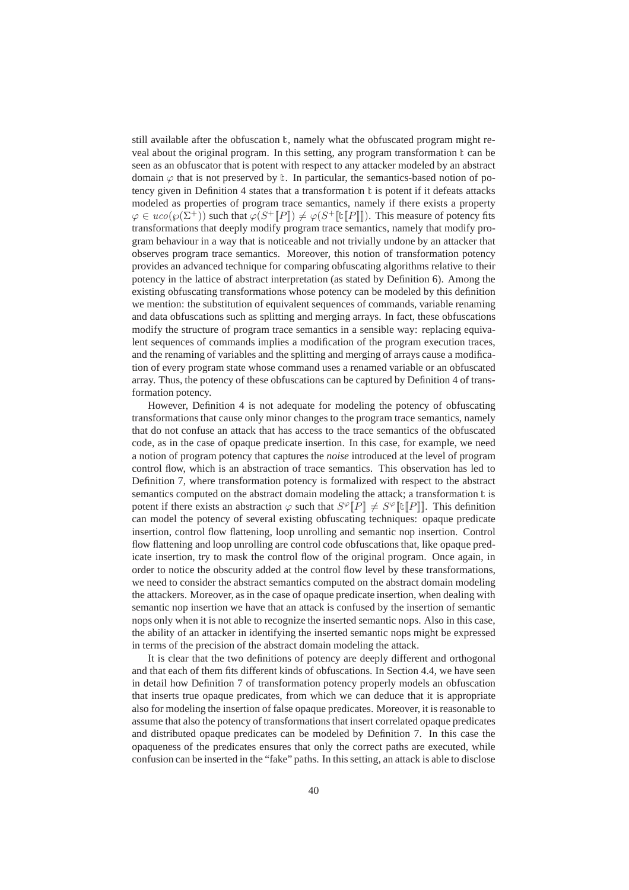still available after the obfuscation  $t$ , namely what the obfuscated program might reveal about the original program. In this setting, any program transformation  $\mathbf{t}$  can be seen as an obfuscator that is potent with respect to any attacker modeled by an abstract domain  $\varphi$  that is not preserved by  $\ell$ . In particular, the semantics-based notion of potency given in Definition 4 states that a transformation  $t$  is potent if it defeats attacks modeled as properties of program trace semantics, namely if there exists a property  $\varphi \in uco(\varphi(\Sigma^+))$  such that  $\varphi(S^+[\![P]\!]) \neq \varphi(S^+[\![\![P]\!]])$ . This measure of potency fits transformations that deeply modify program trace semantics, namely that modify program behaviour in a way that is noticeable and not trivially undone by an attacker that observes program trace semantics. Moreover, this notion of transformation potency provides an advanced technique for comparing obfuscating algorithms relative to their potency in the lattice of abstract interpretation (as stated by Definition 6). Among the existing obfuscating transformations whose potency can be modeled by this definition we mention: the substitution of equivalent sequences of commands, variable renaming and data obfuscations such as splitting and merging arrays. In fact, these obfuscations modify the structure of program trace semantics in a sensible way: replacing equivalent sequences of commands implies a modification of the program execution traces, and the renaming of variables and the splitting and merging of arrays cause a modification of every program state whose command uses a renamed variable or an obfuscated array. Thus, the potency of these obfuscations can be captured by Definition 4 of transformation potency.

However, Definition 4 is not adequate for modeling the potency of obfuscating transformations that cause only minor changes to the program trace semantics, namely that do not confuse an attack that has access to the trace semantics of the obfuscated code, as in the case of opaque predicate insertion. In this case, for example, we need a notion of program potency that captures the *noise* introduced at the level of program control flow, which is an abstraction of trace semantics. This observation has led to Definition 7, where transformation potency is formalized with respect to the abstract semantics computed on the abstract domain modeling the attack; a transformation  $\mathbf t$  is potent if there exists an abstraction  $\varphi$  such that  $S^{\varphi}[P] \neq S^{\varphi}[\![\tau]\!]$ . This definition can model the potency of several existing obfuscating techniques: opaque predicate insertion, control flow flattening, loop unrolling and semantic nop insertion. Control flow flattening and loop unrolling are control code obfuscations that, like opaque predicate insertion, try to mask the control flow of the original program. Once again, in order to notice the obscurity added at the control flow level by these transformations, we need to consider the abstract semantics computed on the abstract domain modeling the attackers. Moreover, as in the case of opaque predicate insertion, when dealing with semantic nop insertion we have that an attack is confused by the insertion of semantic nops only when it is not able to recognize the inserted semantic nops. Also in this case, the ability of an attacker in identifying the inserted semantic nops might be expressed in terms of the precision of the abstract domain modeling the attack.

It is clear that the two definitions of potency are deeply different and orthogonal and that each of them fits different kinds of obfuscations. In Section 4.4, we have seen in detail how Definition 7 of transformation potency properly models an obfuscation that inserts true opaque predicates, from which we can deduce that it is appropriate also for modeling the insertion of false opaque predicates. Moreover, it is reasonable to assume that also the potency of transformations that insert correlated opaque predicates and distributed opaque predicates can be modeled by Definition 7. In this case the opaqueness of the predicates ensures that only the correct paths are executed, while confusion can be inserted in the "fake" paths. In this setting, an attack is able to disclose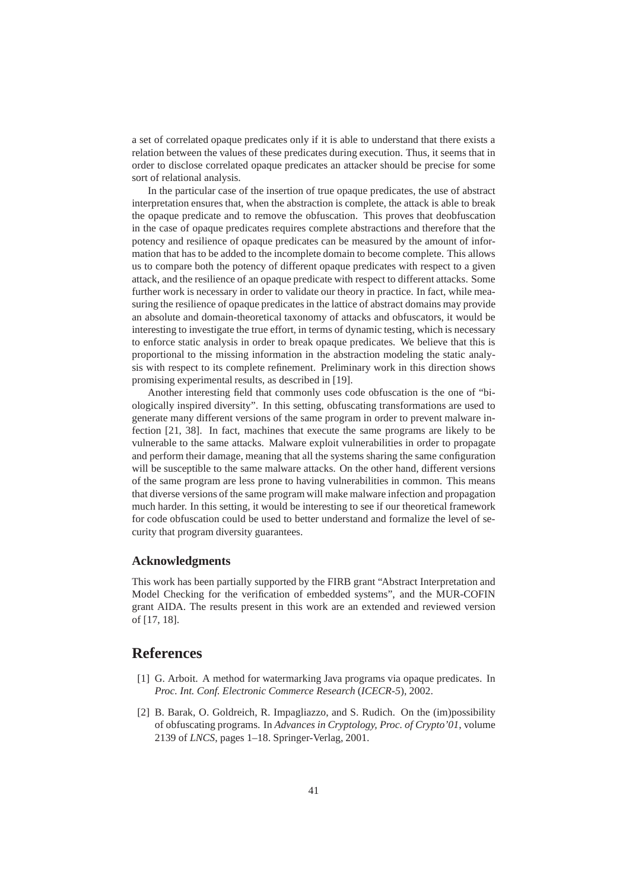a set of correlated opaque predicates only if it is able to understand that there exists a relation between the values of these predicates during execution. Thus, it seems that in order to disclose correlated opaque predicates an attacker should be precise for some sort of relational analysis.

In the particular case of the insertion of true opaque predicates, the use of abstract interpretation ensures that, when the abstraction is complete, the attack is able to break the opaque predicate and to remove the obfuscation. This proves that deobfuscation in the case of opaque predicates requires complete abstractions and therefore that the potency and resilience of opaque predicates can be measured by the amount of information that has to be added to the incomplete domain to become complete. This allows us to compare both the potency of different opaque predicates with respect to a given attack, and the resilience of an opaque predicate with respect to different attacks. Some further work is necessary in order to validate our theory in practice. In fact, while measuring the resilience of opaque predicates in the lattice of abstract domains may provide an absolute and domain-theoretical taxonomy of attacks and obfuscators, it would be interesting to investigate the true effort, in terms of dynamic testing, which is necessary to enforce static analysis in order to break opaque predicates. We believe that this is proportional to the missing information in the abstraction modeling the static analysis with respect to its complete refinement. Preliminary work in this direction shows promising experimental results, as described in [19].

Another interesting field that commonly uses code obfuscation is the one of "biologically inspired diversity". In this setting, obfuscating transformations are used to generate many different versions of the same program in order to prevent malware infection [21, 38]. In fact, machines that execute the same programs are likely to be vulnerable to the same attacks. Malware exploit vulnerabilities in order to propagate and perform their damage, meaning that all the systems sharing the same configuration will be susceptible to the same malware attacks. On the other hand, different versions of the same program are less prone to having vulnerabilities in common. This means that diverse versions of the same program will make malware infection and propagation much harder. In this setting, it would be interesting to see if our theoretical framework for code obfuscation could be used to better understand and formalize the level of security that program diversity guarantees.

### **Acknowledgments**

This work has been partially supported by the FIRB grant "Abstract Interpretation and Model Checking for the verification of embedded systems", and the MUR-COFIN grant AIDA. The results present in this work are an extended and reviewed version of [17, 18].

## **References**

- [1] G. Arboit. A method for watermarking Java programs via opaque predicates. In *Proc. Int. Conf. Electronic Commerce Research* (*ICECR-5*), 2002.
- [2] B. Barak, O. Goldreich, R. Impagliazzo, and S. Rudich. On the (im)possibility of obfuscating programs. In *Advances in Cryptology, Proc. of Crypto'01*, volume 2139 of *LNCS*, pages 1–18. Springer-Verlag, 2001.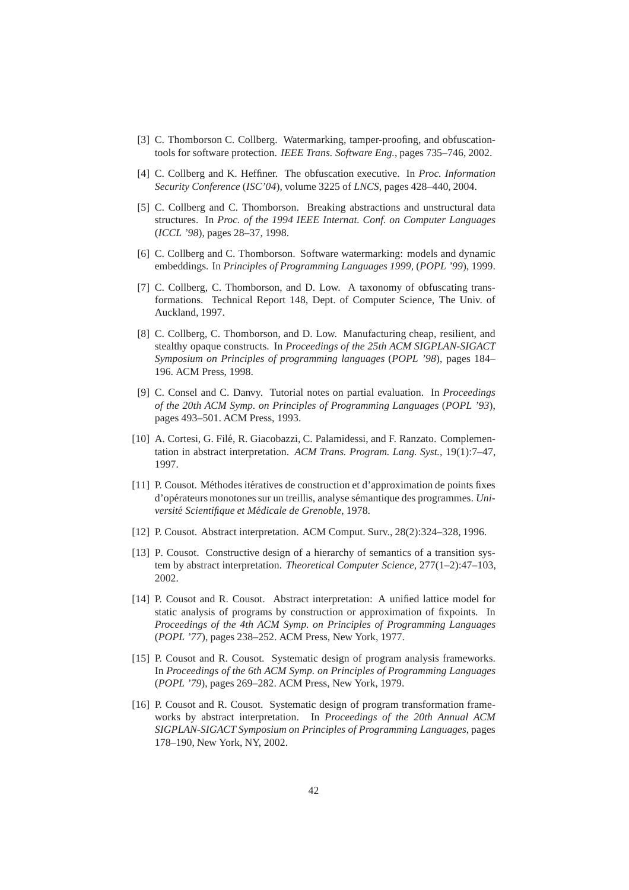- [3] C. Thomborson C. Collberg. Watermarking, tamper-proofing, and obfuscationtools for software protection. *IEEE Trans. Software Eng.*, pages 735–746, 2002.
- [4] C. Collberg and K. Heffiner. The obfuscation executive. In *Proc. Information Security Conference* (*ISC'04*), volume 3225 of *LNCS*, pages 428–440, 2004.
- [5] C. Collberg and C. Thomborson. Breaking abstractions and unstructural data structures. In *Proc. of the 1994 IEEE Internat. Conf. on Computer Languages* (*ICCL '98*), pages 28–37, 1998.
- [6] C. Collberg and C. Thomborson. Software watermarking: models and dynamic embeddings. In *Principles of Programming Languages 1999,* (*POPL '99*), 1999.
- [7] C. Collberg, C. Thomborson, and D. Low. A taxonomy of obfuscating transformations. Technical Report 148, Dept. of Computer Science, The Univ. of Auckland, 1997.
- [8] C. Collberg, C. Thomborson, and D. Low. Manufacturing cheap, resilient, and stealthy opaque constructs. In *Proceedings of the 25th ACM SIGPLAN-SIGACT Symposium on Principles of programming languages* (*POPL '98*), pages 184– 196. ACM Press, 1998.
- [9] C. Consel and C. Danvy. Tutorial notes on partial evaluation. In *Proceedings of the 20th ACM Symp. on Principles of Programming Languages* (*POPL '93*), pages 493–501. ACM Press, 1993.
- [10] A. Cortesi, G. Filé, R. Giacobazzi, C. Palamidessi, and F. Ranzato. Complementation in abstract interpretation. *ACM Trans. Program. Lang. Syst.*, 19(1):7–47, 1997.
- [11] P. Cousot. M´ethodes it´eratives de construction et d'approximation de points fixes d'op´erateurs monotones sur un treillis, analyse s´emantique des programmes. *Université Scientifique et Médicale de Grenoble, 1978.*
- [12] P. Cousot. Abstract interpretation. ACM Comput. Surv., 28(2):324–328, 1996.
- [13] P. Cousot. Constructive design of a hierarchy of semantics of a transition system by abstract interpretation. *Theoretical Computer Science*, 277(1–2):47–103, 2002.
- [14] P. Cousot and R. Cousot. Abstract interpretation: A unified lattice model for static analysis of programs by construction or approximation of fixpoints. In *Proceedings of the 4th ACM Symp. on Principles of Programming Languages* (*POPL '77*), pages 238–252. ACM Press, New York, 1977.
- [15] P. Cousot and R. Cousot. Systematic design of program analysis frameworks. In *Proceedings of the 6th ACM Symp. on Principles of Programming Languages* (*POPL '79*), pages 269–282. ACM Press, New York, 1979.
- [16] P. Cousot and R. Cousot. Systematic design of program transformation frameworks by abstract interpretation. In *Proceedings of the 20th Annual ACM SIGPLAN-SIGACT Symposium on Principles of Programming Languages*, pages 178–190, New York, NY, 2002.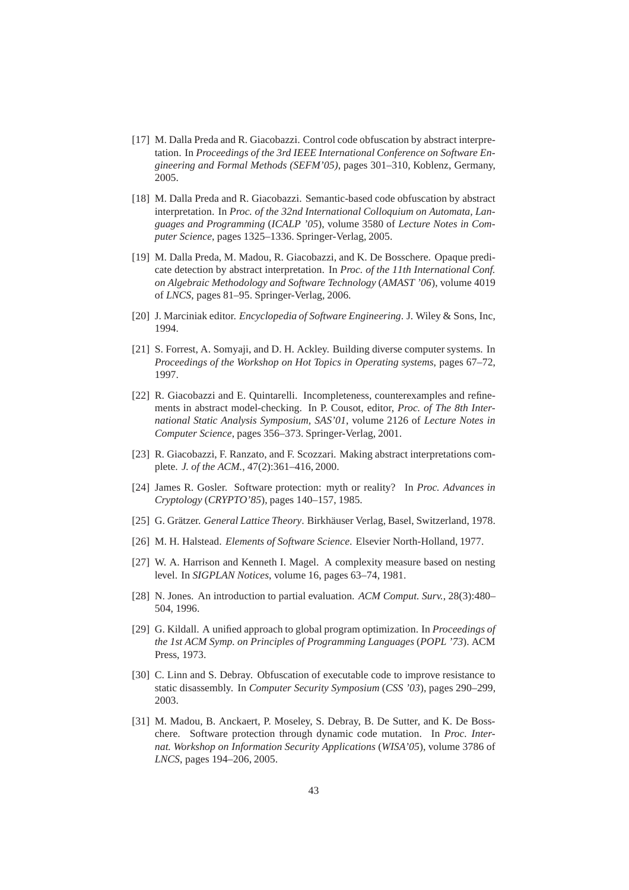- [17] M. Dalla Preda and R. Giacobazzi. Control code obfuscation by abstract interpretation. In *Proceedings of the 3rd IEEE International Conference on Software Engineering and Formal Methods (SEFM'05)*, pages 301–310, Koblenz, Germany, 2005.
- [18] M. Dalla Preda and R. Giacobazzi. Semantic-based code obfuscation by abstract interpretation. In *Proc. of the 32nd International Colloquium on Automata, Languages and Programming* (*ICALP '05*), volume 3580 of *Lecture Notes in Computer Science*, pages 1325–1336. Springer-Verlag, 2005.
- [19] M. Dalla Preda, M. Madou, R. Giacobazzi, and K. De Bosschere. Opaque predicate detection by abstract interpretation. In *Proc. of the 11th International Conf. on Algebraic Methodology and Software Technology* (*AMAST '06*), volume 4019 of *LNCS*, pages 81–95. Springer-Verlag, 2006.
- [20] J. Marciniak editor. *Encyclopedia of Software Engineering*. J. Wiley & Sons, Inc, 1994.
- [21] S. Forrest, A. Somyaji, and D. H. Ackley. Building diverse computer systems. In *Proceedings of the Workshop on Hot Topics in Operating systems*, pages 67–72, 1997.
- [22] R. Giacobazzi and E. Quintarelli. Incompleteness, counterexamples and refinements in abstract model-checking. In P. Cousot, editor, *Proc. of The 8th International Static Analysis Symposium, SAS'01*, volume 2126 of *Lecture Notes in Computer Science*, pages 356–373. Springer-Verlag, 2001.
- [23] R. Giacobazzi, F. Ranzato, and F. Scozzari. Making abstract interpretations complete. *J. of the ACM.*, 47(2):361–416, 2000.
- [24] James R. Gosler. Software protection: myth or reality? In *Proc. Advances in Cryptology* (*CRYPTO'85*), pages 140–157, 1985.
- [25] G. Grätzer. *General Lattice Theory*. Birkhäuser Verlag, Basel, Switzerland, 1978.
- [26] M. H. Halstead. *Elements of Software Science*. Elsevier North-Holland, 1977.
- [27] W. A. Harrison and Kenneth I. Magel. A complexity measure based on nesting level. In *SIGPLAN Notices*, volume 16, pages 63–74, 1981.
- [28] N. Jones. An introduction to partial evaluation. *ACM Comput. Surv.*, 28(3):480– 504, 1996.
- [29] G. Kildall. A unified approach to global program optimization. In *Proceedings of the 1st ACM Symp. on Principles of Programming Languages* (*POPL '73*). ACM Press, 1973.
- [30] C. Linn and S. Debray. Obfuscation of executable code to improve resistance to static disassembly. In *Computer Security Symposium* (*CSS '03*), pages 290–299, 2003.
- [31] M. Madou, B. Anckaert, P. Moseley, S. Debray, B. De Sutter, and K. De Bosschere. Software protection through dynamic code mutation. In *Proc. Internat. Workshop on Information Security Applications* (*WISA'05*), volume 3786 of *LNCS*, pages 194–206, 2005.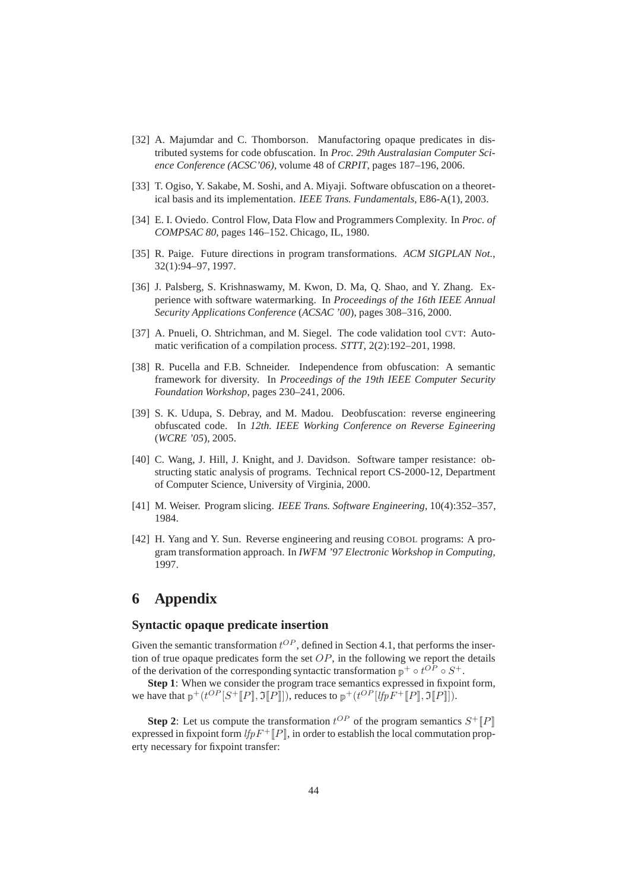- [32] A. Majumdar and C. Thomborson. Manufactoring opaque predicates in distributed systems for code obfuscation. In *Proc. 29th Australasian Computer Science Conference (ACSC'06)*, volume 48 of *CRPIT*, pages 187–196, 2006.
- [33] T. Ogiso, Y. Sakabe, M. Soshi, and A. Miyaji. Software obfuscation on a theoretical basis and its implementation. *IEEE Trans. Fundamentals*, E86-A(1), 2003.
- [34] E. I. Oviedo. Control Flow, Data Flow and Programmers Complexity. In *Proc. of COMPSAC 80*, pages 146–152. Chicago, IL, 1980.
- [35] R. Paige. Future directions in program transformations. *ACM SIGPLAN Not.*, 32(1):94–97, 1997.
- [36] J. Palsberg, S. Krishnaswamy, M. Kwon, D. Ma, Q. Shao, and Y. Zhang. Experience with software watermarking. In *Proceedings of the 16th IEEE Annual Security Applications Conference* (*ACSAC '00*), pages 308–316, 2000.
- [37] A. Pnueli, O. Shtrichman, and M. Siegel. The code validation tool CVT: Automatic verification of a compilation process. *STTT*, 2(2):192–201, 1998.
- [38] R. Pucella and F.B. Schneider. Independence from obfuscation: A semantic framework for diversity. In *Proceedings of the 19th IEEE Computer Security Foundation Workshop*, pages 230–241, 2006.
- [39] S. K. Udupa, S. Debray, and M. Madou. Deobfuscation: reverse engineering obfuscated code. In *12th. IEEE Working Conference on Reverse Egineering* (*WCRE '05*), 2005.
- [40] C. Wang, J. Hill, J. Knight, and J. Davidson. Software tamper resistance: obstructing static analysis of programs. Technical report CS-2000-12, Department of Computer Science, University of Virginia, 2000.
- [41] M. Weiser. Program slicing. *IEEE Trans. Software Engineering*, 10(4):352–357, 1984.
- [42] H. Yang and Y. Sun. Reverse engineering and reusing COBOL programs: A program transformation approach. In *IWFM '97 Electronic Workshop in Computing*, 1997.

## **6 Appendix**

#### **Syntactic opaque predicate insertion**

Given the semantic transformation  $t^{OP}$ , defined in Section 4.1, that performs the insertion of true opaque predicates form the set  $OP$ , in the following we report the details of the derivation of the corresponding syntactic transformation  $p^+ \circ t^{OP} \circ S^+$ .

**Step 1**: When we consider the program trace semantics expressed in fixpoint form, we have that  $p^+(t^{OP}[S^+[[P], \mathfrak{I}[[P]]])$ , reduces to  $p^+(t^{OP}[lfpF^+[[P], \mathfrak{I}[[P]]])$ .

**Step 2:** Let us compute the transformation  $t^{OP}$  of the program semantics  $S^+[[P]]$ expressed in fixpoint form  $lfpF^+[P]$ , in order to establish the local commutation property necessary for fixpoint transfer: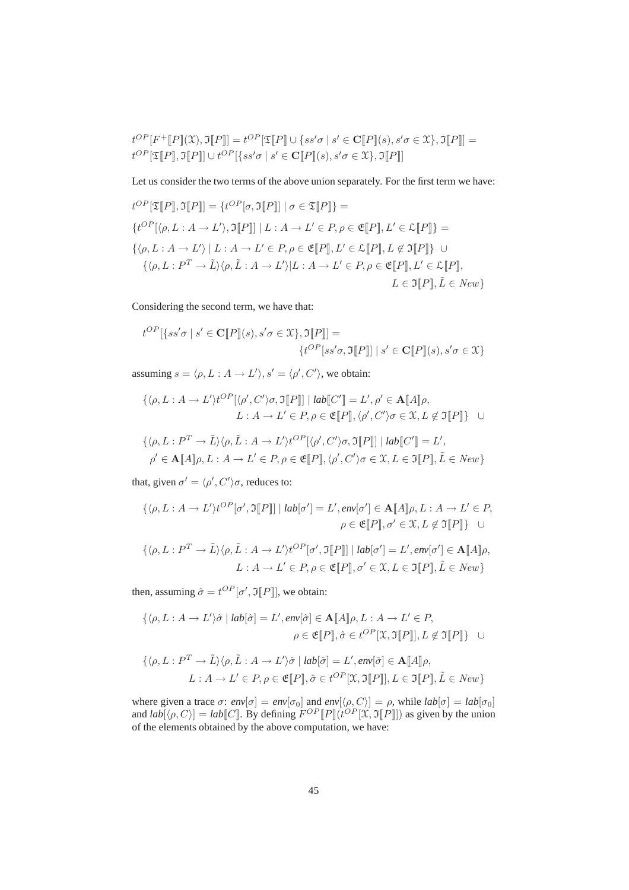$$
t^{OP}[F^+[[P]](\mathcal{X}), \mathfrak{I}[P]] = t^{OP}[\mathfrak{T}[P]] \cup \{ss'\sigma \mid s' \in \mathbf{C}[P][s), s'\sigma \in \mathcal{X}\}, \mathfrak{I}[P]] = t^{OP}[\mathfrak{T}[P]], \mathfrak{I}[P]] \cup t^{OP}[\{ss'\sigma \mid s' \in \mathbf{C}[P][s), s'\sigma \in \mathcal{X}\}, \mathfrak{I}[P]]]
$$

Let us consider the two terms of the above union separately. For the first term we have:

$$
t^{OP}[\mathfrak{T}[P], \mathfrak{T}[P]] = \{t^{OP}[\sigma, \mathfrak{T}[P]] \mid \sigma \in \mathfrak{T}[P]\} =
$$
  

$$
\{t^{OP}[\langle \rho, L : A \to L' \rangle, \mathfrak{T}[P]] \mid L : A \to L' \in P, \rho \in \mathfrak{E}[P], L' \in \mathcal{L}[P]\} =
$$
  

$$
\{\langle \rho, L : A \to L' \rangle \mid L : A \to L' \in P, \rho \in \mathfrak{E}[P], L' \in \mathcal{L}[P], L \notin \mathfrak{T}[P]\} \cup
$$
  

$$
\{\langle \rho, L : P^T \to \tilde{L} \rangle \langle \rho, \tilde{L} : A \to L' \rangle | L : A \to L' \in P, \rho \in \mathfrak{E}[P], L' \in \mathcal{L}[P],
$$
  

$$
L \in \mathfrak{T}[P], \tilde{L} \in New\}
$$

Considering the second term, we have that:

$$
t^{OP}[\{ss'\sigma \mid s' \in \mathbf{C}[\![P]\!](s), s'\sigma \in \mathcal{X}\}, \mathfrak{I}[\![P]\!]] =
$$
  

$$
\{t^{OP}[ss'\sigma, \mathfrak{I}[\![P]\!]] \mid s' \in \mathbf{C}[\![P]\!](s), s'\sigma \in \mathcal{X}\}
$$

assuming  $s = \langle \rho, L : A \to L' \rangle, s' = \langle \rho', C' \rangle$ , we obtain:

$$
\{\langle \rho, L : A \to L' \rangle t^{OP} [\langle \rho', C' \rangle \sigma, \Im[\![P]\!] \mid lab[\![C']\!] = L', \rho' \in \mathbf{A}[\![A]\!] \rho,
$$
  

$$
L : A \to L' \in P, \rho \in \mathfrak{E}[\![P]\!], \langle \rho', C' \rangle \sigma \in \mathfrak{X}, L \notin \mathfrak{I}[\![P]\!] \} \quad \cup
$$

$$
\{\langle \rho, L : P^T \to \tilde{L} \rangle \langle \rho, \tilde{L} : A \to L' \rangle t^{OP} [\langle \rho', C' \rangle \sigma, \Im[\![P]\!] \mid lab[\![C']\!] = L',
$$
  

$$
\rho' \in \mathbf{A}[\![A]\!] \rho, L : A \to L' \in P, \rho \in \mathfrak{E}[\![P]\!], \langle \rho', C' \rangle \sigma \in \mathfrak{X}, L \in \mathfrak{I}[\![P]\!], \tilde{L} \in New\}
$$

that, given  $\sigma' = \langle \rho', C' \rangle \sigma$ , reduces to:

$$
\{\langle \rho, L : A \to L' \rangle t^{OP} [\sigma', \Im[\![P]\!] \mid lab[\sigma'] = L', env[\sigma'] \in \mathbf{A}[\![A]\!] \rho, L : A \to L' \in P,
$$
  

$$
\rho \in \mathfrak{E}[\![P]\!], \sigma' \in \mathfrak{X}, L \notin \mathfrak{I}[\![P]\!] \} \quad \cup
$$
  

$$
\{\langle \rho, L : P^T \to \tilde{L} \rangle \langle \rho, \tilde{L} : A \to L' \rangle t^{OP} [\sigma', \mathfrak{I}[\![P]\!] \mid lab[\sigma'] = L', env[\sigma'] \in \mathbf{A}[\![A]\!] \rho,
$$
  

$$
L : A \to L' \in P, \rho \in \mathfrak{E}[\![P]\!], \sigma' \in \mathfrak{X}, L \in \mathfrak{I}[\![P]\!], \tilde{L} \in New\}
$$

then, assuming  $\hat{\sigma} = t^{OP}[\sigma', \Im[\![P]\!]$ , we obtain:

$$
\{\langle \rho, L : A \to L' \rangle \hat{\sigma} \mid lab[\hat{\sigma}] = L', env[\hat{\sigma}] \in \mathbf{A}[\![A]\!] \rho, L : A \to L' \in P,
$$

$$
\rho \in \mathfrak{E}[\![P]\!], \hat{\sigma} \in t^{OP}[\![\mathfrak{X}, \mathfrak{I}[\![P]\!]], L \notin \mathfrak{I}[\![P]\!]\} \quad \cup
$$

$$
\{\langle \rho, L : P^T \to \tilde{L} \rangle \langle \rho, \tilde{L} : A \to L' \rangle \hat{\sigma} \mid lab[\hat{\sigma}] = L', env[\hat{\sigma}] \in \mathbf{A}[[A]]\rho,
$$
  

$$
L : A \to L' \in P, \rho \in \mathfrak{E}[[P]], \hat{\sigma} \in t^{OP}[\mathfrak{X}, \mathfrak{I}[[P]], L \in \mathfrak{I}[[P]], \tilde{L} \in New\}
$$

where given a trace  $\sigma$ :  $env[\sigma] = env[\sigma_0]$  and  $env[\langle \rho, C \rangle] = \rho$ , while  $lab[\sigma] = lab[\sigma_0]$ and  $lab[\langle \rho, C \rangle] = lab[[C]]$ . By defining  $F^{OP}[[P]](t^{OP}[\mathfrak{X}, \mathfrak{I}[P]])$  as given by the union of the elements obtained by the above computation, we have: